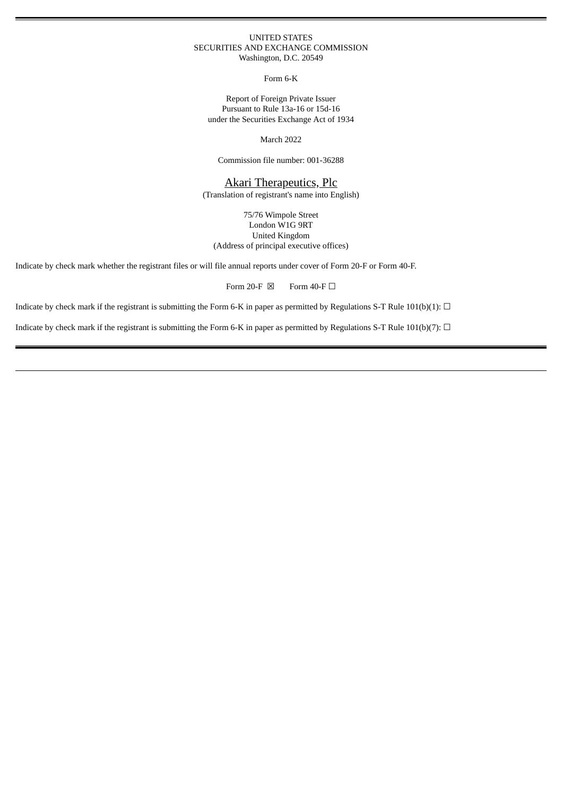#### UNITED STATES SECURITIES AND EXCHANGE COMMISSION Washington, D.C. 20549

Form 6-K

Report of Foreign Private Issuer Pursuant to Rule 13a-16 or 15d-16 under the Securities Exchange Act of 1934

March 2022

Commission file number: 001-36288

# Akari Therapeutics, Plc

(Translation of registrant's name into English)

75/76 Wimpole Street London W1G 9RT United Kingdom (Address of principal executive offices)

Indicate by check mark whether the registrant files or will file annual reports under cover of Form 20-F or Form 40-F.

Form 20-F  $\boxtimes$  Form 40-F  $\Box$ 

Indicate by check mark if the registrant is submitting the Form 6-K in paper as permitted by Regulations S-T Rule  $101(b)(1)$ :  $\Box$ 

Indicate by check mark if the registrant is submitting the Form 6-K in paper as permitted by Regulations S-T Rule  $101(b)(7)$ :  $\Box$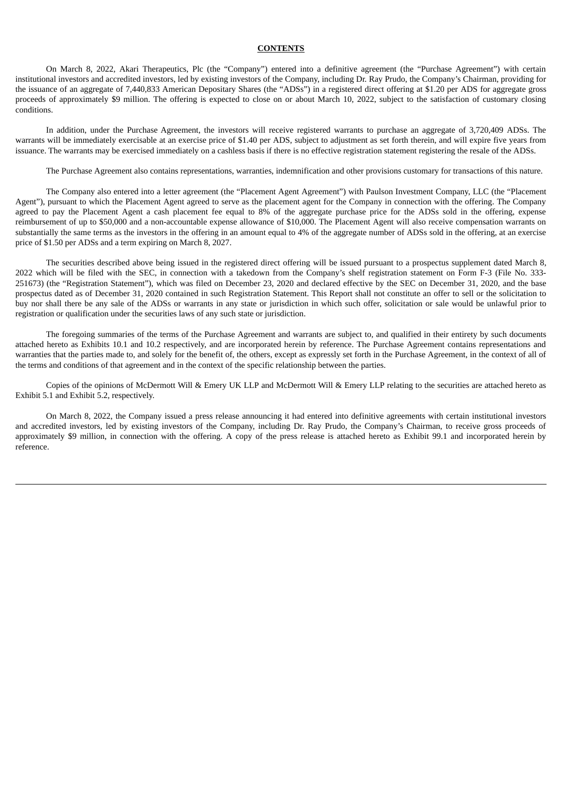## **CONTENTS**

On March 8, 2022, Akari Therapeutics, Plc (the "Company") entered into a definitive agreement (the "Purchase Agreement") with certain institutional investors and accredited investors, led by existing investors of the Company, including Dr. Ray Prudo, the Company's Chairman, providing for the issuance of an aggregate of 7,440,833 American Depositary Shares (the "ADSs") in a registered direct offering at \$1.20 per ADS for aggregate gross proceeds of approximately \$9 million. The offering is expected to close on or about March 10, 2022, subject to the satisfaction of customary closing conditions.

In addition, under the Purchase Agreement, the investors will receive registered warrants to purchase an aggregate of 3,720,409 ADSs. The warrants will be immediately exercisable at an exercise price of \$1.40 per ADS, subject to adjustment as set forth therein, and will expire five years from issuance. The warrants may be exercised immediately on a cashless basis if there is no effective registration statement registering the resale of the ADSs.

The Purchase Agreement also contains representations, warranties, indemnification and other provisions customary for transactions of this nature.

The Company also entered into a letter agreement (the "Placement Agent Agreement") with Paulson Investment Company, LLC (the "Placement Agent"), pursuant to which the Placement Agent agreed to serve as the placement agent for the Company in connection with the offering. The Company agreed to pay the Placement Agent a cash placement fee equal to 8% of the aggregate purchase price for the ADSs sold in the offering, expense reimbursement of up to \$50,000 and a non-accountable expense allowance of \$10,000. The Placement Agent will also receive compensation warrants on substantially the same terms as the investors in the offering in an amount equal to 4% of the aggregate number of ADSs sold in the offering, at an exercise price of \$1.50 per ADSs and a term expiring on March 8, 2027.

The securities described above being issued in the registered direct offering will be issued pursuant to a prospectus supplement dated March 8, 2022 which will be filed with the SEC, in connection with a takedown from the Company's shelf registration statement on Form F-3 (File No. 333- 251673) (the "Registration Statement"), which was filed on December 23, 2020 and declared effective by the SEC on December 31, 2020, and the base prospectus dated as of December 31, 2020 contained in such Registration Statement. This Report shall not constitute an offer to sell or the solicitation to buy nor shall there be any sale of the ADSs or warrants in any state or jurisdiction in which such offer, solicitation or sale would be unlawful prior to registration or qualification under the securities laws of any such state or jurisdiction.

The foregoing summaries of the terms of the Purchase Agreement and warrants are subject to, and qualified in their entirety by such documents attached hereto as Exhibits 10.1 and 10.2 respectively, and are incorporated herein by reference. The Purchase Agreement contains representations and warranties that the parties made to, and solely for the benefit of, the others, except as expressly set forth in the Purchase Agreement, in the context of all of the terms and conditions of that agreement and in the context of the specific relationship between the parties.

Copies of the opinions of McDermott Will & Emery UK LLP and McDermott Will & Emery LLP relating to the securities are attached hereto as Exhibit 5.1 and Exhibit 5.2, respectively.

On March 8, 2022, the Company issued a press release announcing it had entered into definitive agreements with certain institutional investors and accredited investors, led by existing investors of the Company, including Dr. Ray Prudo, the Company's Chairman, to receive gross proceeds of approximately \$9 million, in connection with the offering. A copy of the press release is attached hereto as Exhibit 99.1 and incorporated herein by reference.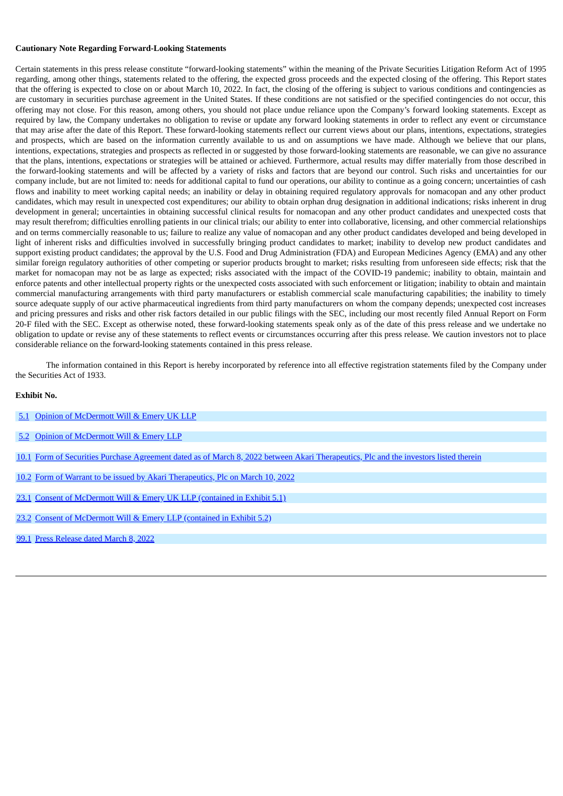#### **Cautionary Note Regarding Forward-Looking Statements**

Certain statements in this press release constitute "forward-looking statements" within the meaning of the Private Securities Litigation Reform Act of 1995 regarding, among other things, statements related to the offering, the expected gross proceeds and the expected closing of the offering. This Report states that the offering is expected to close on or about March 10, 2022. In fact, the closing of the offering is subject to various conditions and contingencies as are customary in securities purchase agreement in the United States. If these conditions are not satisfied or the specified contingencies do not occur, this offering may not close. For this reason, among others, you should not place undue reliance upon the Company's forward looking statements. Except as required by law, the Company undertakes no obligation to revise or update any forward looking statements in order to reflect any event or circumstance that may arise after the date of this Report. These forward-looking statements reflect our current views about our plans, intentions, expectations, strategies and prospects, which are based on the information currently available to us and on assumptions we have made. Although we believe that our plans, intentions, expectations, strategies and prospects as reflected in or suggested by those forward-looking statements are reasonable, we can give no assurance that the plans, intentions, expectations or strategies will be attained or achieved. Furthermore, actual results may differ materially from those described in the forward-looking statements and will be affected by a variety of risks and factors that are beyond our control. Such risks and uncertainties for our company include, but are not limited to: needs for additional capital to fund our operations, our ability to continue as a going concern; uncertainties of cash flows and inability to meet working capital needs; an inability or delay in obtaining required regulatory approvals for nomacopan and any other product candidates, which may result in unexpected cost expenditures; our ability to obtain orphan drug designation in additional indications; risks inherent in drug development in general; uncertainties in obtaining successful clinical results for nomacopan and any other product candidates and unexpected costs that may result therefrom; difficulties enrolling patients in our clinical trials; our ability to enter into collaborative, licensing, and other commercial relationships and on terms commercially reasonable to us; failure to realize any value of nomacopan and any other product candidates developed and being developed in light of inherent risks and difficulties involved in successfully bringing product candidates to market; inability to develop new product candidates and support existing product candidates; the approval by the U.S. Food and Drug Administration (FDA) and European Medicines Agency (EMA) and any other similar foreign regulatory authorities of other competing or superior products brought to market; risks resulting from unforeseen side effects; risk that the market for nomacopan may not be as large as expected; risks associated with the impact of the COVID-19 pandemic; inability to obtain, maintain and enforce patents and other intellectual property rights or the unexpected costs associated with such enforcement or litigation; inability to obtain and maintain commercial manufacturing arrangements with third party manufacturers or establish commercial scale manufacturing capabilities; the inability to timely source adequate supply of our active pharmaceutical ingredients from third party manufacturers on whom the company depends; unexpected cost increases and pricing pressures and risks and other risk factors detailed in our public filings with the SEC, including our most recently filed Annual Report on Form 20-F filed with the SEC. Except as otherwise noted, these forward-looking statements speak only as of the date of this press release and we undertake no obligation to update or revise any of these statements to reflect events or circumstances occurring after this press release. We caution investors not to place considerable reliance on the forward-looking statements contained in this press release.

The information contained in this Report is hereby incorporated by reference into all effective registration statements filed by the Company under the Securities Act of 1933.

#### **Exhibit No.**

|  | 5.1 Opinion of McDermott Will & Emery UK LLP |  |
|--|----------------------------------------------|--|
|--|----------------------------------------------|--|

- [5.2](#page-8-0) Opinion of [McDermott](#page-8-0) Will & Emery LLP
- [10.1](#page-11-0) Form of Securities Purchase Agreement dated as of March 8, 2022 between Akari [Therapeutics,](#page-11-0) Plc and the investors listed therein
- [10.2](#page-47-0) Form of Warrant to be issued by Akari [Therapeutics,](#page-47-0) Plc on March 10, 2022
- [23.1](#page-4-0) Consent of [McDermott](#page-4-0) Will & Emery UK LLP (contained in Exhibit 5.1)
- [23.2](#page-8-0) Consent of [McDermott](#page-8-0) Will & Emery LLP (contained in Exhibit 5.2)
- [99.1](#page-61-0) Press [Release](#page-61-0) dated March 8, 2022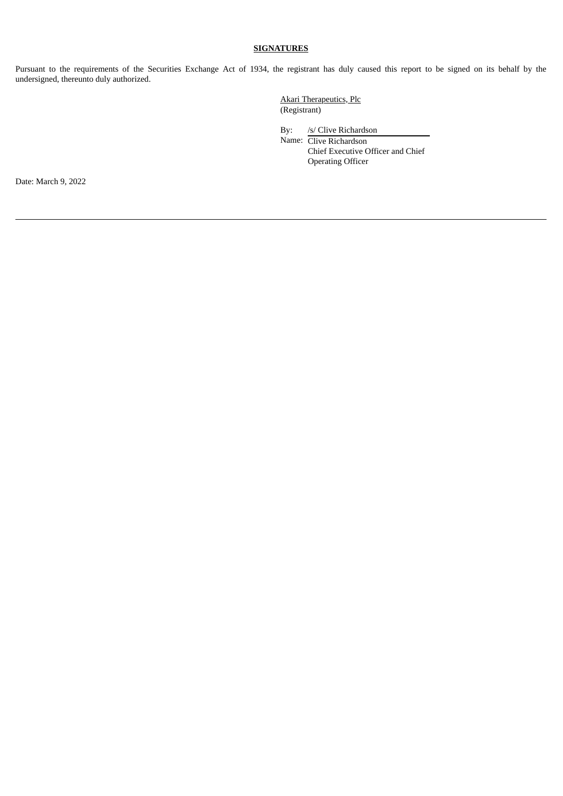# **SIGNATURES**

Pursuant to the requirements of the Securities Exchange Act of 1934, the registrant has duly caused this report to be signed on its behalf by the undersigned, thereunto duly authorized.

> Akari Therapeutics, Plc (Registrant)

By: /s/ Clive Richardson Name: Clive Richardson Chief Executive Officer and Chief Operating Officer

Date: March 9, 2022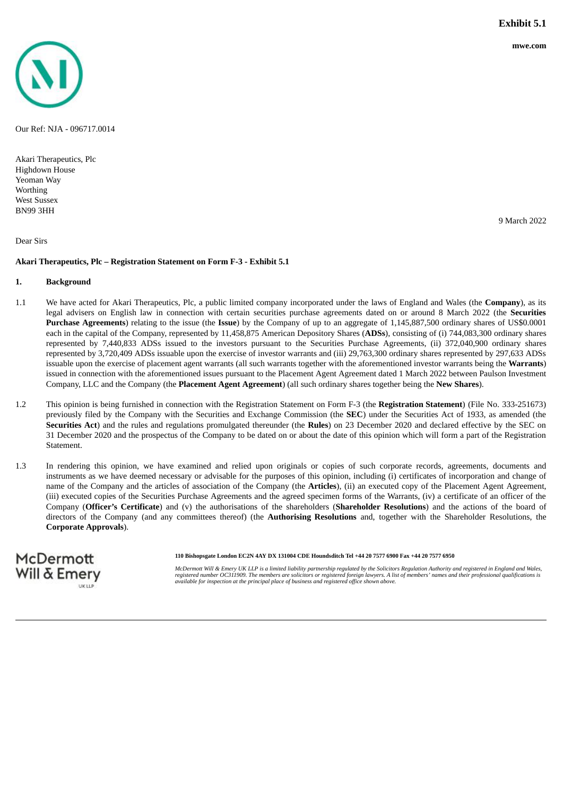<span id="page-4-0"></span>

Our Ref: NJA - 096717.0014

Akari Therapeutics, Plc Highdown House Yeoman Way **Worthing** West Sussex BN99 3HH

Dear Sirs

#### **Akari Therapeutics, Plc – Registration Statement on Form F-3 - Exhibit 5.1**

#### **1. Background**

McDermott Will & Emery

- 1.1 We have acted for Akari Therapeutics, Plc, a public limited company incorporated under the laws of England and Wales (the **Company**), as its legal advisers on English law in connection with certain securities purchase agreements dated on or around 8 March 2022 (the **Securities Purchase Agreements**) relating to the issue (the **Issue**) by the Company of up to an aggregate of 1,145,887,500 ordinary shares of US\$0.0001 each in the capital of the Company, represented by 11,458,875 American Depository Shares (**ADSs**), consisting of (i) 744,083,300 ordinary shares represented by 7,440,833 ADSs issued to the investors pursuant to the Securities Purchase Agreements, (ii) 372,040,900 ordinary shares represented by 3,720,409 ADSs issuable upon the exercise of investor warrants and (iii) 29,763,300 ordinary shares represented by 297,633 ADSs issuable upon the exercise of placement agent warrants (all such warrants together with the aforementioned investor warrants being the **Warrants**) issued in connection with the aforementioned issues pursuant to the Placement Agent Agreement dated 1 March 2022 between Paulson Investment Company, LLC and the Company (the **Placement Agent Agreement**) (all such ordinary shares together being the **New Shares**).
- 1.2 This opinion is being furnished in connection with the Registration Statement on Form F-3 (the **Registration Statement**) (File No. 333-251673) previously filed by the Company with the Securities and Exchange Commission (the **SEC**) under the Securities Act of 1933, as amended (the **Securities Act**) and the rules and regulations promulgated thereunder (the **Rules**) on 23 December 2020 and declared effective by the SEC on 31 December 2020 and the prospectus of the Company to be dated on or about the date of this opinion which will form a part of the Registration Statement.
- 1.3 In rendering this opinion, we have examined and relied upon originals or copies of such corporate records, agreements, documents and instruments as we have deemed necessary or advisable for the purposes of this opinion, including (i) certificates of incorporation and change of name of the Company and the articles of association of the Company (the **Articles**), (ii) an executed copy of the Placement Agent Agreement, (iii) executed copies of the Securities Purchase Agreements and the agreed specimen forms of the Warrants, (iv) a certificate of an officer of the Company (**Officer's Certificate**) and (v) the authorisations of the shareholders (**Shareholder Resolutions**) and the actions of the board of directors of the Company (and any committees thereof) (the **Authorising Resolutions** and, together with the Shareholder Resolutions, the **Corporate Approvals**).

110 Bishopsgate London EC2N 4AY DX 131004 CDE Houndsditch Tel +44 20 7577 6900 Fax +44 20 7577 6950

McDermott Will & Emery UK LLP is a limited liability partnership reaulated by the Solicitors Reaulation Authority and reaistered in England and Wales. registered number OC311909. The members are solicitors or registered foreign lawyers. A list of members' names and their professional qualifications is<br>available for inspection at the principal place of business and regist

9 March 2022

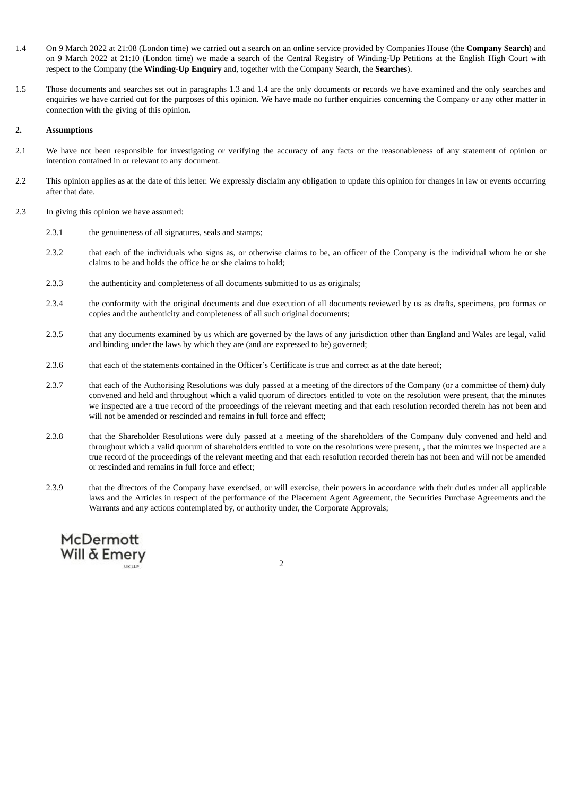- 1.4 On 9 March 2022 at 21:08 (London time) we carried out a search on an online service provided by Companies House (the **Company Search**) and on 9 March 2022 at 21:10 (London time) we made a search of the Central Registry of Winding-Up Petitions at the English High Court with respect to the Company (the **Winding-Up Enquiry** and, together with the Company Search, the **Searches**).
- 1.5 Those documents and searches set out in paragraphs 1.3 and 1.4 are the only documents or records we have examined and the only searches and enquiries we have carried out for the purposes of this opinion. We have made no further enquiries concerning the Company or any other matter in connection with the giving of this opinion.

#### **2. Assumptions**

- 2.1 We have not been responsible for investigating or verifying the accuracy of any facts or the reasonableness of any statement of opinion or intention contained in or relevant to any document.
- 2.2 This opinion applies as at the date of this letter. We expressly disclaim any obligation to update this opinion for changes in law or events occurring after that date.
- 2.3 In giving this opinion we have assumed:
	- 2.3.1 the genuineness of all signatures, seals and stamps;
	- 2.3.2 that each of the individuals who signs as, or otherwise claims to be, an officer of the Company is the individual whom he or she claims to be and holds the office he or she claims to hold;
	- 2.3.3 the authenticity and completeness of all documents submitted to us as originals;
	- 2.3.4 the conformity with the original documents and due execution of all documents reviewed by us as drafts, specimens, pro formas or copies and the authenticity and completeness of all such original documents;
	- 2.3.5 that any documents examined by us which are governed by the laws of any jurisdiction other than England and Wales are legal, valid and binding under the laws by which they are (and are expressed to be) governed;
	- 2.3.6 that each of the statements contained in the Officer's Certificate is true and correct as at the date hereof;
	- 2.3.7 that each of the Authorising Resolutions was duly passed at a meeting of the directors of the Company (or a committee of them) duly convened and held and throughout which a valid quorum of directors entitled to vote on the resolution were present, that the minutes we inspected are a true record of the proceedings of the relevant meeting and that each resolution recorded therein has not been and will not be amended or rescinded and remains in full force and effect;
	- 2.3.8 that the Shareholder Resolutions were duly passed at a meeting of the shareholders of the Company duly convened and held and throughout which a valid quorum of shareholders entitled to vote on the resolutions were present, , that the minutes we inspected are a true record of the proceedings of the relevant meeting and that each resolution recorded therein has not been and will not be amended or rescinded and remains in full force and effect;
	- 2.3.9 that the directors of the Company have exercised, or will exercise, their powers in accordance with their duties under all applicable laws and the Articles in respect of the performance of the Placement Agent Agreement, the Securities Purchase Agreements and the Warrants and any actions contemplated by, or authority under, the Corporate Approvals;

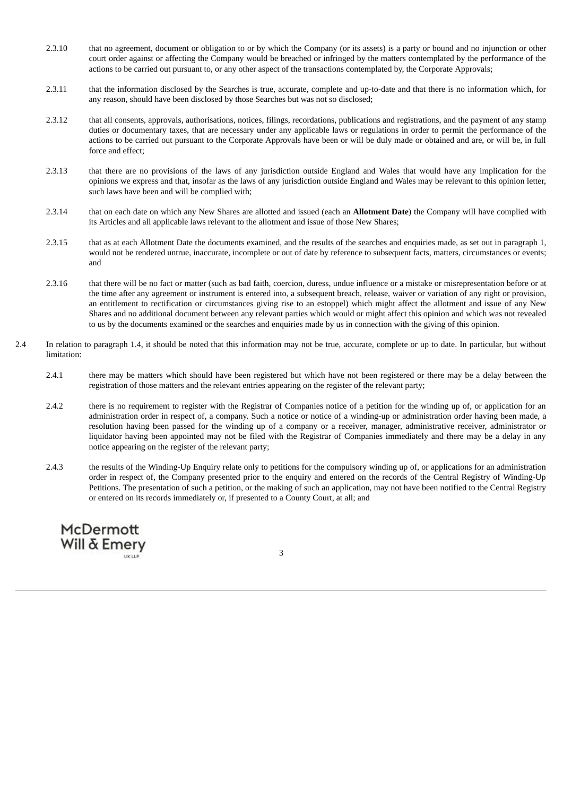- 2.3.10 that no agreement, document or obligation to or by which the Company (or its assets) is a party or bound and no injunction or other court order against or affecting the Company would be breached or infringed by the matters contemplated by the performance of the actions to be carried out pursuant to, or any other aspect of the transactions contemplated by, the Corporate Approvals;
- 2.3.11 that the information disclosed by the Searches is true, accurate, complete and up-to-date and that there is no information which, for any reason, should have been disclosed by those Searches but was not so disclosed;
- 2.3.12 that all consents, approvals, authorisations, notices, filings, recordations, publications and registrations, and the payment of any stamp duties or documentary taxes, that are necessary under any applicable laws or regulations in order to permit the performance of the actions to be carried out pursuant to the Corporate Approvals have been or will be duly made or obtained and are, or will be, in full force and effect;
- 2.3.13 that there are no provisions of the laws of any jurisdiction outside England and Wales that would have any implication for the opinions we express and that, insofar as the laws of any jurisdiction outside England and Wales may be relevant to this opinion letter, such laws have been and will be complied with;
- 2.3.14 that on each date on which any New Shares are allotted and issued (each an **Allotment Date**) the Company will have complied with its Articles and all applicable laws relevant to the allotment and issue of those New Shares;
- 2.3.15 that as at each Allotment Date the documents examined, and the results of the searches and enquiries made, as set out in paragraph 1, would not be rendered untrue, inaccurate, incomplete or out of date by reference to subsequent facts, matters, circumstances or events; and
- 2.3.16 that there will be no fact or matter (such as bad faith, coercion, duress, undue influence or a mistake or misrepresentation before or at the time after any agreement or instrument is entered into, a subsequent breach, release, waiver or variation of any right or provision, an entitlement to rectification or circumstances giving rise to an estoppel) which might affect the allotment and issue of any New Shares and no additional document between any relevant parties which would or might affect this opinion and which was not revealed to us by the documents examined or the searches and enquiries made by us in connection with the giving of this opinion.
- 2.4 In relation to paragraph 1.4, it should be noted that this information may not be true, accurate, complete or up to date. In particular, but without limitation:
	- 2.4.1 there may be matters which should have been registered but which have not been registered or there may be a delay between the registration of those matters and the relevant entries appearing on the register of the relevant party;
	- 2.4.2 there is no requirement to register with the Registrar of Companies notice of a petition for the winding up of, or application for an administration order in respect of, a company. Such a notice or notice of a winding-up or administration order having been made, a resolution having been passed for the winding up of a company or a receiver, manager, administrative receiver, administrator or liquidator having been appointed may not be filed with the Registrar of Companies immediately and there may be a delay in any notice appearing on the register of the relevant party;
	- 2.4.3 the results of the Winding-Up Enquiry relate only to petitions for the compulsory winding up of, or applications for an administration order in respect of, the Company presented prior to the enquiry and entered on the records of the Central Registry of Winding-Up Petitions. The presentation of such a petition, or the making of such an application, may not have been notified to the Central Registry or entered on its records immediately or, if presented to a County Court, at all; and

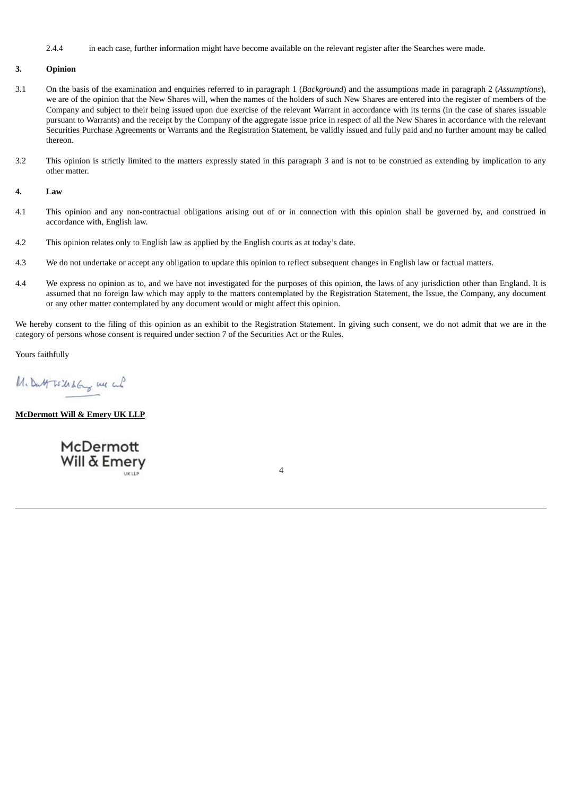2.4.4 in each case, further information might have become available on the relevant register after the Searches were made.

## **3. Opinion**

- 3.1 On the basis of the examination and enquiries referred to in paragraph 1 (*Background*) and the assumptions made in paragraph 2 (*Assumptions*), we are of the opinion that the New Shares will, when the names of the holders of such New Shares are entered into the register of members of the Company and subject to their being issued upon due exercise of the relevant Warrant in accordance with its terms (in the case of shares issuable pursuant to Warrants) and the receipt by the Company of the aggregate issue price in respect of all the New Shares in accordance with the relevant Securities Purchase Agreements or Warrants and the Registration Statement, be validly issued and fully paid and no further amount may be called thereon.
- 3.2 This opinion is strictly limited to the matters expressly stated in this paragraph 3 and is not to be construed as extending by implication to any other matter.

#### **4. Law**

- 4.1 This opinion and any non-contractual obligations arising out of or in connection with this opinion shall be governed by, and construed in accordance with, English law.
- 4.2 This opinion relates only to English law as applied by the English courts as at today's date.
- 4.3 We do not undertake or accept any obligation to update this opinion to reflect subsequent changes in English law or factual matters.
- 4.4 We express no opinion as to, and we have not investigated for the purposes of this opinion, the laws of any jurisdiction other than England. It is assumed that no foreign law which may apply to the matters contemplated by the Registration Statement, the Issue, the Company, any document or any other matter contemplated by any document would or might affect this opinion.

We hereby consent to the filing of this opinion as an exhibit to the Registration Statement. In giving such consent, we do not admit that we are in the category of persons whose consent is required under section 7 of the Securities Act or the Rules.

Yours faithfully

M. Datt Is Ushang un cul

**McDermott Will & Emery UK LLP**

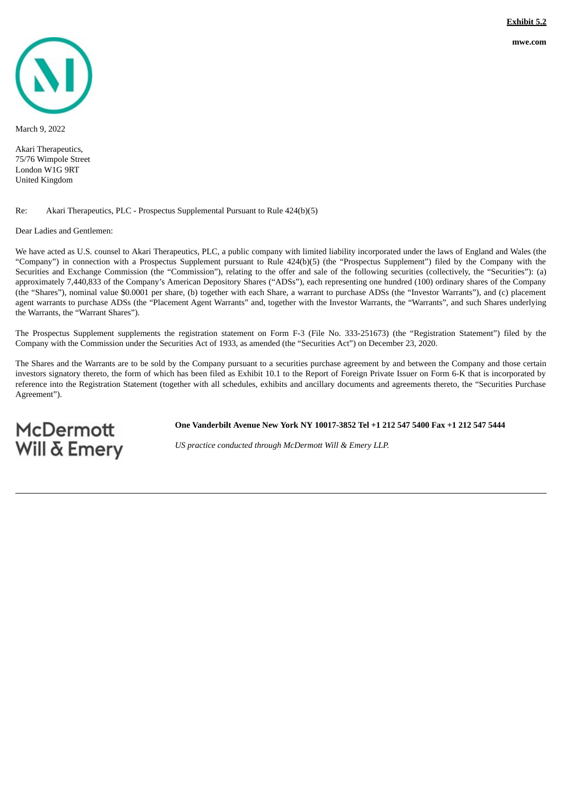<span id="page-8-0"></span>

March 9, 2022

Akari Therapeutics, 75/76 Wimpole Street London W1G 9RT United Kingdom

#### Re: Akari Therapeutics, PLC - Prospectus Supplemental Pursuant to Rule 424(b)(5)

Dear Ladies and Gentlemen:

**McDermott** Will & Emery

We have acted as U.S. counsel to Akari Therapeutics, PLC, a public company with limited liability incorporated under the laws of England and Wales (the "Company") in connection with a Prospectus Supplement pursuant to Rule 424(b)(5) (the "Prospectus Supplement") filed by the Company with the Securities and Exchange Commission (the "Commission"), relating to the offer and sale of the following securities (collectively, the "Securities"): (a) approximately 7,440,833 of the Company's American Depository Shares ("ADSs"), each representing one hundred (100) ordinary shares of the Company (the "Shares"), nominal value \$0.0001 per share, (b) together with each Share, a warrant to purchase ADSs (the "Investor Warrants"), and (c) placement agent warrants to purchase ADSs (the "Placement Agent Warrants" and, together with the Investor Warrants, the "Warrants", and such Shares underlying the Warrants, the "Warrant Shares").

The Prospectus Supplement supplements the registration statement on Form F-3 (File No. 333-251673) (the "Registration Statement") filed by the Company with the Commission under the Securities Act of 1933, as amended (the "Securities Act") on December 23, 2020.

The Shares and the Warrants are to be sold by the Company pursuant to a securities purchase agreement by and between the Company and those certain investors signatory thereto, the form of which has been filed as Exhibit 10.1 to the Report of Foreign Private Issuer on Form 6-K that is incorporated by reference into the Registration Statement (together with all schedules, exhibits and ancillary documents and agreements thereto, the "Securities Purchase Agreement").

**One Vanderbilt Avenue New York NY 10017-3852 Tel +1 212 547 5400 Fax +1 212 547 5444**

*US practice conducted through McDermott Will & Emery LLP.*

**mwe.com**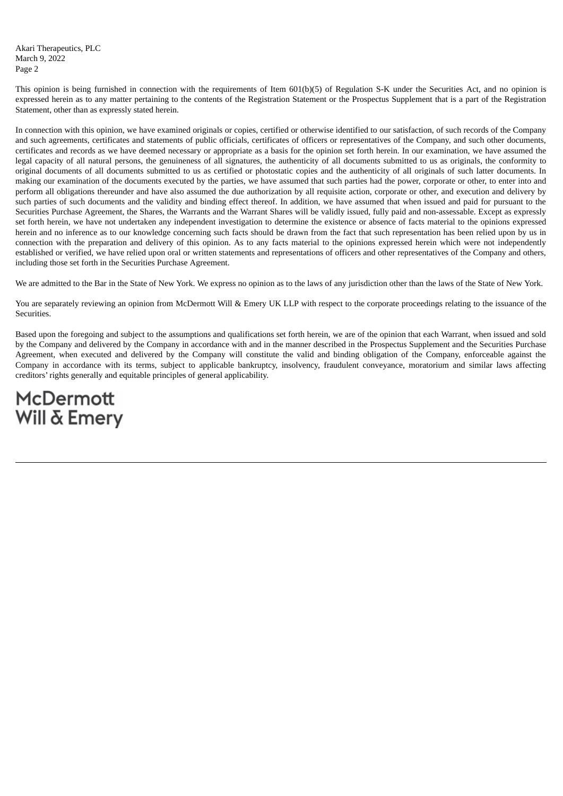Akari Therapeutics, PLC March 9, 2022 Page 2

This opinion is being furnished in connection with the requirements of Item 601(b)(5) of Regulation S-K under the Securities Act, and no opinion is expressed herein as to any matter pertaining to the contents of the Registration Statement or the Prospectus Supplement that is a part of the Registration Statement, other than as expressly stated herein.

In connection with this opinion, we have examined originals or copies, certified or otherwise identified to our satisfaction, of such records of the Company and such agreements, certificates and statements of public officials, certificates of officers or representatives of the Company, and such other documents, certificates and records as we have deemed necessary or appropriate as a basis for the opinion set forth herein. In our examination, we have assumed the legal capacity of all natural persons, the genuineness of all signatures, the authenticity of all documents submitted to us as originals, the conformity to original documents of all documents submitted to us as certified or photostatic copies and the authenticity of all originals of such latter documents. In making our examination of the documents executed by the parties, we have assumed that such parties had the power, corporate or other, to enter into and perform all obligations thereunder and have also assumed the due authorization by all requisite action, corporate or other, and execution and delivery by such parties of such documents and the validity and binding effect thereof. In addition, we have assumed that when issued and paid for pursuant to the Securities Purchase Agreement, the Shares, the Warrants and the Warrant Shares will be validly issued, fully paid and non-assessable. Except as expressly set forth herein, we have not undertaken any independent investigation to determine the existence or absence of facts material to the opinions expressed herein and no inference as to our knowledge concerning such facts should be drawn from the fact that such representation has been relied upon by us in connection with the preparation and delivery of this opinion. As to any facts material to the opinions expressed herein which were not independently established or verified, we have relied upon oral or written statements and representations of officers and other representatives of the Company and others, including those set forth in the Securities Purchase Agreement.

We are admitted to the Bar in the State of New York. We express no opinion as to the laws of any jurisdiction other than the laws of the State of New York.

You are separately reviewing an opinion from McDermott Will & Emery UK LLP with respect to the corporate proceedings relating to the issuance of the **Securities** 

Based upon the foregoing and subject to the assumptions and qualifications set forth herein, we are of the opinion that each Warrant, when issued and sold by the Company and delivered by the Company in accordance with and in the manner described in the Prospectus Supplement and the Securities Purchase Agreement, when executed and delivered by the Company will constitute the valid and binding obligation of the Company, enforceable against the Company in accordance with its terms, subject to applicable bankruptcy, insolvency, fraudulent conveyance, moratorium and similar laws affecting creditors' rights generally and equitable principles of general applicability.

# **McDermott** Will & Emery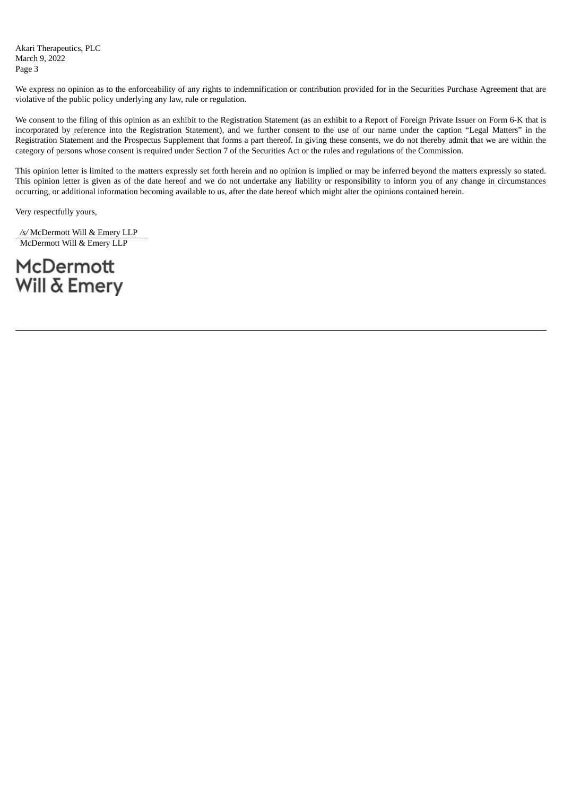Akari Therapeutics, PLC March 9, 2022 Page 3

We express no opinion as to the enforceability of any rights to indemnification or contribution provided for in the Securities Purchase Agreement that are violative of the public policy underlying any law, rule or regulation.

We consent to the filing of this opinion as an exhibit to the Registration Statement (as an exhibit to a Report of Foreign Private Issuer on Form 6-K that is incorporated by reference into the Registration Statement), and we further consent to the use of our name under the caption "Legal Matters" in the Registration Statement and the Prospectus Supplement that forms a part thereof. In giving these consents, we do not thereby admit that we are within the category of persons whose consent is required under Section 7 of the Securities Act or the rules and regulations of the Commission.

This opinion letter is limited to the matters expressly set forth herein and no opinion is implied or may be inferred beyond the matters expressly so stated. This opinion letter is given as of the date hereof and we do not undertake any liability or responsibility to inform you of any change in circumstances occurring, or additional information becoming available to us, after the date hereof which might alter the opinions contained herein.

Very respectfully yours,

*/s/* McDermott Will & Emery LLP McDermott Will & Emery LLP

**McDermott** Will & Emery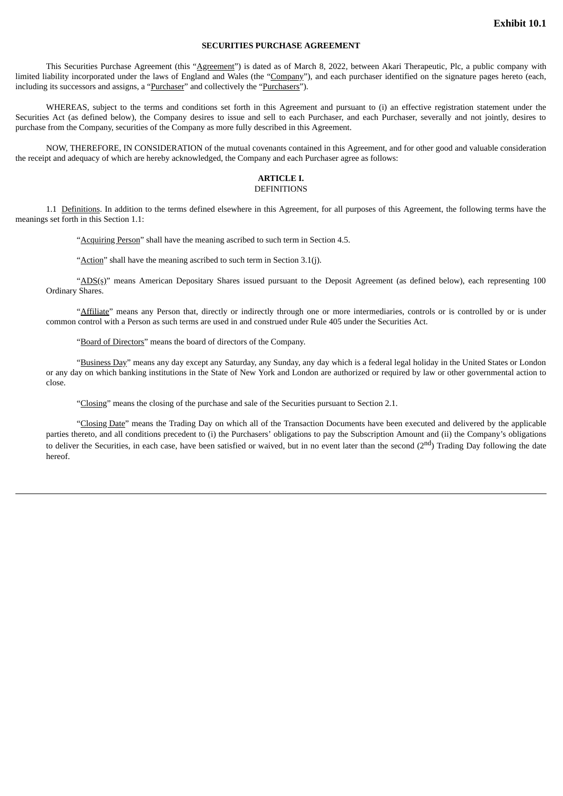## **SECURITIES PURCHASE AGREEMENT**

<span id="page-11-0"></span>This Securities Purchase Agreement (this "Agreement") is dated as of March 8, 2022, between Akari Therapeutic, Plc, a public company with limited liability incorporated under the laws of England and Wales (the "Company"), and each purchaser identified on the signature pages hereto (each, including its successors and assigns, a "Purchaser" and collectively the "Purchasers").

WHEREAS, subject to the terms and conditions set forth in this Agreement and pursuant to (i) an effective registration statement under the Securities Act (as defined below), the Company desires to issue and sell to each Purchaser, and each Purchaser, severally and not jointly, desires to purchase from the Company, securities of the Company as more fully described in this Agreement.

NOW, THEREFORE, IN CONSIDERATION of the mutual covenants contained in this Agreement, and for other good and valuable consideration the receipt and adequacy of which are hereby acknowledged, the Company and each Purchaser agree as follows:

#### **ARTICLE I.** DEFINITIONS

1.1 Definitions. In addition to the terms defined elsewhere in this Agreement, for all purposes of this Agreement, the following terms have the meanings set forth in this Section 1.1:

"Acquiring Person" shall have the meaning ascribed to such term in Section 4.5.

"Action" shall have the meaning ascribed to such term in Section 3.1(j).

"ADS(s)" means American Depositary Shares issued pursuant to the Deposit Agreement (as defined below), each representing 100 Ordinary Shares.

"Affiliate" means any Person that, directly or indirectly through one or more intermediaries, controls or is controlled by or is under common control with a Person as such terms are used in and construed under Rule 405 under the Securities Act.

"Board of Directors" means the board of directors of the Company.

"Business Day" means any day except any Saturday, any Sunday, any day which is a federal legal holiday in the United States or London or any day on which banking institutions in the State of New York and London are authorized or required by law or other governmental action to close.

"Closing" means the closing of the purchase and sale of the Securities pursuant to Section 2.1.

"Closing Date" means the Trading Day on which all of the Transaction Documents have been executed and delivered by the applicable parties thereto, and all conditions precedent to (i) the Purchasers' obligations to pay the Subscription Amount and (ii) the Company's obligations to deliver the Securities, in each case, have been satisfied or waived, but in no event later than the second (2<sup>nd</sup>) Trading Day following the date hereof.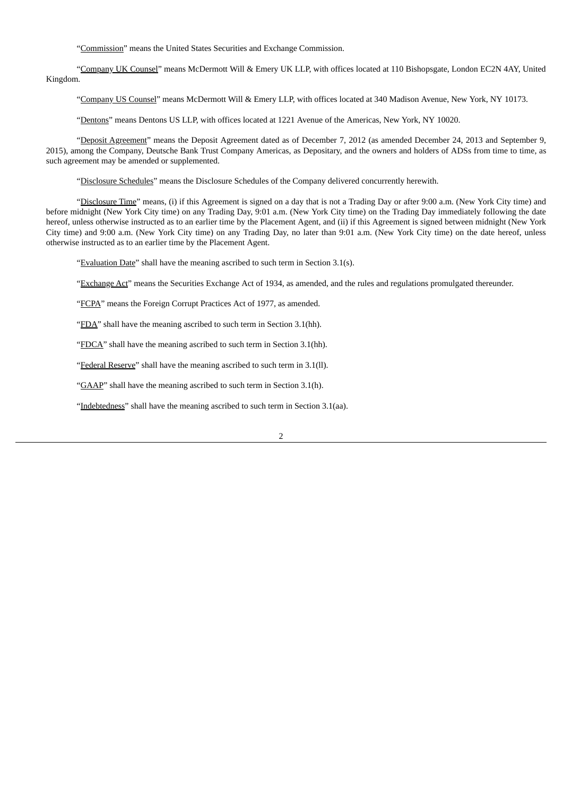"Commission" means the United States Securities and Exchange Commission.

"Company UK Counsel" means McDermott Will & Emery UK LLP, with offices located at 110 Bishopsgate, London EC2N 4AY, United Kingdom.

"Company US Counsel" means McDermott Will & Emery LLP, with offices located at 340 Madison Avenue, New York, NY 10173.

"Dentons" means Dentons US LLP, with offices located at 1221 Avenue of the Americas, New York, NY 10020.

"Deposit Agreement" means the Deposit Agreement dated as of December 7, 2012 (as amended December 24, 2013 and September 9, 2015), among the Company, Deutsche Bank Trust Company Americas, as Depositary, and the owners and holders of ADSs from time to time, as such agreement may be amended or supplemented.

"Disclosure Schedules" means the Disclosure Schedules of the Company delivered concurrently herewith.

"Disclosure Time" means, (i) if this Agreement is signed on a day that is not a Trading Day or after 9:00 a.m. (New York City time) and before midnight (New York City time) on any Trading Day, 9:01 a.m. (New York City time) on the Trading Day immediately following the date hereof, unless otherwise instructed as to an earlier time by the Placement Agent, and (ii) if this Agreement is signed between midnight (New York City time) and 9:00 a.m. (New York City time) on any Trading Day, no later than 9:01 a.m. (New York City time) on the date hereof, unless otherwise instructed as to an earlier time by the Placement Agent.

"Evaluation Date" shall have the meaning ascribed to such term in Section 3.1(s).

"Exchange Act" means the Securities Exchange Act of 1934, as amended, and the rules and regulations promulgated thereunder.

"FCPA" means the Foreign Corrupt Practices Act of 1977, as amended.

"FDA" shall have the meaning ascribed to such term in Section 3.1(hh).

"FDCA" shall have the meaning ascribed to such term in Section 3.1(hh).

"Federal Reserve" shall have the meaning ascribed to such term in 3.1(ll).

"GAAP" shall have the meaning ascribed to such term in Section 3.1(h).

"Indebtedness" shall have the meaning ascribed to such term in Section 3.1(aa).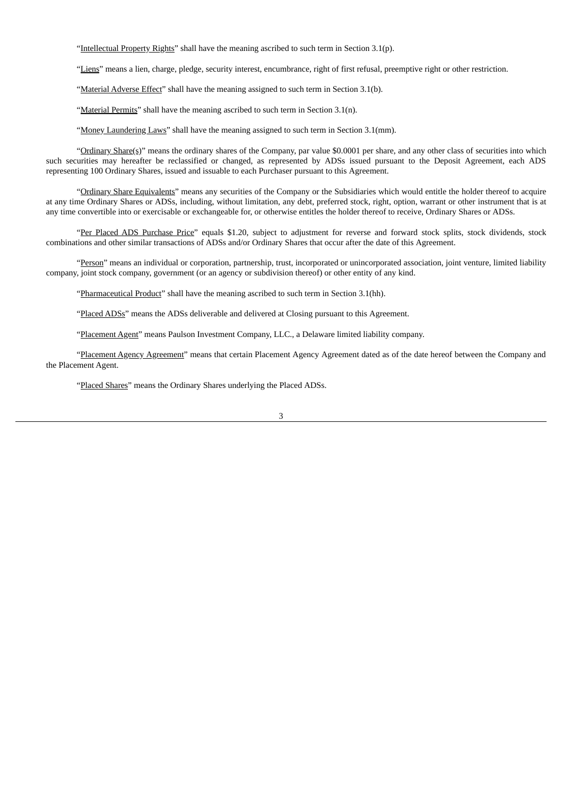"Intellectual Property Rights" shall have the meaning ascribed to such term in Section 3.1(p).

"Liens" means a lien, charge, pledge, security interest, encumbrance, right of first refusal, preemptive right or other restriction.

"Material Adverse Effect" shall have the meaning assigned to such term in Section 3.1(b).

"Material Permits" shall have the meaning ascribed to such term in Section 3.1(n).

"Money Laundering Laws" shall have the meaning assigned to such term in Section 3.1(mm).

"Ordinary Share(s)" means the ordinary shares of the Company, par value \$0.0001 per share, and any other class of securities into which such securities may hereafter be reclassified or changed, as represented by ADSs issued pursuant to the Deposit Agreement, each ADS representing 100 Ordinary Shares, issued and issuable to each Purchaser pursuant to this Agreement.

"Ordinary Share Equivalents" means any securities of the Company or the Subsidiaries which would entitle the holder thereof to acquire at any time Ordinary Shares or ADSs, including, without limitation, any debt, preferred stock, right, option, warrant or other instrument that is at any time convertible into or exercisable or exchangeable for, or otherwise entitles the holder thereof to receive, Ordinary Shares or ADSs.

"Per Placed ADS Purchase Price" equals \$1.20, subject to adjustment for reverse and forward stock splits, stock dividends, stock combinations and other similar transactions of ADSs and/or Ordinary Shares that occur after the date of this Agreement.

"Person" means an individual or corporation, partnership, trust, incorporated or unincorporated association, joint venture, limited liability company, joint stock company, government (or an agency or subdivision thereof) or other entity of any kind.

"Pharmaceutical Product" shall have the meaning ascribed to such term in Section 3.1(hh).

"Placed ADSs" means the ADSs deliverable and delivered at Closing pursuant to this Agreement.

"Placement Agent" means Paulson Investment Company, LLC., a Delaware limited liability company.

"Placement Agency Agreement" means that certain Placement Agency Agreement dated as of the date hereof between the Company and the Placement Agent.

"Placed Shares" means the Ordinary Shares underlying the Placed ADSs.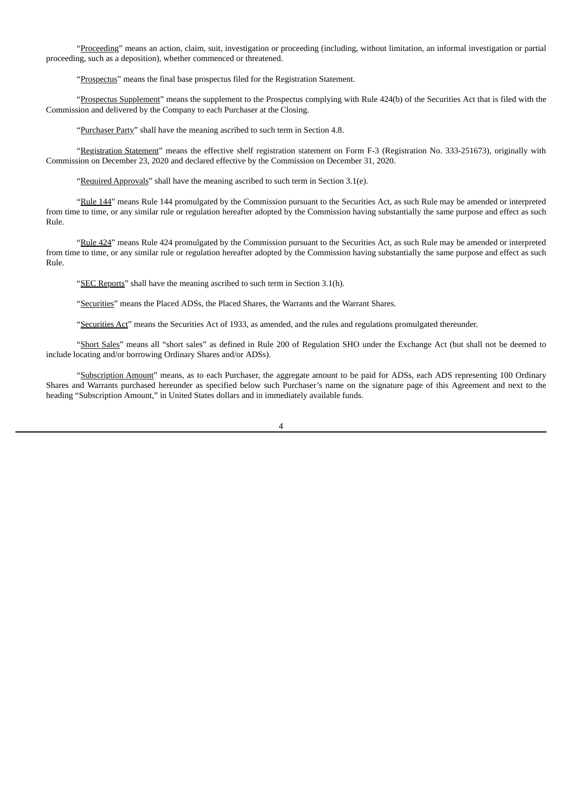"Proceeding" means an action, claim, suit, investigation or proceeding (including, without limitation, an informal investigation or partial proceeding, such as a deposition), whether commenced or threatened.

"Prospectus" means the final base prospectus filed for the Registration Statement.

"Prospectus Supplement" means the supplement to the Prospectus complying with Rule 424(b) of the Securities Act that is filed with the Commission and delivered by the Company to each Purchaser at the Closing.

"Purchaser Party" shall have the meaning ascribed to such term in Section 4.8.

"Registration Statement" means the effective shelf registration statement on Form F-3 (Registration No. 333-251673), originally with Commission on December 23, 2020 and declared effective by the Commission on December 31, 2020.

"Required Approvals" shall have the meaning ascribed to such term in Section 3.1(e).

"Rule 144" means Rule 144 promulgated by the Commission pursuant to the Securities Act, as such Rule may be amended or interpreted from time to time, or any similar rule or regulation hereafter adopted by the Commission having substantially the same purpose and effect as such Rule.

"Rule 424" means Rule 424 promulgated by the Commission pursuant to the Securities Act, as such Rule may be amended or interpreted from time to time, or any similar rule or regulation hereafter adopted by the Commission having substantially the same purpose and effect as such Rule.

"SEC Reports" shall have the meaning ascribed to such term in Section 3.1(h).

"Securities" means the Placed ADSs, the Placed Shares, the Warrants and the Warrant Shares.

"Securities Act" means the Securities Act of 1933, as amended, and the rules and regulations promulgated thereunder.

"Short Sales" means all "short sales" as defined in Rule 200 of Regulation SHO under the Exchange Act (but shall not be deemed to include locating and/or borrowing Ordinary Shares and/or ADSs).

"Subscription Amount" means, as to each Purchaser, the aggregate amount to be paid for ADSs, each ADS representing 100 Ordinary Shares and Warrants purchased hereunder as specified below such Purchaser's name on the signature page of this Agreement and next to the heading "Subscription Amount," in United States dollars and in immediately available funds.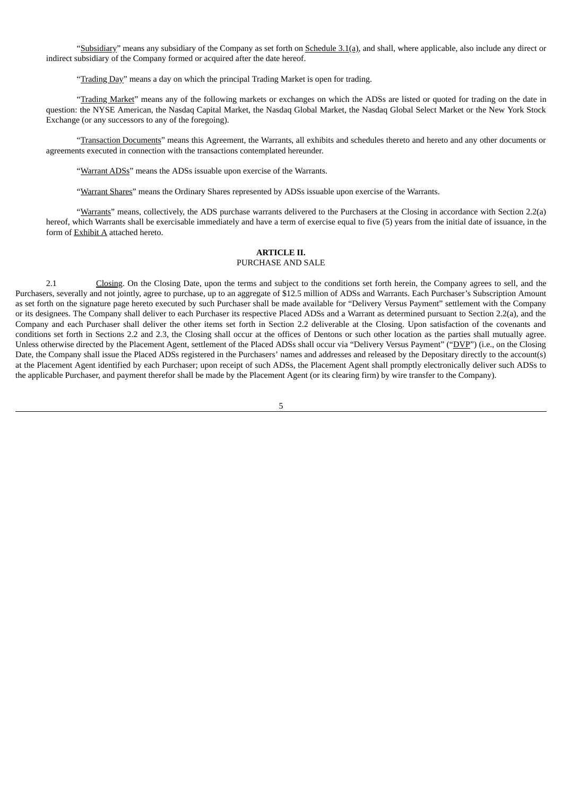"Subsidiary" means any subsidiary of the Company as set forth on Schedule 3.1(a), and shall, where applicable, also include any direct or indirect subsidiary of the Company formed or acquired after the date hereof.

"Trading Day" means a day on which the principal Trading Market is open for trading.

"Trading Market" means any of the following markets or exchanges on which the ADSs are listed or quoted for trading on the date in question: the NYSE American, the Nasdaq Capital Market, the Nasdaq Global Market, the Nasdaq Global Select Market or the New York Stock Exchange (or any successors to any of the foregoing).

"Transaction Documents" means this Agreement, the Warrants, all exhibits and schedules thereto and hereto and any other documents or agreements executed in connection with the transactions contemplated hereunder.

"Warrant ADSs" means the ADSs issuable upon exercise of the Warrants.

"Warrant Shares" means the Ordinary Shares represented by ADSs issuable upon exercise of the Warrants.

"Warrants" means, collectively, the ADS purchase warrants delivered to the Purchasers at the Closing in accordance with Section 2.2(a) hereof, which Warrants shall be exercisable immediately and have a term of exercise equal to five (5) years from the initial date of issuance, in the form of Exhibit A attached hereto.

## **ARTICLE II.**

## PURCHASE AND SALE

2.1 Closing. On the Closing Date, upon the terms and subject to the conditions set forth herein, the Company agrees to sell, and the Purchasers, severally and not jointly, agree to purchase, up to an aggregate of \$12.5 million of ADSs and Warrants. Each Purchaser's Subscription Amount as set forth on the signature page hereto executed by such Purchaser shall be made available for "Delivery Versus Payment" settlement with the Company or its designees. The Company shall deliver to each Purchaser its respective Placed ADSs and a Warrant as determined pursuant to Section 2.2(a), and the Company and each Purchaser shall deliver the other items set forth in Section 2.2 deliverable at the Closing. Upon satisfaction of the covenants and conditions set forth in Sections 2.2 and 2.3, the Closing shall occur at the offices of Dentons or such other location as the parties shall mutually agree. Unless otherwise directed by the Placement Agent, settlement of the Placed ADSs shall occur via "Delivery Versus Payment" ("DVP") (i.e., on the Closing Date, the Company shall issue the Placed ADSs registered in the Purchasers' names and addresses and released by the Depositary directly to the account(s) at the Placement Agent identified by each Purchaser; upon receipt of such ADSs, the Placement Agent shall promptly electronically deliver such ADSs to the applicable Purchaser, and payment therefor shall be made by the Placement Agent (or its clearing firm) by wire transfer to the Company).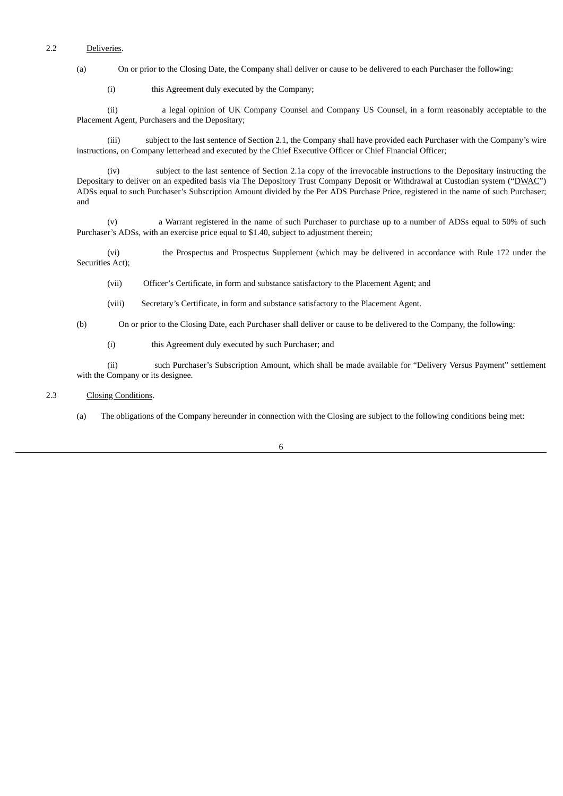# 2.2 Deliveries.

(a) On or prior to the Closing Date, the Company shall deliver or cause to be delivered to each Purchaser the following:

(i) this Agreement duly executed by the Company;

(ii) a legal opinion of UK Company Counsel and Company US Counsel, in a form reasonably acceptable to the Placement Agent, Purchasers and the Depositary;

(iii) subject to the last sentence of Section 2.1, the Company shall have provided each Purchaser with the Company's wire instructions, on Company letterhead and executed by the Chief Executive Officer or Chief Financial Officer;

(iv) subject to the last sentence of Section 2.1a copy of the irrevocable instructions to the Depositary instructing the Depositary to deliver on an expedited basis via The Depository Trust Company Deposit or Withdrawal at Custodian system ("DWAC") ADSs equal to such Purchaser's Subscription Amount divided by the Per ADS Purchase Price, registered in the name of such Purchaser; and

(v) a Warrant registered in the name of such Purchaser to purchase up to a number of ADSs equal to 50% of such Purchaser's ADSs, with an exercise price equal to \$1.40, subject to adjustment therein;

(vi) the Prospectus and Prospectus Supplement (which may be delivered in accordance with Rule 172 under the Securities Act);

(vii) Officer's Certificate, in form and substance satisfactory to the Placement Agent; and

(viii) Secretary's Certificate, in form and substance satisfactory to the Placement Agent.

(b) On or prior to the Closing Date, each Purchaser shall deliver or cause to be delivered to the Company, the following:

(i) this Agreement duly executed by such Purchaser; and

(ii) such Purchaser's Subscription Amount, which shall be made available for "Delivery Versus Payment" settlement with the Company or its designee.

# 2.3 Closing Conditions.

(a) The obligations of the Company hereunder in connection with the Closing are subject to the following conditions being met: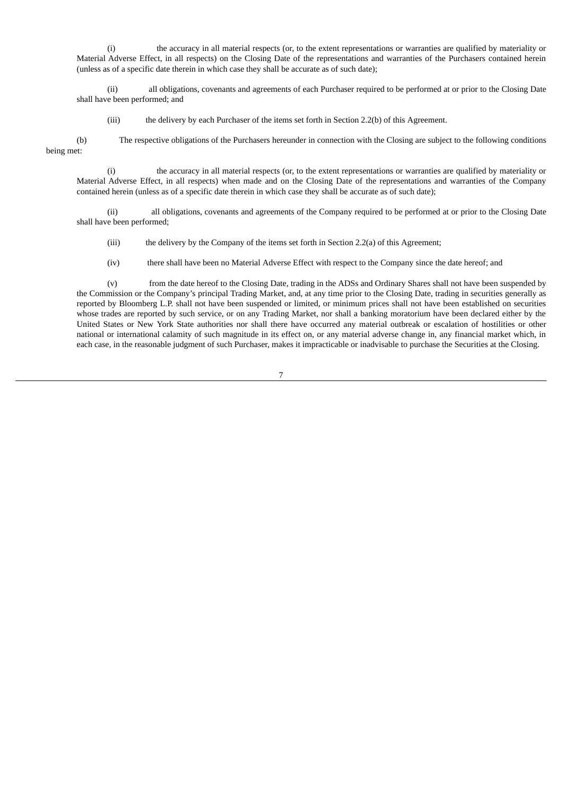(i) the accuracy in all material respects (or, to the extent representations or warranties are qualified by materiality or Material Adverse Effect, in all respects) on the Closing Date of the representations and warranties of the Purchasers contained herein (unless as of a specific date therein in which case they shall be accurate as of such date);

(ii) all obligations, covenants and agreements of each Purchaser required to be performed at or prior to the Closing Date shall have been performed; and

(iii) the delivery by each Purchaser of the items set forth in Section 2.2(b) of this Agreement.

(b) The respective obligations of the Purchasers hereunder in connection with the Closing are subject to the following conditions being met:

(i) the accuracy in all material respects (or, to the extent representations or warranties are qualified by materiality or Material Adverse Effect, in all respects) when made and on the Closing Date of the representations and warranties of the Company contained herein (unless as of a specific date therein in which case they shall be accurate as of such date);

(ii) all obligations, covenants and agreements of the Company required to be performed at or prior to the Closing Date shall have been performed;

(iii) the delivery by the Company of the items set forth in Section 2.2(a) of this Agreement;

(iv) there shall have been no Material Adverse Effect with respect to the Company since the date hereof; and

(v) from the date hereof to the Closing Date, trading in the ADSs and Ordinary Shares shall not have been suspended by the Commission or the Company's principal Trading Market, and, at any time prior to the Closing Date, trading in securities generally as reported by Bloomberg L.P. shall not have been suspended or limited, or minimum prices shall not have been established on securities whose trades are reported by such service, or on any Trading Market, nor shall a banking moratorium have been declared either by the United States or New York State authorities nor shall there have occurred any material outbreak or escalation of hostilities or other national or international calamity of such magnitude in its effect on, or any material adverse change in, any financial market which, in each case, in the reasonable judgment of such Purchaser, makes it impracticable or inadvisable to purchase the Securities at the Closing.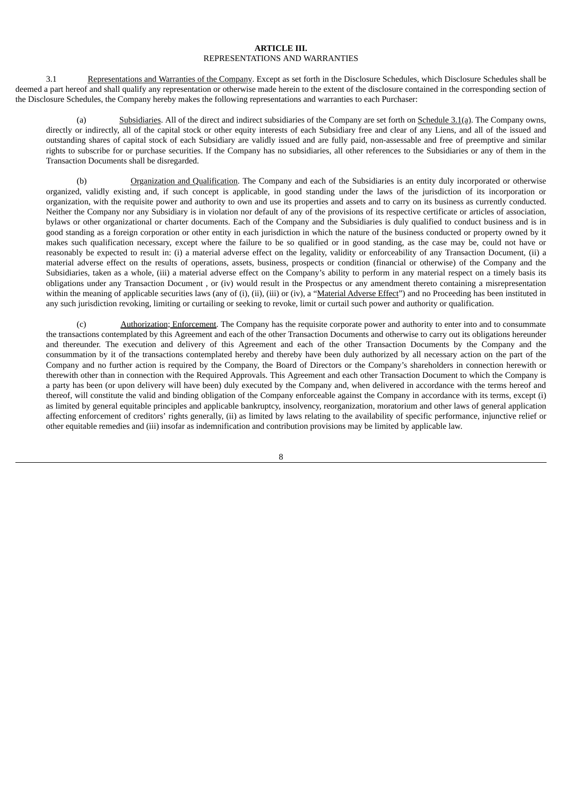#### **ARTICLE III.** REPRESENTATIONS AND WARRANTIES

3.1 Representations and Warranties of the Company. Except as set forth in the Disclosure Schedules, which Disclosure Schedules shall be deemed a part hereof and shall qualify any representation or otherwise made herein to the extent of the disclosure contained in the corresponding section of the Disclosure Schedules, the Company hereby makes the following representations and warranties to each Purchaser:

(a) Subsidiaries. All of the direct and indirect subsidiaries of the Company are set forth on Schedule 3.1(a). The Company owns, directly or indirectly, all of the capital stock or other equity interests of each Subsidiary free and clear of any Liens, and all of the issued and outstanding shares of capital stock of each Subsidiary are validly issued and are fully paid, non-assessable and free of preemptive and similar rights to subscribe for or purchase securities. If the Company has no subsidiaries, all other references to the Subsidiaries or any of them in the Transaction Documents shall be disregarded.

(b) Organization and Qualification. The Company and each of the Subsidiaries is an entity duly incorporated or otherwise organized, validly existing and, if such concept is applicable, in good standing under the laws of the jurisdiction of its incorporation or organization, with the requisite power and authority to own and use its properties and assets and to carry on its business as currently conducted. Neither the Company nor any Subsidiary is in violation nor default of any of the provisions of its respective certificate or articles of association, bylaws or other organizational or charter documents. Each of the Company and the Subsidiaries is duly qualified to conduct business and is in good standing as a foreign corporation or other entity in each jurisdiction in which the nature of the business conducted or property owned by it makes such qualification necessary, except where the failure to be so qualified or in good standing, as the case may be, could not have or reasonably be expected to result in: (i) a material adverse effect on the legality, validity or enforceability of any Transaction Document, (ii) a material adverse effect on the results of operations, assets, business, prospects or condition (financial or otherwise) of the Company and the Subsidiaries, taken as a whole, (iii) a material adverse effect on the Company's ability to perform in any material respect on a timely basis its obligations under any Transaction Document , or (iv) would result in the Prospectus or any amendment thereto containing a misrepresentation within the meaning of applicable securities laws (any of (i), (ii), (iii) or (iv), a "Material Adverse Effect") and no Proceeding has been instituted in any such jurisdiction revoking, limiting or curtailing or seeking to revoke, limit or curtail such power and authority or qualification.

(c) Authorization; Enforcement. The Company has the requisite corporate power and authority to enter into and to consummate the transactions contemplated by this Agreement and each of the other Transaction Documents and otherwise to carry out its obligations hereunder and thereunder. The execution and delivery of this Agreement and each of the other Transaction Documents by the Company and the consummation by it of the transactions contemplated hereby and thereby have been duly authorized by all necessary action on the part of the Company and no further action is required by the Company, the Board of Directors or the Company's shareholders in connection herewith or therewith other than in connection with the Required Approvals. This Agreement and each other Transaction Document to which the Company is a party has been (or upon delivery will have been) duly executed by the Company and, when delivered in accordance with the terms hereof and thereof, will constitute the valid and binding obligation of the Company enforceable against the Company in accordance with its terms, except (i) as limited by general equitable principles and applicable bankruptcy, insolvency, reorganization, moratorium and other laws of general application affecting enforcement of creditors' rights generally, (ii) as limited by laws relating to the availability of specific performance, injunctive relief or other equitable remedies and (iii) insofar as indemnification and contribution provisions may be limited by applicable law.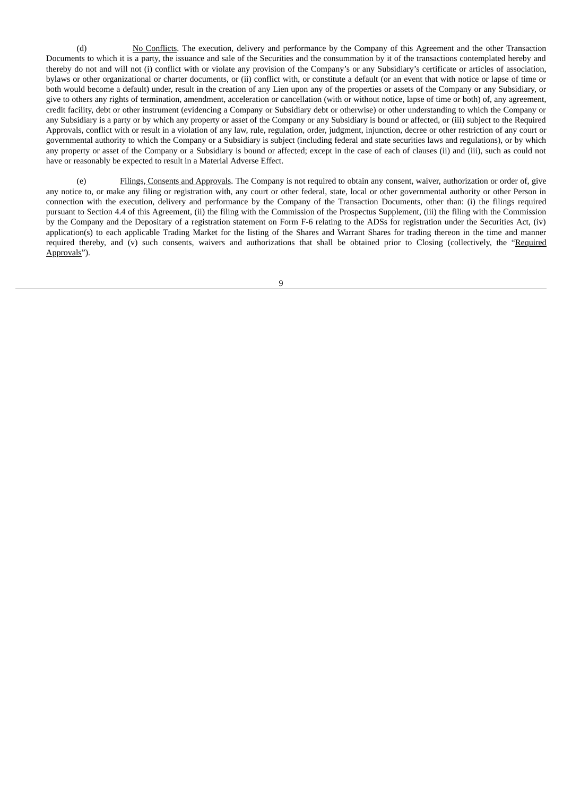(d) No Conflicts. The execution, delivery and performance by the Company of this Agreement and the other Transaction Documents to which it is a party, the issuance and sale of the Securities and the consummation by it of the transactions contemplated hereby and thereby do not and will not (i) conflict with or violate any provision of the Company's or any Subsidiary's certificate or articles of association, bylaws or other organizational or charter documents, or (ii) conflict with, or constitute a default (or an event that with notice or lapse of time or both would become a default) under, result in the creation of any Lien upon any of the properties or assets of the Company or any Subsidiary, or give to others any rights of termination, amendment, acceleration or cancellation (with or without notice, lapse of time or both) of, any agreement, credit facility, debt or other instrument (evidencing a Company or Subsidiary debt or otherwise) or other understanding to which the Company or any Subsidiary is a party or by which any property or asset of the Company or any Subsidiary is bound or affected, or (iii) subject to the Required Approvals, conflict with or result in a violation of any law, rule, regulation, order, judgment, injunction, decree or other restriction of any court or governmental authority to which the Company or a Subsidiary is subject (including federal and state securities laws and regulations), or by which any property or asset of the Company or a Subsidiary is bound or affected; except in the case of each of clauses (ii) and (iii), such as could not have or reasonably be expected to result in a Material Adverse Effect.

(e) Filings, Consents and Approvals. The Company is not required to obtain any consent, waiver, authorization or order of, give any notice to, or make any filing or registration with, any court or other federal, state, local or other governmental authority or other Person in connection with the execution, delivery and performance by the Company of the Transaction Documents, other than: (i) the filings required pursuant to Section 4.4 of this Agreement, (ii) the filing with the Commission of the Prospectus Supplement, (iii) the filing with the Commission by the Company and the Depositary of a registration statement on Form F-6 relating to the ADSs for registration under the Securities Act, (iv) application(s) to each applicable Trading Market for the listing of the Shares and Warrant Shares for trading thereon in the time and manner required thereby, and (v) such consents, waivers and authorizations that shall be obtained prior to Closing (collectively, the "Required Approvals").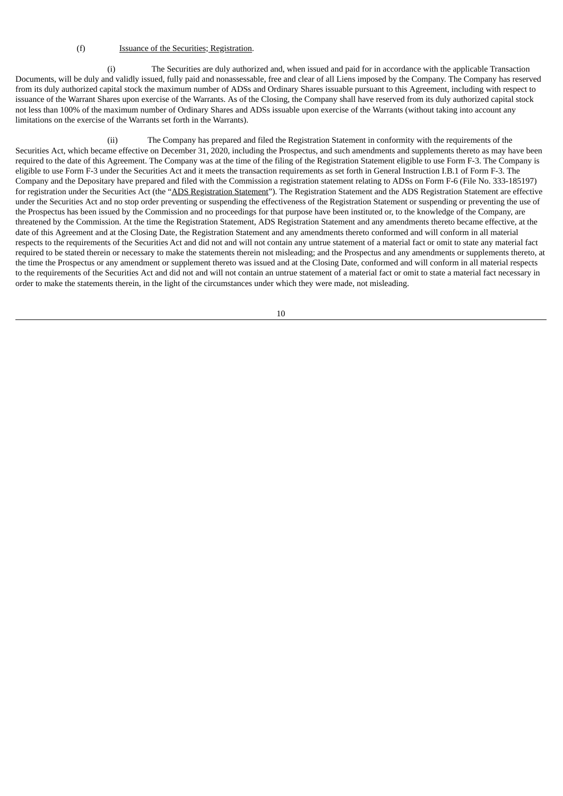#### (f) Issuance of the Securities; Registration.

(i) The Securities are duly authorized and, when issued and paid for in accordance with the applicable Transaction Documents, will be duly and validly issued, fully paid and nonassessable, free and clear of all Liens imposed by the Company. The Company has reserved from its duly authorized capital stock the maximum number of ADSs and Ordinary Shares issuable pursuant to this Agreement, including with respect to issuance of the Warrant Shares upon exercise of the Warrants. As of the Closing, the Company shall have reserved from its duly authorized capital stock not less than 100% of the maximum number of Ordinary Shares and ADSs issuable upon exercise of the Warrants (without taking into account any limitations on the exercise of the Warrants set forth in the Warrants).

(ii) The Company has prepared and filed the Registration Statement in conformity with the requirements of the Securities Act, which became effective on December 31, 2020, including the Prospectus, and such amendments and supplements thereto as may have been required to the date of this Agreement. The Company was at the time of the filing of the Registration Statement eligible to use Form F-3. The Company is eligible to use Form F-3 under the Securities Act and it meets the transaction requirements as set forth in General Instruction I.B.1 of Form F-3. The Company and the Depositary have prepared and filed with the Commission a registration statement relating to ADSs on Form F-6 (File No. 333-185197) for registration under the Securities Act (the "ADS Registration Statement"). The Registration Statement and the ADS Registration Statement are effective under the Securities Act and no stop order preventing or suspending the effectiveness of the Registration Statement or suspending or preventing the use of the Prospectus has been issued by the Commission and no proceedings for that purpose have been instituted or, to the knowledge of the Company, are threatened by the Commission. At the time the Registration Statement, ADS Registration Statement and any amendments thereto became effective, at the date of this Agreement and at the Closing Date, the Registration Statement and any amendments thereto conformed and will conform in all material respects to the requirements of the Securities Act and did not and will not contain any untrue statement of a material fact or omit to state any material fact required to be stated therein or necessary to make the statements therein not misleading; and the Prospectus and any amendments or supplements thereto, at the time the Prospectus or any amendment or supplement thereto was issued and at the Closing Date, conformed and will conform in all material respects to the requirements of the Securities Act and did not and will not contain an untrue statement of a material fact or omit to state a material fact necessary in order to make the statements therein, in the light of the circumstances under which they were made, not misleading.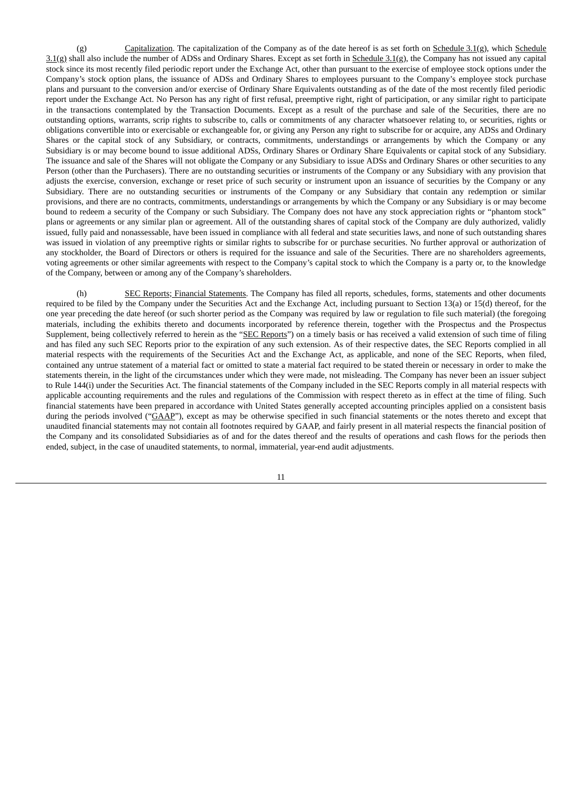$\zeta$  Capitalization. The capitalization of the Company as of the date hereof is as set forth on Schedule 3.1(g), which Schedule 3.1(g) shall also include the number of ADSs and Ordinary Shares. Except as set forth in Schedule 3.1(g), the Company has not issued any capital stock since its most recently filed periodic report under the Exchange Act, other than pursuant to the exercise of employee stock options under the Company's stock option plans, the issuance of ADSs and Ordinary Shares to employees pursuant to the Company's employee stock purchase plans and pursuant to the conversion and/or exercise of Ordinary Share Equivalents outstanding as of the date of the most recently filed periodic report under the Exchange Act. No Person has any right of first refusal, preemptive right, right of participation, or any similar right to participate in the transactions contemplated by the Transaction Documents. Except as a result of the purchase and sale of the Securities, there are no outstanding options, warrants, scrip rights to subscribe to, calls or commitments of any character whatsoever relating to, or securities, rights or obligations convertible into or exercisable or exchangeable for, or giving any Person any right to subscribe for or acquire, any ADSs and Ordinary Shares or the capital stock of any Subsidiary, or contracts, commitments, understandings or arrangements by which the Company or any Subsidiary is or may become bound to issue additional ADSs, Ordinary Shares or Ordinary Share Equivalents or capital stock of any Subsidiary. The issuance and sale of the Shares will not obligate the Company or any Subsidiary to issue ADSs and Ordinary Shares or other securities to any Person (other than the Purchasers). There are no outstanding securities or instruments of the Company or any Subsidiary with any provision that adjusts the exercise, conversion, exchange or reset price of such security or instrument upon an issuance of securities by the Company or any Subsidiary. There are no outstanding securities or instruments of the Company or any Subsidiary that contain any redemption or similar provisions, and there are no contracts, commitments, understandings or arrangements by which the Company or any Subsidiary is or may become bound to redeem a security of the Company or such Subsidiary. The Company does not have any stock appreciation rights or "phantom stock" plans or agreements or any similar plan or agreement. All of the outstanding shares of capital stock of the Company are duly authorized, validly issued, fully paid and nonassessable, have been issued in compliance with all federal and state securities laws, and none of such outstanding shares was issued in violation of any preemptive rights or similar rights to subscribe for or purchase securities. No further approval or authorization of any stockholder, the Board of Directors or others is required for the issuance and sale of the Securities. There are no shareholders agreements, voting agreements or other similar agreements with respect to the Company's capital stock to which the Company is a party or, to the knowledge of the Company, between or among any of the Company's shareholders.

(h) SEC Reports; Financial Statements. The Company has filed all reports, schedules, forms, statements and other documents required to be filed by the Company under the Securities Act and the Exchange Act, including pursuant to Section 13(a) or 15(d) thereof, for the one year preceding the date hereof (or such shorter period as the Company was required by law or regulation to file such material) (the foregoing materials, including the exhibits thereto and documents incorporated by reference therein, together with the Prospectus and the Prospectus Supplement, being collectively referred to herein as the "SEC Reports") on a timely basis or has received a valid extension of such time of filing and has filed any such SEC Reports prior to the expiration of any such extension. As of their respective dates, the SEC Reports complied in all material respects with the requirements of the Securities Act and the Exchange Act, as applicable, and none of the SEC Reports, when filed, contained any untrue statement of a material fact or omitted to state a material fact required to be stated therein or necessary in order to make the statements therein, in the light of the circumstances under which they were made, not misleading. The Company has never been an issuer subject to Rule 144(i) under the Securities Act. The financial statements of the Company included in the SEC Reports comply in all material respects with applicable accounting requirements and the rules and regulations of the Commission with respect thereto as in effect at the time of filing. Such financial statements have been prepared in accordance with United States generally accepted accounting principles applied on a consistent basis during the periods involved ("GAAP"), except as may be otherwise specified in such financial statements or the notes thereto and except that unaudited financial statements may not contain all footnotes required by GAAP, and fairly present in all material respects the financial position of the Company and its consolidated Subsidiaries as of and for the dates thereof and the results of operations and cash flows for the periods then ended, subject, in the case of unaudited statements, to normal, immaterial, year-end audit adjustments.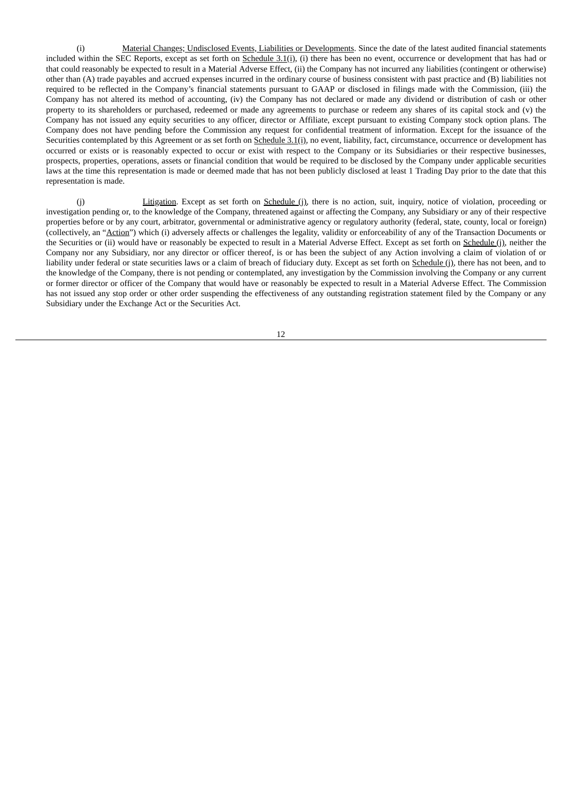(i) Material Changes; Undisclosed Events, Liabilities or Developments. Since the date of the latest audited financial statements included within the SEC Reports, except as set forth on Schedule 3.1(i), (i) there has been no event, occurrence or development that has had or that could reasonably be expected to result in a Material Adverse Effect, (ii) the Company has not incurred any liabilities (contingent or otherwise) other than (A) trade payables and accrued expenses incurred in the ordinary course of business consistent with past practice and (B) liabilities not required to be reflected in the Company's financial statements pursuant to GAAP or disclosed in filings made with the Commission, (iii) the Company has not altered its method of accounting, (iv) the Company has not declared or made any dividend or distribution of cash or other property to its shareholders or purchased, redeemed or made any agreements to purchase or redeem any shares of its capital stock and (v) the Company has not issued any equity securities to any officer, director or Affiliate, except pursuant to existing Company stock option plans. The Company does not have pending before the Commission any request for confidential treatment of information. Except for the issuance of the Securities contemplated by this Agreement or as set forth on Schedule 3.1(i), no event, liability, fact, circumstance, occurrence or development has occurred or exists or is reasonably expected to occur or exist with respect to the Company or its Subsidiaries or their respective businesses, prospects, properties, operations, assets or financial condition that would be required to be disclosed by the Company under applicable securities laws at the time this representation is made or deemed made that has not been publicly disclosed at least 1 Trading Day prior to the date that this representation is made.

(j) Litigation. Except as set forth on Schedule (j), there is no action, suit, inquiry, notice of violation, proceeding or investigation pending or, to the knowledge of the Company, threatened against or affecting the Company, any Subsidiary or any of their respective properties before or by any court, arbitrator, governmental or administrative agency or regulatory authority (federal, state, county, local or foreign) (collectively, an "Action") which (i) adversely affects or challenges the legality, validity or enforceability of any of the Transaction Documents or the Securities or (ii) would have or reasonably be expected to result in a Material Adverse Effect. Except as set forth on **Schedule (j)**, neither the Company nor any Subsidiary, nor any director or officer thereof, is or has been the subject of any Action involving a claim of violation of or liability under federal or state securities laws or a claim of breach of fiduciary duty. Except as set forth on Schedule (j), there has not been, and to the knowledge of the Company, there is not pending or contemplated, any investigation by the Commission involving the Company or any current or former director or officer of the Company that would have or reasonably be expected to result in a Material Adverse Effect. The Commission has not issued any stop order or other order suspending the effectiveness of any outstanding registration statement filed by the Company or any Subsidiary under the Exchange Act or the Securities Act.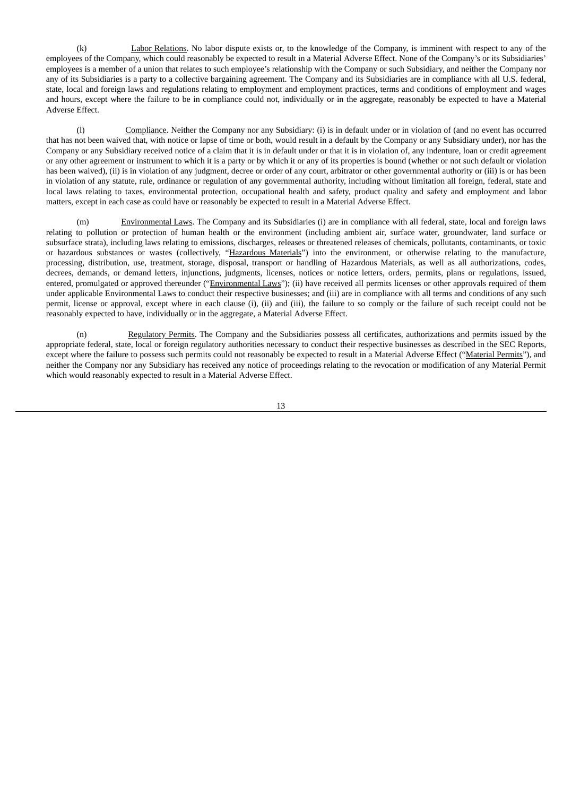(k) Labor Relations. No labor dispute exists or, to the knowledge of the Company, is imminent with respect to any of the employees of the Company, which could reasonably be expected to result in a Material Adverse Effect. None of the Company's or its Subsidiaries' employees is a member of a union that relates to such employee's relationship with the Company or such Subsidiary, and neither the Company nor any of its Subsidiaries is a party to a collective bargaining agreement. The Company and its Subsidiaries are in compliance with all U.S. federal, state, local and foreign laws and regulations relating to employment and employment practices, terms and conditions of employment and wages and hours, except where the failure to be in compliance could not, individually or in the aggregate, reasonably be expected to have a Material Adverse Effect.

(l) Compliance. Neither the Company nor any Subsidiary: (i) is in default under or in violation of (and no event has occurred that has not been waived that, with notice or lapse of time or both, would result in a default by the Company or any Subsidiary under), nor has the Company or any Subsidiary received notice of a claim that it is in default under or that it is in violation of, any indenture, loan or credit agreement or any other agreement or instrument to which it is a party or by which it or any of its properties is bound (whether or not such default or violation has been waived), (ii) is in violation of any judgment, decree or order of any court, arbitrator or other governmental authority or (iii) is or has been in violation of any statute, rule, ordinance or regulation of any governmental authority, including without limitation all foreign, federal, state and local laws relating to taxes, environmental protection, occupational health and safety, product quality and safety and employment and labor matters, except in each case as could have or reasonably be expected to result in a Material Adverse Effect.

(m) Environmental Laws. The Company and its Subsidiaries (i) are in compliance with all federal, state, local and foreign laws relating to pollution or protection of human health or the environment (including ambient air, surface water, groundwater, land surface or subsurface strata), including laws relating to emissions, discharges, releases or threatened releases of chemicals, pollutants, contaminants, or toxic or hazardous substances or wastes (collectively, "Hazardous Materials") into the environment, or otherwise relating to the manufacture, processing, distribution, use, treatment, storage, disposal, transport or handling of Hazardous Materials, as well as all authorizations, codes, decrees, demands, or demand letters, injunctions, judgments, licenses, notices or notice letters, orders, permits, plans or regulations, issued, entered, promulgated or approved thereunder ("Environmental Laws"); (ii) have received all permits licenses or other approvals required of them under applicable Environmental Laws to conduct their respective businesses; and (iii) are in compliance with all terms and conditions of any such permit, license or approval, except where in each clause (i), (ii) and (iii), the failure to so comply or the failure of such receipt could not be reasonably expected to have, individually or in the aggregate, a Material Adverse Effect.

(n) Regulatory Permits. The Company and the Subsidiaries possess all certificates, authorizations and permits issued by the appropriate federal, state, local or foreign regulatory authorities necessary to conduct their respective businesses as described in the SEC Reports, except where the failure to possess such permits could not reasonably be expected to result in a Material Adverse Effect ("Material Permits"), and neither the Company nor any Subsidiary has received any notice of proceedings relating to the revocation or modification of any Material Permit which would reasonably expected to result in a Material Adverse Effect.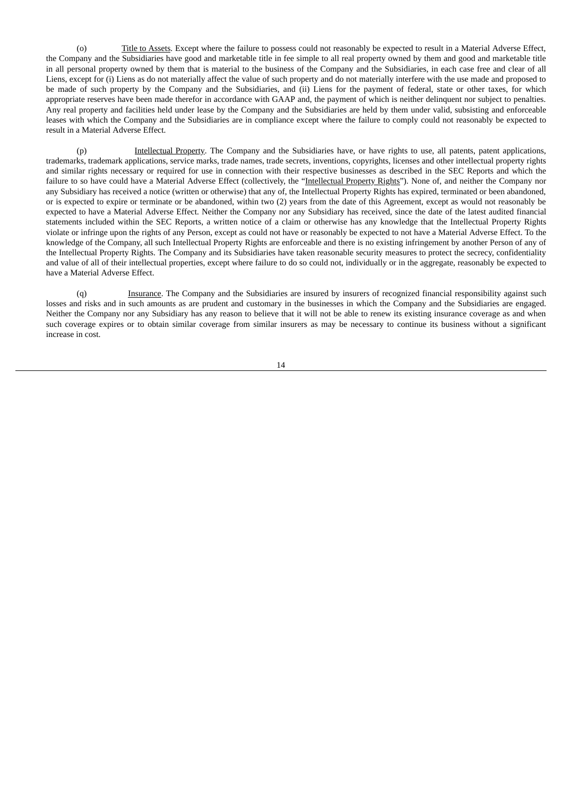(o) Title to Assets. Except where the failure to possess could not reasonably be expected to result in a Material Adverse Effect, the Company and the Subsidiaries have good and marketable title in fee simple to all real property owned by them and good and marketable title in all personal property owned by them that is material to the business of the Company and the Subsidiaries, in each case free and clear of all Liens, except for (i) Liens as do not materially affect the value of such property and do not materially interfere with the use made and proposed to be made of such property by the Company and the Subsidiaries, and (ii) Liens for the payment of federal, state or other taxes, for which appropriate reserves have been made therefor in accordance with GAAP and, the payment of which is neither delinquent nor subject to penalties. Any real property and facilities held under lease by the Company and the Subsidiaries are held by them under valid, subsisting and enforceable leases with which the Company and the Subsidiaries are in compliance except where the failure to comply could not reasonably be expected to result in a Material Adverse Effect.

(p) Intellectual Property. The Company and the Subsidiaries have, or have rights to use, all patents, patent applications, trademarks, trademark applications, service marks, trade names, trade secrets, inventions, copyrights, licenses and other intellectual property rights and similar rights necessary or required for use in connection with their respective businesses as described in the SEC Reports and which the failure to so have could have a Material Adverse Effect (collectively, the "Intellectual Property Rights"). None of, and neither the Company nor any Subsidiary has received a notice (written or otherwise) that any of, the Intellectual Property Rights has expired, terminated or been abandoned, or is expected to expire or terminate or be abandoned, within two (2) years from the date of this Agreement, except as would not reasonably be expected to have a Material Adverse Effect. Neither the Company nor any Subsidiary has received, since the date of the latest audited financial statements included within the SEC Reports, a written notice of a claim or otherwise has any knowledge that the Intellectual Property Rights violate or infringe upon the rights of any Person, except as could not have or reasonably be expected to not have a Material Adverse Effect. To the knowledge of the Company, all such Intellectual Property Rights are enforceable and there is no existing infringement by another Person of any of the Intellectual Property Rights. The Company and its Subsidiaries have taken reasonable security measures to protect the secrecy, confidentiality and value of all of their intellectual properties, except where failure to do so could not, individually or in the aggregate, reasonably be expected to have a Material Adverse Effect.

(q) Insurance. The Company and the Subsidiaries are insured by insurers of recognized financial responsibility against such losses and risks and in such amounts as are prudent and customary in the businesses in which the Company and the Subsidiaries are engaged. Neither the Company nor any Subsidiary has any reason to believe that it will not be able to renew its existing insurance coverage as and when such coverage expires or to obtain similar coverage from similar insurers as may be necessary to continue its business without a significant increase in cost.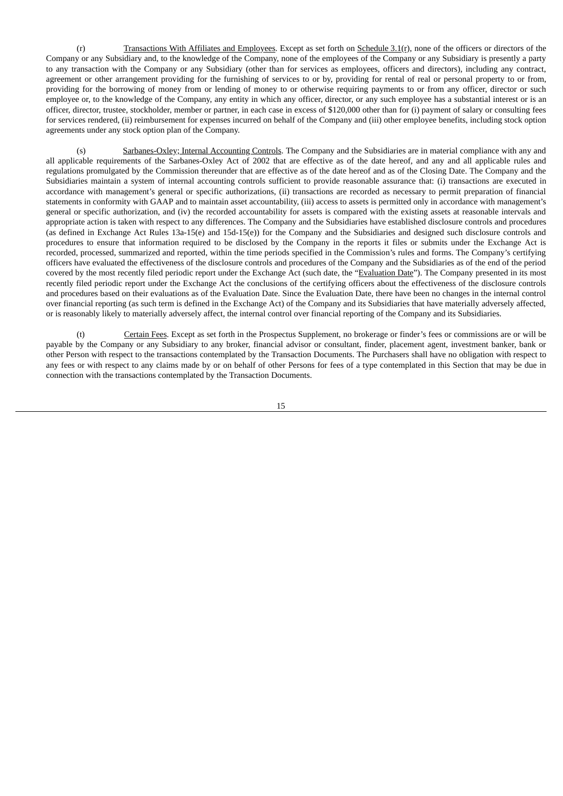(r) Transactions With Affiliates and Employees. Except as set forth on Schedule 3.1(r), none of the officers or directors of the Company or any Subsidiary and, to the knowledge of the Company, none of the employees of the Company or any Subsidiary is presently a party to any transaction with the Company or any Subsidiary (other than for services as employees, officers and directors), including any contract, agreement or other arrangement providing for the furnishing of services to or by, providing for rental of real or personal property to or from, providing for the borrowing of money from or lending of money to or otherwise requiring payments to or from any officer, director or such employee or, to the knowledge of the Company, any entity in which any officer, director, or any such employee has a substantial interest or is an officer, director, trustee, stockholder, member or partner, in each case in excess of \$120,000 other than for (i) payment of salary or consulting fees for services rendered, (ii) reimbursement for expenses incurred on behalf of the Company and (iii) other employee benefits, including stock option agreements under any stock option plan of the Company.

(s) Sarbanes-Oxley; Internal Accounting Controls. The Company and the Subsidiaries are in material compliance with any and all applicable requirements of the Sarbanes-Oxley Act of 2002 that are effective as of the date hereof, and any and all applicable rules and regulations promulgated by the Commission thereunder that are effective as of the date hereof and as of the Closing Date. The Company and the Subsidiaries maintain a system of internal accounting controls sufficient to provide reasonable assurance that: (i) transactions are executed in accordance with management's general or specific authorizations, (ii) transactions are recorded as necessary to permit preparation of financial statements in conformity with GAAP and to maintain asset accountability, (iii) access to assets is permitted only in accordance with management's general or specific authorization, and (iv) the recorded accountability for assets is compared with the existing assets at reasonable intervals and appropriate action is taken with respect to any differences. The Company and the Subsidiaries have established disclosure controls and procedures (as defined in Exchange Act Rules 13a-15(e) and 15d-15(e)) for the Company and the Subsidiaries and designed such disclosure controls and procedures to ensure that information required to be disclosed by the Company in the reports it files or submits under the Exchange Act is recorded, processed, summarized and reported, within the time periods specified in the Commission's rules and forms. The Company's certifying officers have evaluated the effectiveness of the disclosure controls and procedures of the Company and the Subsidiaries as of the end of the period covered by the most recently filed periodic report under the Exchange Act (such date, the "Evaluation Date"). The Company presented in its most recently filed periodic report under the Exchange Act the conclusions of the certifying officers about the effectiveness of the disclosure controls and procedures based on their evaluations as of the Evaluation Date. Since the Evaluation Date, there have been no changes in the internal control over financial reporting (as such term is defined in the Exchange Act) of the Company and its Subsidiaries that have materially adversely affected, or is reasonably likely to materially adversely affect, the internal control over financial reporting of the Company and its Subsidiaries.

(t) Certain Fees. Except as set forth in the Prospectus Supplement, no brokerage or finder's fees or commissions are or will be payable by the Company or any Subsidiary to any broker, financial advisor or consultant, finder, placement agent, investment banker, bank or other Person with respect to the transactions contemplated by the Transaction Documents. The Purchasers shall have no obligation with respect to any fees or with respect to any claims made by or on behalf of other Persons for fees of a type contemplated in this Section that may be due in connection with the transactions contemplated by the Transaction Documents.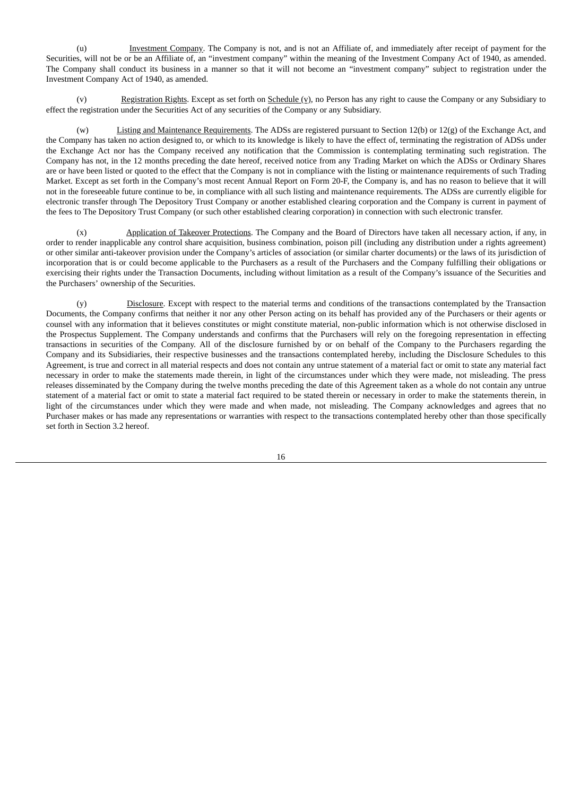(u) Investment Company. The Company is not, and is not an Affiliate of, and immediately after receipt of payment for the Securities, will not be or be an Affiliate of, an "investment company" within the meaning of the Investment Company Act of 1940, as amended. The Company shall conduct its business in a manner so that it will not become an "investment company" subject to registration under the Investment Company Act of 1940, as amended.

(v) Registration Rights. Except as set forth on Schedule (v), no Person has any right to cause the Company or any Subsidiary to effect the registration under the Securities Act of any securities of the Company or any Subsidiary.

(w) Listing and Maintenance Requirements. The ADSs are registered pursuant to Section 12(b) or 12(g) of the Exchange Act, and the Company has taken no action designed to, or which to its knowledge is likely to have the effect of, terminating the registration of ADSs under the Exchange Act nor has the Company received any notification that the Commission is contemplating terminating such registration. The Company has not, in the 12 months preceding the date hereof, received notice from any Trading Market on which the ADSs or Ordinary Shares are or have been listed or quoted to the effect that the Company is not in compliance with the listing or maintenance requirements of such Trading Market. Except as set forth in the Company's most recent Annual Report on Form 20-F, the Company is, and has no reason to believe that it will not in the foreseeable future continue to be, in compliance with all such listing and maintenance requirements. The ADSs are currently eligible for electronic transfer through The Depository Trust Company or another established clearing corporation and the Company is current in payment of the fees to The Depository Trust Company (or such other established clearing corporation) in connection with such electronic transfer.

Application of Takeover Protections</u>. The Company and the Board of Directors have taken all necessary action, if any, in order to render inapplicable any control share acquisition, business combination, poison pill (including any distribution under a rights agreement) or other similar anti-takeover provision under the Company's articles of association (or similar charter documents) or the laws of its jurisdiction of incorporation that is or could become applicable to the Purchasers as a result of the Purchasers and the Company fulfilling their obligations or exercising their rights under the Transaction Documents, including without limitation as a result of the Company's issuance of the Securities and the Purchasers' ownership of the Securities.

(y) Disclosure. Except with respect to the material terms and conditions of the transactions contemplated by the Transaction Documents, the Company confirms that neither it nor any other Person acting on its behalf has provided any of the Purchasers or their agents or counsel with any information that it believes constitutes or might constitute material, non-public information which is not otherwise disclosed in the Prospectus Supplement. The Company understands and confirms that the Purchasers will rely on the foregoing representation in effecting transactions in securities of the Company. All of the disclosure furnished by or on behalf of the Company to the Purchasers regarding the Company and its Subsidiaries, their respective businesses and the transactions contemplated hereby, including the Disclosure Schedules to this Agreement, is true and correct in all material respects and does not contain any untrue statement of a material fact or omit to state any material fact necessary in order to make the statements made therein, in light of the circumstances under which they were made, not misleading. The press releases disseminated by the Company during the twelve months preceding the date of this Agreement taken as a whole do not contain any untrue statement of a material fact or omit to state a material fact required to be stated therein or necessary in order to make the statements therein, in light of the circumstances under which they were made and when made, not misleading. The Company acknowledges and agrees that no Purchaser makes or has made any representations or warranties with respect to the transactions contemplated hereby other than those specifically set forth in Section 3.2 hereof.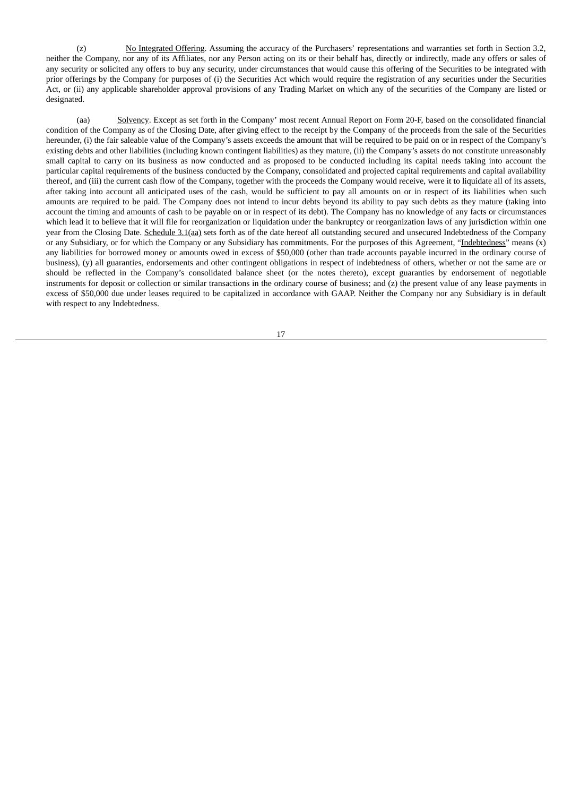(z) No Integrated Offering. Assuming the accuracy of the Purchasers' representations and warranties set forth in Section 3.2, neither the Company, nor any of its Affiliates, nor any Person acting on its or their behalf has, directly or indirectly, made any offers or sales of any security or solicited any offers to buy any security, under circumstances that would cause this offering of the Securities to be integrated with prior offerings by the Company for purposes of (i) the Securities Act which would require the registration of any securities under the Securities Act, or (ii) any applicable shareholder approval provisions of any Trading Market on which any of the securities of the Company are listed or designated.

(aa) Solvency. Except as set forth in the Company' most recent Annual Report on Form 20-F, based on the consolidated financial condition of the Company as of the Closing Date, after giving effect to the receipt by the Company of the proceeds from the sale of the Securities hereunder, (i) the fair saleable value of the Company's assets exceeds the amount that will be required to be paid on or in respect of the Company's existing debts and other liabilities (including known contingent liabilities) as they mature, (ii) the Company's assets do not constitute unreasonably small capital to carry on its business as now conducted and as proposed to be conducted including its capital needs taking into account the particular capital requirements of the business conducted by the Company, consolidated and projected capital requirements and capital availability thereof, and (iii) the current cash flow of the Company, together with the proceeds the Company would receive, were it to liquidate all of its assets, after taking into account all anticipated uses of the cash, would be sufficient to pay all amounts on or in respect of its liabilities when such amounts are required to be paid. The Company does not intend to incur debts beyond its ability to pay such debts as they mature (taking into account the timing and amounts of cash to be payable on or in respect of its debt). The Company has no knowledge of any facts or circumstances which lead it to believe that it will file for reorganization or liquidation under the bankruptcy or reorganization laws of any jurisdiction within one year from the Closing Date. Schedule 3.1(aa) sets forth as of the date hereof all outstanding secured and unsecured Indebtedness of the Company or any Subsidiary, or for which the Company or any Subsidiary has commitments. For the purposes of this Agreement, "Indebtedness" means (x) any liabilities for borrowed money or amounts owed in excess of \$50,000 (other than trade accounts payable incurred in the ordinary course of business), (y) all guaranties, endorsements and other contingent obligations in respect of indebtedness of others, whether or not the same are or should be reflected in the Company's consolidated balance sheet (or the notes thereto), except guaranties by endorsement of negotiable instruments for deposit or collection or similar transactions in the ordinary course of business; and (z) the present value of any lease payments in excess of \$50,000 due under leases required to be capitalized in accordance with GAAP. Neither the Company nor any Subsidiary is in default with respect to any Indebtedness.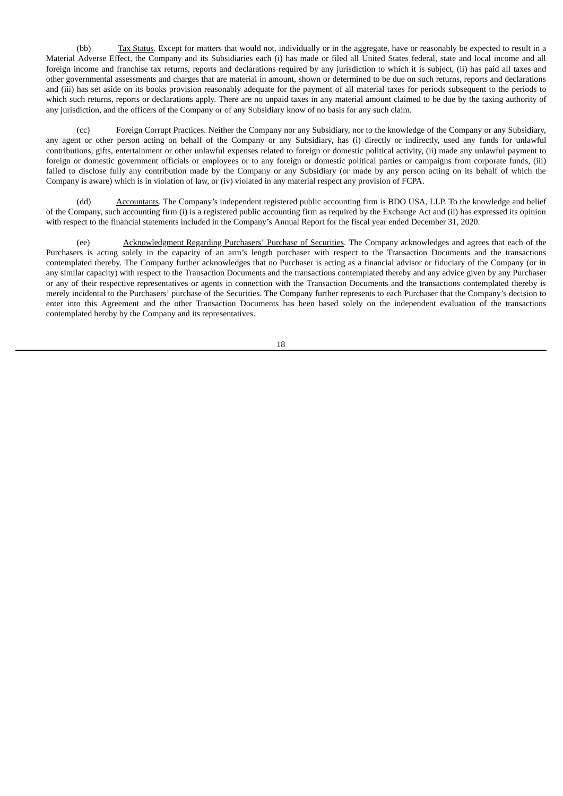(bb) Tax Status. Except for matters that would not, individually or in the aggregate, have or reasonably be expected to result in a Material Adverse Effect, the Company and its Subsidiaries each (i) has made or filed all United States federal, state and local income and all foreign income and franchise tax returns, reports and declarations required by any jurisdiction to which it is subject, (ii) has paid all taxes and other governmental assessments and charges that are material in amount, shown or determined to be due on such returns, reports and declarations and (iii) has set aside on its books provision reasonably adequate for the payment of all material taxes for periods subsequent to the periods to which such returns, reports or declarations apply. There are no unpaid taxes in any material amount claimed to be due by the taxing authority of any jurisdiction, and the officers of the Company or of any Subsidiary know of no basis for any such claim.

(cc) Foreign Corrupt Practices. Neither the Company nor any Subsidiary, nor to the knowledge of the Company or any Subsidiary, any agent or other person acting on behalf of the Company or any Subsidiary, has (i) directly or indirectly, used any funds for unlawful contributions, gifts, entertainment or other unlawful expenses related to foreign or domestic political activity, (ii) made any unlawful payment to foreign or domestic government officials or employees or to any foreign or domestic political parties or campaigns from corporate funds, (iii) failed to disclose fully any contribution made by the Company or any Subsidiary (or made by any person acting on its behalf of which the Company is aware) which is in violation of law, or (iv) violated in any material respect any provision of FCPA.

(dd) Accountants. The Company's independent registered public accounting firm is BDO USA, LLP. To the knowledge and belief of the Company, such accounting firm (i) is a registered public accounting firm as required by the Exchange Act and (ii) has expressed its opinion with respect to the financial statements included in the Company's Annual Report for the fiscal year ended December 31, 2020.

(ee) Acknowledgment Regarding Purchasers' Purchase of Securities. The Company acknowledges and agrees that each of the Purchasers is acting solely in the capacity of an arm's length purchaser with respect to the Transaction Documents and the transactions contemplated thereby. The Company further acknowledges that no Purchaser is acting as a financial advisor or fiduciary of the Company (or in any similar capacity) with respect to the Transaction Documents and the transactions contemplated thereby and any advice given by any Purchaser or any of their respective representatives or agents in connection with the Transaction Documents and the transactions contemplated thereby is merely incidental to the Purchasers' purchase of the Securities. The Company further represents to each Purchaser that the Company's decision to enter into this Agreement and the other Transaction Documents has been based solely on the independent evaluation of the transactions contemplated hereby by the Company and its representatives.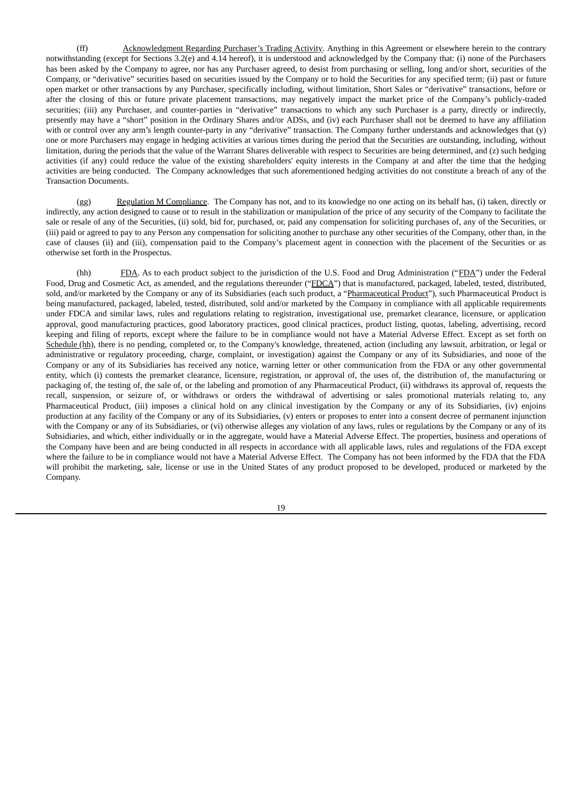(ff) Acknowledgment Regarding Purchaser's Trading Activity. Anything in this Agreement or elsewhere herein to the contrary notwithstanding (except for Sections 3.2(e) and 4.14 hereof), it is understood and acknowledged by the Company that: (i) none of the Purchasers has been asked by the Company to agree, nor has any Purchaser agreed, to desist from purchasing or selling, long and/or short, securities of the Company, or "derivative" securities based on securities issued by the Company or to hold the Securities for any specified term; (ii) past or future open market or other transactions by any Purchaser, specifically including, without limitation, Short Sales or "derivative" transactions, before or after the closing of this or future private placement transactions, may negatively impact the market price of the Company's publicly-traded securities; (iii) any Purchaser, and counter-parties in "derivative" transactions to which any such Purchaser is a party, directly or indirectly, presently may have a "short" position in the Ordinary Shares and/or ADSs, and (iv) each Purchaser shall not be deemed to have any affiliation with or control over any arm's length counter-party in any "derivative" transaction. The Company further understands and acknowledges that (y) one or more Purchasers may engage in hedging activities at various times during the period that the Securities are outstanding, including, without limitation, during the periods that the value of the Warrant Shares deliverable with respect to Securities are being determined, and (z) such hedging activities (if any) could reduce the value of the existing shareholders' equity interests in the Company at and after the time that the hedging activities are being conducted. The Company acknowledges that such aforementioned hedging activities do not constitute a breach of any of the Transaction Documents.

(gg) Regulation M Compliance. The Company has not, and to its knowledge no one acting on its behalf has, (i) taken, directly or indirectly, any action designed to cause or to result in the stabilization or manipulation of the price of any security of the Company to facilitate the sale or resale of any of the Securities, (ii) sold, bid for, purchased, or, paid any compensation for soliciting purchases of, any of the Securities, or (iii) paid or agreed to pay to any Person any compensation for soliciting another to purchase any other securities of the Company, other than, in the case of clauses (ii) and (iii), compensation paid to the Company's placement agent in connection with the placement of the Securities or as otherwise set forth in the Prospectus.

(hh) FDA. As to each product subject to the jurisdiction of the U.S. Food and Drug Administration ("FDA") under the Federal Food, Drug and Cosmetic Act, as amended, and the regulations thereunder ("FDCA") that is manufactured, packaged, labeled, tested, distributed, sold, and/or marketed by the Company or any of its Subsidiaries (each such product, a "Pharmaceutical Product"), such Pharmaceutical Product is being manufactured, packaged, labeled, tested, distributed, sold and/or marketed by the Company in compliance with all applicable requirements under FDCA and similar laws, rules and regulations relating to registration, investigational use, premarket clearance, licensure, or application approval, good manufacturing practices, good laboratory practices, good clinical practices, product listing, quotas, labeling, advertising, record keeping and filing of reports, except where the failure to be in compliance would not have a Material Adverse Effect. Except as set forth on Schedule (hh), there is no pending, completed or, to the Company's knowledge, threatened, action (including any lawsuit, arbitration, or legal or administrative or regulatory proceeding, charge, complaint, or investigation) against the Company or any of its Subsidiaries, and none of the Company or any of its Subsidiaries has received any notice, warning letter or other communication from the FDA or any other governmental entity, which (i) contests the premarket clearance, licensure, registration, or approval of, the uses of, the distribution of, the manufacturing or packaging of, the testing of, the sale of, or the labeling and promotion of any Pharmaceutical Product, (ii) withdraws its approval of, requests the recall, suspension, or seizure of, or withdraws or orders the withdrawal of advertising or sales promotional materials relating to, any Pharmaceutical Product, (iii) imposes a clinical hold on any clinical investigation by the Company or any of its Subsidiaries, (iv) enjoins production at any facility of the Company or any of its Subsidiaries, (v) enters or proposes to enter into a consent decree of permanent injunction with the Company or any of its Subsidiaries, or (vi) otherwise alleges any violation of any laws, rules or regulations by the Company or any of its Subsidiaries, and which, either individually or in the aggregate, would have a Material Adverse Effect. The properties, business and operations of the Company have been and are being conducted in all respects in accordance with all applicable laws, rules and regulations of the FDA except where the failure to be in compliance would not have a Material Adverse Effect. The Company has not been informed by the FDA that the FDA will prohibit the marketing, sale, license or use in the United States of any product proposed to be developed, produced or marketed by the Company.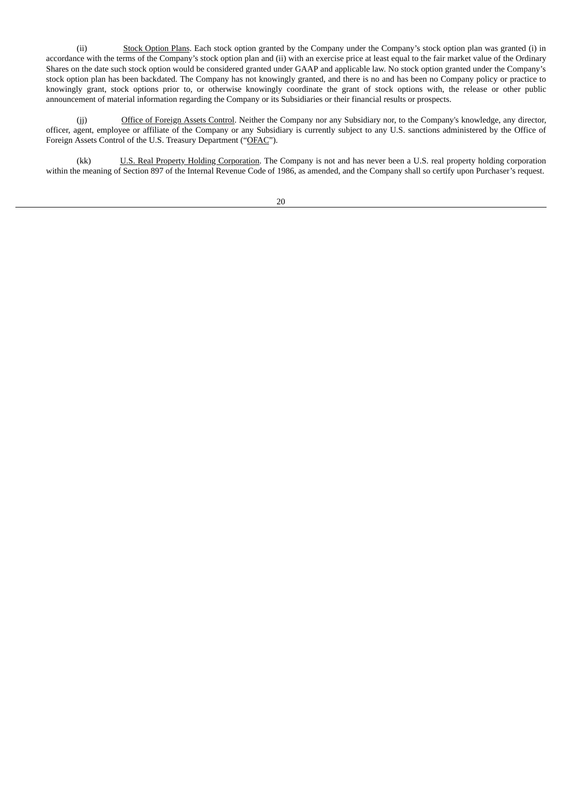(ii) Stock Option Plans. Each stock option granted by the Company under the Company's stock option plan was granted (i) in accordance with the terms of the Company's stock option plan and (ii) with an exercise price at least equal to the fair market value of the Ordinary Shares on the date such stock option would be considered granted under GAAP and applicable law. No stock option granted under the Company's stock option plan has been backdated. The Company has not knowingly granted, and there is no and has been no Company policy or practice to knowingly grant, stock options prior to, or otherwise knowingly coordinate the grant of stock options with, the release or other public announcement of material information regarding the Company or its Subsidiaries or their financial results or prospects.

(ji) Office of Foreign Assets Control. Neither the Company nor any Subsidiary nor, to the Company's knowledge, any director, officer, agent, employee or affiliate of the Company or any Subsidiary is currently subject to any U.S. sanctions administered by the Office of Foreign Assets Control of the U.S. Treasury Department ("OFAC").

(kk) U.S. Real Property Holding Corporation. The Company is not and has never been a U.S. real property holding corporation within the meaning of Section 897 of the Internal Revenue Code of 1986, as amended, and the Company shall so certify upon Purchaser's request.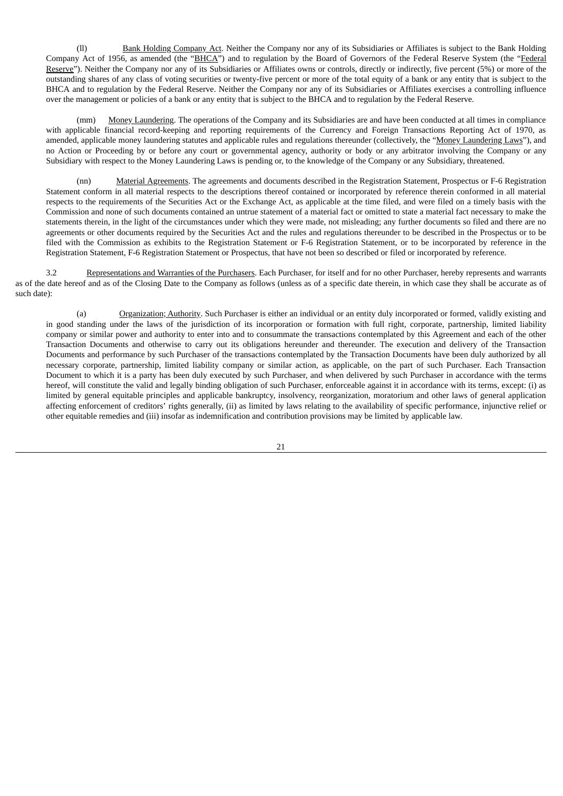(ll) Bank Holding Company Act. Neither the Company nor any of its Subsidiaries or Affiliates is subject to the Bank Holding Company Act of 1956, as amended (the "BHCA") and to regulation by the Board of Governors of the Federal Reserve System (the "Federal Reserve"). Neither the Company nor any of its Subsidiaries or Affiliates owns or controls, directly or indirectly, five percent (5%) or more of the outstanding shares of any class of voting securities or twenty-five percent or more of the total equity of a bank or any entity that is subject to the BHCA and to regulation by the Federal Reserve. Neither the Company nor any of its Subsidiaries or Affiliates exercises a controlling influence over the management or policies of a bank or any entity that is subject to the BHCA and to regulation by the Federal Reserve.

(mm) Money Laundering. The operations of the Company and its Subsidiaries are and have been conducted at all times in compliance with applicable financial record-keeping and reporting requirements of the Currency and Foreign Transactions Reporting Act of 1970, as amended, applicable money laundering statutes and applicable rules and regulations thereunder (collectively, the "Money Laundering Laws"), and no Action or Proceeding by or before any court or governmental agency, authority or body or any arbitrator involving the Company or any Subsidiary with respect to the Money Laundering Laws is pending or, to the knowledge of the Company or any Subsidiary, threatened.

(nn) Material Agreements. The agreements and documents described in the Registration Statement, Prospectus or F-6 Registration Statement conform in all material respects to the descriptions thereof contained or incorporated by reference therein conformed in all material respects to the requirements of the Securities Act or the Exchange Act, as applicable at the time filed, and were filed on a timely basis with the Commission and none of such documents contained an untrue statement of a material fact or omitted to state a material fact necessary to make the statements therein, in the light of the circumstances under which they were made, not misleading; any further documents so filed and there are no agreements or other documents required by the Securities Act and the rules and regulations thereunder to be described in the Prospectus or to be filed with the Commission as exhibits to the Registration Statement or F-6 Registration Statement, or to be incorporated by reference in the Registration Statement, F-6 Registration Statement or Prospectus, that have not been so described or filed or incorporated by reference.

3.2 Representations and Warranties of the Purchasers. Each Purchaser, for itself and for no other Purchaser, hereby represents and warrants as of the date hereof and as of the Closing Date to the Company as follows (unless as of a specific date therein, in which case they shall be accurate as of such date):

(a) Organization; Authority. Such Purchaser is either an individual or an entity duly incorporated or formed, validly existing and in good standing under the laws of the jurisdiction of its incorporation or formation with full right, corporate, partnership, limited liability company or similar power and authority to enter into and to consummate the transactions contemplated by this Agreement and each of the other Transaction Documents and otherwise to carry out its obligations hereunder and thereunder. The execution and delivery of the Transaction Documents and performance by such Purchaser of the transactions contemplated by the Transaction Documents have been duly authorized by all necessary corporate, partnership, limited liability company or similar action, as applicable, on the part of such Purchaser. Each Transaction Document to which it is a party has been duly executed by such Purchaser, and when delivered by such Purchaser in accordance with the terms hereof, will constitute the valid and legally binding obligation of such Purchaser, enforceable against it in accordance with its terms, except: (i) as limited by general equitable principles and applicable bankruptcy, insolvency, reorganization, moratorium and other laws of general application affecting enforcement of creditors' rights generally, (ii) as limited by laws relating to the availability of specific performance, injunctive relief or other equitable remedies and (iii) insofar as indemnification and contribution provisions may be limited by applicable law.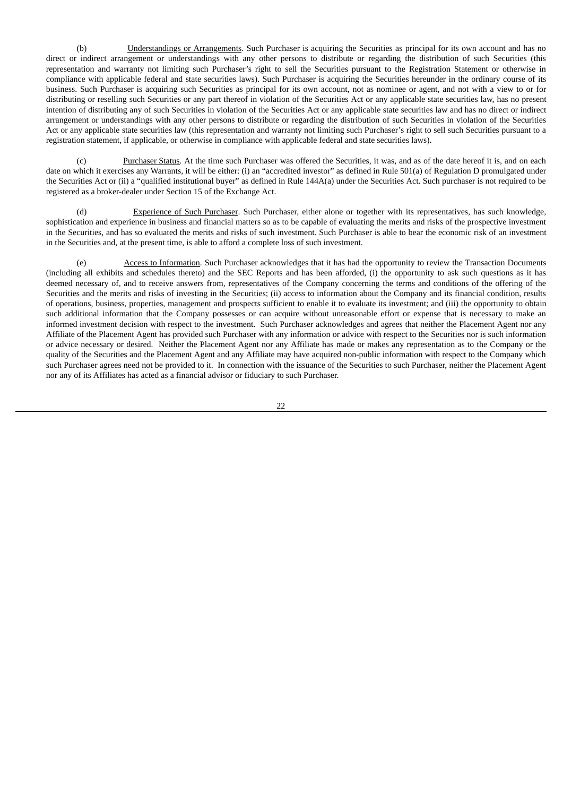(b) Understandings or Arrangements. Such Purchaser is acquiring the Securities as principal for its own account and has no direct or indirect arrangement or understandings with any other persons to distribute or regarding the distribution of such Securities (this representation and warranty not limiting such Purchaser's right to sell the Securities pursuant to the Registration Statement or otherwise in compliance with applicable federal and state securities laws). Such Purchaser is acquiring the Securities hereunder in the ordinary course of its business. Such Purchaser is acquiring such Securities as principal for its own account, not as nominee or agent, and not with a view to or for distributing or reselling such Securities or any part thereof in violation of the Securities Act or any applicable state securities law, has no present intention of distributing any of such Securities in violation of the Securities Act or any applicable state securities law and has no direct or indirect arrangement or understandings with any other persons to distribute or regarding the distribution of such Securities in violation of the Securities Act or any applicable state securities law (this representation and warranty not limiting such Purchaser's right to sell such Securities pursuant to a registration statement, if applicable, or otherwise in compliance with applicable federal and state securities laws).

(c) Purchaser Status. At the time such Purchaser was offered the Securities, it was, and as of the date hereof it is, and on each date on which it exercises any Warrants, it will be either: (i) an "accredited investor" as defined in Rule 501(a) of Regulation D promulgated under the Securities Act or (ii) a "qualified institutional buyer" as defined in Rule 144A(a) under the Securities Act. Such purchaser is not required to be registered as a broker-dealer under Section 15 of the Exchange Act.

(d) Experience of Such Purchaser. Such Purchaser, either alone or together with its representatives, has such knowledge, sophistication and experience in business and financial matters so as to be capable of evaluating the merits and risks of the prospective investment in the Securities, and has so evaluated the merits and risks of such investment. Such Purchaser is able to bear the economic risk of an investment in the Securities and, at the present time, is able to afford a complete loss of such investment.

(e) Access to Information. Such Purchaser acknowledges that it has had the opportunity to review the Transaction Documents (including all exhibits and schedules thereto) and the SEC Reports and has been afforded, (i) the opportunity to ask such questions as it has deemed necessary of, and to receive answers from, representatives of the Company concerning the terms and conditions of the offering of the Securities and the merits and risks of investing in the Securities; (ii) access to information about the Company and its financial condition, results of operations, business, properties, management and prospects sufficient to enable it to evaluate its investment; and (iii) the opportunity to obtain such additional information that the Company possesses or can acquire without unreasonable effort or expense that is necessary to make an informed investment decision with respect to the investment. Such Purchaser acknowledges and agrees that neither the Placement Agent nor any Affiliate of the Placement Agent has provided such Purchaser with any information or advice with respect to the Securities nor is such information or advice necessary or desired. Neither the Placement Agent nor any Affiliate has made or makes any representation as to the Company or the quality of the Securities and the Placement Agent and any Affiliate may have acquired non-public information with respect to the Company which such Purchaser agrees need not be provided to it. In connection with the issuance of the Securities to such Purchaser, neither the Placement Agent nor any of its Affiliates has acted as a financial advisor or fiduciary to such Purchaser.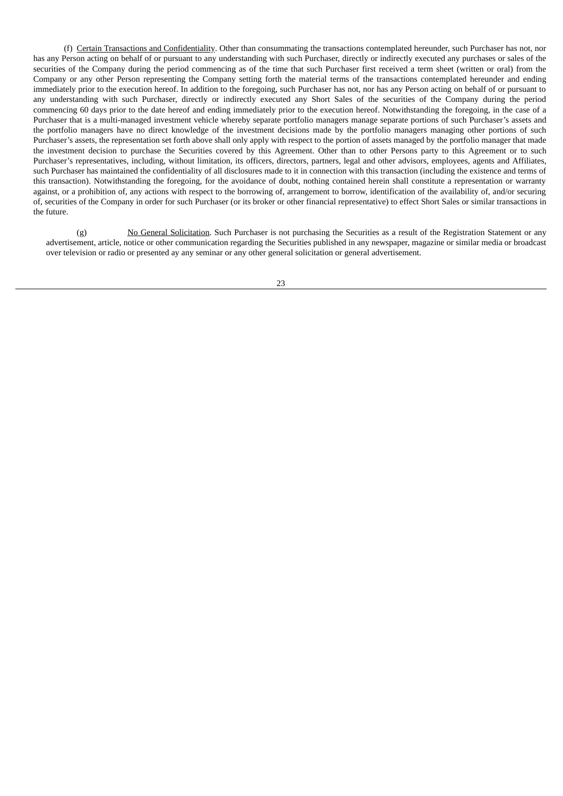(f) Certain Transactions and Confidentiality. Other than consummating the transactions contemplated hereunder, such Purchaser has not, nor has any Person acting on behalf of or pursuant to any understanding with such Purchaser, directly or indirectly executed any purchases or sales of the securities of the Company during the period commencing as of the time that such Purchaser first received a term sheet (written or oral) from the Company or any other Person representing the Company setting forth the material terms of the transactions contemplated hereunder and ending immediately prior to the execution hereof. In addition to the foregoing, such Purchaser has not, nor has any Person acting on behalf of or pursuant to any understanding with such Purchaser, directly or indirectly executed any Short Sales of the securities of the Company during the period commencing 60 days prior to the date hereof and ending immediately prior to the execution hereof. Notwithstanding the foregoing, in the case of a Purchaser that is a multi-managed investment vehicle whereby separate portfolio managers manage separate portions of such Purchaser's assets and the portfolio managers have no direct knowledge of the investment decisions made by the portfolio managers managing other portions of such Purchaser's assets, the representation set forth above shall only apply with respect to the portion of assets managed by the portfolio manager that made the investment decision to purchase the Securities covered by this Agreement. Other than to other Persons party to this Agreement or to such Purchaser's representatives, including, without limitation, its officers, directors, partners, legal and other advisors, employees, agents and Affiliates, such Purchaser has maintained the confidentiality of all disclosures made to it in connection with this transaction (including the existence and terms of this transaction). Notwithstanding the foregoing, for the avoidance of doubt, nothing contained herein shall constitute a representation or warranty against, or a prohibition of, any actions with respect to the borrowing of, arrangement to borrow, identification of the availability of, and/or securing of, securities of the Company in order for such Purchaser (or its broker or other financial representative) to effect Short Sales or similar transactions in the future.

(g) No General Solicitation. Such Purchaser is not purchasing the Securities as a result of the Registration Statement or any advertisement, article, notice or other communication regarding the Securities published in any newspaper, magazine or similar media or broadcast over television or radio or presented ay any seminar or any other general solicitation or general advertisement.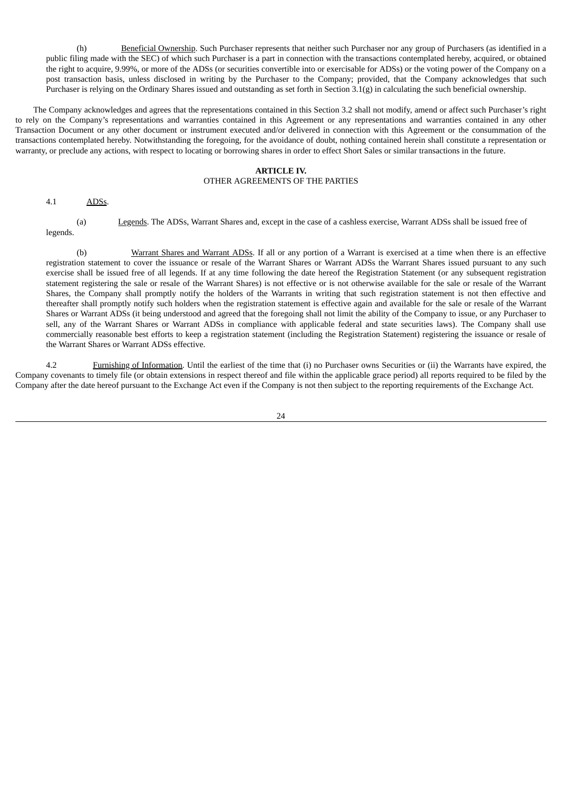(h) Beneficial Ownership. Such Purchaser represents that neither such Purchaser nor any group of Purchasers (as identified in a public filing made with the SEC) of which such Purchaser is a part in connection with the transactions contemplated hereby, acquired, or obtained the right to acquire, 9.99%, or more of the ADSs (or securities convertible into or exercisable for ADSs) or the voting power of the Company on a post transaction basis, unless disclosed in writing by the Purchaser to the Company; provided, that the Company acknowledges that such Purchaser is relying on the Ordinary Shares issued and outstanding as set forth in Section 3.1(g) in calculating the such beneficial ownership.

The Company acknowledges and agrees that the representations contained in this Section 3.2 shall not modify, amend or affect such Purchaser's right to rely on the Company's representations and warranties contained in this Agreement or any representations and warranties contained in any other Transaction Document or any other document or instrument executed and/or delivered in connection with this Agreement or the consummation of the transactions contemplated hereby. Notwithstanding the foregoing, for the avoidance of doubt, nothing contained herein shall constitute a representation or warranty, or preclude any actions, with respect to locating or borrowing shares in order to effect Short Sales or similar transactions in the future.

## **ARTICLE IV.**

## OTHER AGREEMENTS OF THE PARTIES

4.1 ADSs.

(a) Legends. The ADSs, Warrant Shares and, except in the case of a cashless exercise, Warrant ADSs shall be issued free of legends.

(b) Warrant Shares and Warrant ADSs. If all or any portion of a Warrant is exercised at a time when there is an effective registration statement to cover the issuance or resale of the Warrant Shares or Warrant ADSs the Warrant Shares issued pursuant to any such exercise shall be issued free of all legends. If at any time following the date hereof the Registration Statement (or any subsequent registration statement registering the sale or resale of the Warrant Shares) is not effective or is not otherwise available for the sale or resale of the Warrant Shares, the Company shall promptly notify the holders of the Warrants in writing that such registration statement is not then effective and thereafter shall promptly notify such holders when the registration statement is effective again and available for the sale or resale of the Warrant Shares or Warrant ADSs (it being understood and agreed that the foregoing shall not limit the ability of the Company to issue, or any Purchaser to sell, any of the Warrant Shares or Warrant ADSs in compliance with applicable federal and state securities laws). The Company shall use commercially reasonable best efforts to keep a registration statement (including the Registration Statement) registering the issuance or resale of the Warrant Shares or Warrant ADSs effective.

4.2 Furnishing of Information. Until the earliest of the time that (i) no Purchaser owns Securities or (ii) the Warrants have expired, the Company covenants to timely file (or obtain extensions in respect thereof and file within the applicable grace period) all reports required to be filed by the Company after the date hereof pursuant to the Exchange Act even if the Company is not then subject to the reporting requirements of the Exchange Act.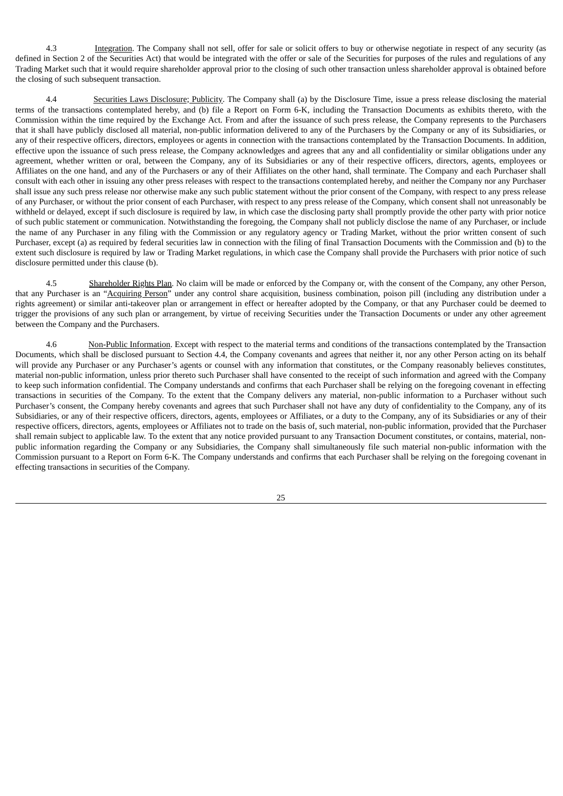4.3 Integration. The Company shall not sell, offer for sale or solicit offers to buy or otherwise negotiate in respect of any security (as defined in Section 2 of the Securities Act) that would be integrated with the offer or sale of the Securities for purposes of the rules and regulations of any Trading Market such that it would require shareholder approval prior to the closing of such other transaction unless shareholder approval is obtained before the closing of such subsequent transaction.

4.4 Securities Laws Disclosure; Publicity. The Company shall (a) by the Disclosure Time, issue a press release disclosing the material terms of the transactions contemplated hereby, and (b) file a Report on Form 6-K, including the Transaction Documents as exhibits thereto, with the Commission within the time required by the Exchange Act. From and after the issuance of such press release, the Company represents to the Purchasers that it shall have publicly disclosed all material, non-public information delivered to any of the Purchasers by the Company or any of its Subsidiaries, or any of their respective officers, directors, employees or agents in connection with the transactions contemplated by the Transaction Documents. In addition, effective upon the issuance of such press release, the Company acknowledges and agrees that any and all confidentiality or similar obligations under any agreement, whether written or oral, between the Company, any of its Subsidiaries or any of their respective officers, directors, agents, employees or Affiliates on the one hand, and any of the Purchasers or any of their Affiliates on the other hand, shall terminate. The Company and each Purchaser shall consult with each other in issuing any other press releases with respect to the transactions contemplated hereby, and neither the Company nor any Purchaser shall issue any such press release nor otherwise make any such public statement without the prior consent of the Company, with respect to any press release of any Purchaser, or without the prior consent of each Purchaser, with respect to any press release of the Company, which consent shall not unreasonably be withheld or delayed, except if such disclosure is required by law, in which case the disclosing party shall promptly provide the other party with prior notice of such public statement or communication. Notwithstanding the foregoing, the Company shall not publicly disclose the name of any Purchaser, or include the name of any Purchaser in any filing with the Commission or any regulatory agency or Trading Market, without the prior written consent of such Purchaser, except (a) as required by federal securities law in connection with the filing of final Transaction Documents with the Commission and (b) to the extent such disclosure is required by law or Trading Market regulations, in which case the Company shall provide the Purchasers with prior notice of such disclosure permitted under this clause (b).

4.5 Shareholder Rights Plan. No claim will be made or enforced by the Company or, with the consent of the Company, any other Person, that any Purchaser is an "Acquiring Person" under any control share acquisition, business combination, poison pill (including any distribution under a rights agreement) or similar anti-takeover plan or arrangement in effect or hereafter adopted by the Company, or that any Purchaser could be deemed to trigger the provisions of any such plan or arrangement, by virtue of receiving Securities under the Transaction Documents or under any other agreement between the Company and the Purchasers.

4.6 Non-Public Information. Except with respect to the material terms and conditions of the transactions contemplated by the Transaction Documents, which shall be disclosed pursuant to Section 4.4, the Company covenants and agrees that neither it, nor any other Person acting on its behalf will provide any Purchaser or any Purchaser's agents or counsel with any information that constitutes, or the Company reasonably believes constitutes, material non-public information, unless prior thereto such Purchaser shall have consented to the receipt of such information and agreed with the Company to keep such information confidential. The Company understands and confirms that each Purchaser shall be relying on the foregoing covenant in effecting transactions in securities of the Company. To the extent that the Company delivers any material, non-public information to a Purchaser without such Purchaser's consent, the Company hereby covenants and agrees that such Purchaser shall not have any duty of confidentiality to the Company, any of its Subsidiaries, or any of their respective officers, directors, agents, employees or Affiliates, or a duty to the Company, any of its Subsidiaries or any of their respective officers, directors, agents, employees or Affiliates not to trade on the basis of, such material, non-public information, provided that the Purchaser shall remain subject to applicable law. To the extent that any notice provided pursuant to any Transaction Document constitutes, or contains, material, nonpublic information regarding the Company or any Subsidiaries, the Company shall simultaneously file such material non-public information with the Commission pursuant to a Report on Form 6-K. The Company understands and confirms that each Purchaser shall be relying on the foregoing covenant in effecting transactions in securities of the Company.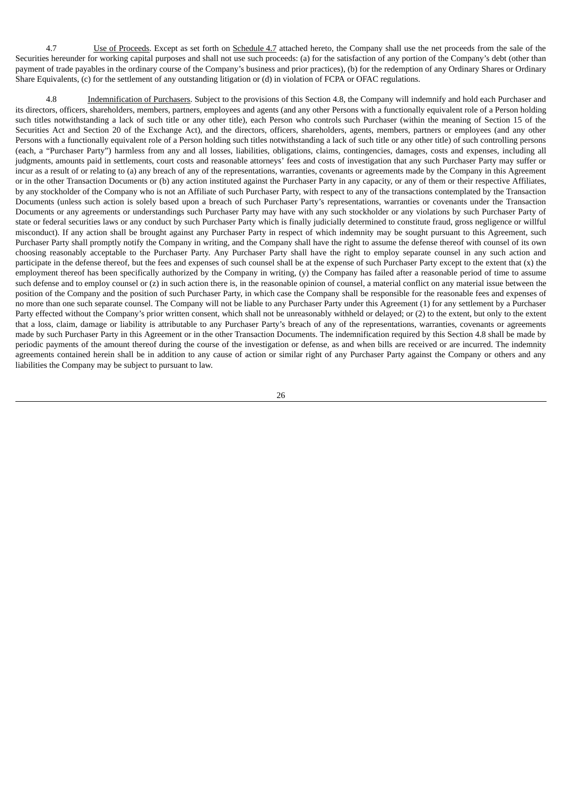4.7 Use of Proceeds. Except as set forth on Schedule 4.7 attached hereto, the Company shall use the net proceeds from the sale of the Securities hereunder for working capital purposes and shall not use such proceeds: (a) for the satisfaction of any portion of the Company's debt (other than payment of trade payables in the ordinary course of the Company's business and prior practices), (b) for the redemption of any Ordinary Shares or Ordinary Share Equivalents, (c) for the settlement of any outstanding litigation or (d) in violation of FCPA or OFAC regulations.

4.8 Indemnification of Purchasers. Subject to the provisions of this Section 4.8, the Company will indemnify and hold each Purchaser and its directors, officers, shareholders, members, partners, employees and agents (and any other Persons with a functionally equivalent role of a Person holding such titles notwithstanding a lack of such title or any other title), each Person who controls such Purchaser (within the meaning of Section 15 of the Securities Act and Section 20 of the Exchange Act), and the directors, officers, shareholders, agents, members, partners or employees (and any other Persons with a functionally equivalent role of a Person holding such titles notwithstanding a lack of such title or any other title) of such controlling persons (each, a "Purchaser Party") harmless from any and all losses, liabilities, obligations, claims, contingencies, damages, costs and expenses, including all judgments, amounts paid in settlements, court costs and reasonable attorneys' fees and costs of investigation that any such Purchaser Party may suffer or incur as a result of or relating to (a) any breach of any of the representations, warranties, covenants or agreements made by the Company in this Agreement or in the other Transaction Documents or (b) any action instituted against the Purchaser Party in any capacity, or any of them or their respective Affiliates, by any stockholder of the Company who is not an Affiliate of such Purchaser Party, with respect to any of the transactions contemplated by the Transaction Documents (unless such action is solely based upon a breach of such Purchaser Party's representations, warranties or covenants under the Transaction Documents or any agreements or understandings such Purchaser Party may have with any such stockholder or any violations by such Purchaser Party of state or federal securities laws or any conduct by such Purchaser Party which is finally judicially determined to constitute fraud, gross negligence or willful misconduct). If any action shall be brought against any Purchaser Party in respect of which indemnity may be sought pursuant to this Agreement, such Purchaser Party shall promptly notify the Company in writing, and the Company shall have the right to assume the defense thereof with counsel of its own choosing reasonably acceptable to the Purchaser Party. Any Purchaser Party shall have the right to employ separate counsel in any such action and participate in the defense thereof, but the fees and expenses of such counsel shall be at the expense of such Purchaser Party except to the extent that (x) the employment thereof has been specifically authorized by the Company in writing, (y) the Company has failed after a reasonable period of time to assume such defense and to employ counsel or (z) in such action there is, in the reasonable opinion of counsel, a material conflict on any material issue between the position of the Company and the position of such Purchaser Party, in which case the Company shall be responsible for the reasonable fees and expenses of no more than one such separate counsel. The Company will not be liable to any Purchaser Party under this Agreement (1) for any settlement by a Purchaser Party effected without the Company's prior written consent, which shall not be unreasonably withheld or delayed; or (2) to the extent, but only to the extent that a loss, claim, damage or liability is attributable to any Purchaser Party's breach of any of the representations, warranties, covenants or agreements made by such Purchaser Party in this Agreement or in the other Transaction Documents. The indemnification required by this Section 4.8 shall be made by periodic payments of the amount thereof during the course of the investigation or defense, as and when bills are received or are incurred. The indemnity agreements contained herein shall be in addition to any cause of action or similar right of any Purchaser Party against the Company or others and any liabilities the Company may be subject to pursuant to law.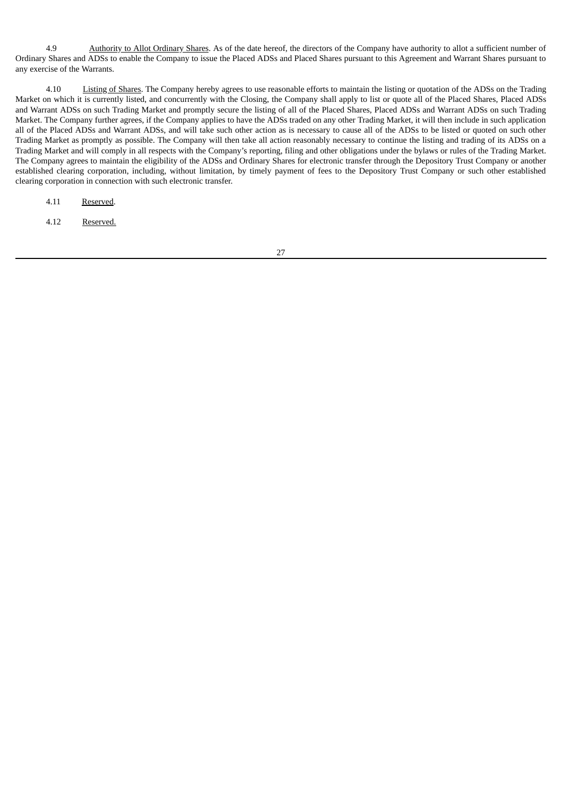4.9 Authority to Allot Ordinary Shares. As of the date hereof, the directors of the Company have authority to allot a sufficient number of Ordinary Shares and ADSs to enable the Company to issue the Placed ADSs and Placed Shares pursuant to this Agreement and Warrant Shares pursuant to any exercise of the Warrants.

4.10 Listing of Shares. The Company hereby agrees to use reasonable efforts to maintain the listing or quotation of the ADSs on the Trading Market on which it is currently listed, and concurrently with the Closing, the Company shall apply to list or quote all of the Placed Shares, Placed ADSs and Warrant ADSs on such Trading Market and promptly secure the listing of all of the Placed Shares, Placed ADSs and Warrant ADSs on such Trading Market. The Company further agrees, if the Company applies to have the ADSs traded on any other Trading Market, it will then include in such application all of the Placed ADSs and Warrant ADSs, and will take such other action as is necessary to cause all of the ADSs to be listed or quoted on such other Trading Market as promptly as possible. The Company will then take all action reasonably necessary to continue the listing and trading of its ADSs on a Trading Market and will comply in all respects with the Company's reporting, filing and other obligations under the bylaws or rules of the Trading Market. The Company agrees to maintain the eligibility of the ADSs and Ordinary Shares for electronic transfer through the Depository Trust Company or another established clearing corporation, including, without limitation, by timely payment of fees to the Depository Trust Company or such other established clearing corporation in connection with such electronic transfer.

4.11 Reserved.

4.12 Reserved.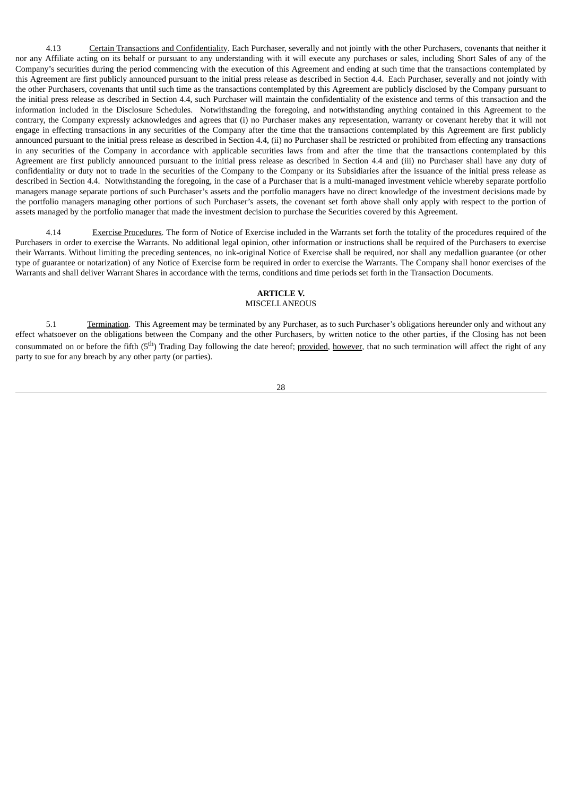4.13 Certain Transactions and Confidentiality. Each Purchaser, severally and not jointly with the other Purchasers, covenants that neither it nor any Affiliate acting on its behalf or pursuant to any understanding with it will execute any purchases or sales, including Short Sales of any of the Company's securities during the period commencing with the execution of this Agreement and ending at such time that the transactions contemplated by this Agreement are first publicly announced pursuant to the initial press release as described in Section 4.4. Each Purchaser, severally and not jointly with the other Purchasers, covenants that until such time as the transactions contemplated by this Agreement are publicly disclosed by the Company pursuant to the initial press release as described in Section 4.4, such Purchaser will maintain the confidentiality of the existence and terms of this transaction and the information included in the Disclosure Schedules. Notwithstanding the foregoing, and notwithstanding anything contained in this Agreement to the contrary, the Company expressly acknowledges and agrees that (i) no Purchaser makes any representation, warranty or covenant hereby that it will not engage in effecting transactions in any securities of the Company after the time that the transactions contemplated by this Agreement are first publicly announced pursuant to the initial press release as described in Section 4.4, (ii) no Purchaser shall be restricted or prohibited from effecting any transactions in any securities of the Company in accordance with applicable securities laws from and after the time that the transactions contemplated by this Agreement are first publicly announced pursuant to the initial press release as described in Section 4.4 and (iii) no Purchaser shall have any duty of confidentiality or duty not to trade in the securities of the Company to the Company or its Subsidiaries after the issuance of the initial press release as described in Section 4.4. Notwithstanding the foregoing, in the case of a Purchaser that is a multi-managed investment vehicle whereby separate portfolio managers manage separate portions of such Purchaser's assets and the portfolio managers have no direct knowledge of the investment decisions made by the portfolio managers managing other portions of such Purchaser's assets, the covenant set forth above shall only apply with respect to the portion of assets managed by the portfolio manager that made the investment decision to purchase the Securities covered by this Agreement.

4.14 Exercise Procedures. The form of Notice of Exercise included in the Warrants set forth the totality of the procedures required of the Purchasers in order to exercise the Warrants. No additional legal opinion, other information or instructions shall be required of the Purchasers to exercise their Warrants. Without limiting the preceding sentences, no ink-original Notice of Exercise shall be required, nor shall any medallion guarantee (or other type of guarantee or notarization) of any Notice of Exercise form be required in order to exercise the Warrants. The Company shall honor exercises of the Warrants and shall deliver Warrant Shares in accordance with the terms, conditions and time periods set forth in the Transaction Documents.

#### **ARTICLE V.**

## MISCELLANEOUS

5.1 Termination. This Agreement may be terminated by any Purchaser, as to such Purchaser's obligations hereunder only and without any effect whatsoever on the obligations between the Company and the other Purchasers, by written notice to the other parties, if the Closing has not been consummated on or before the fifth (5<sup>th</sup>) Trading Day following the date hereof; provided, however, that no such termination will affect the right of any party to sue for any breach by any other party (or parties).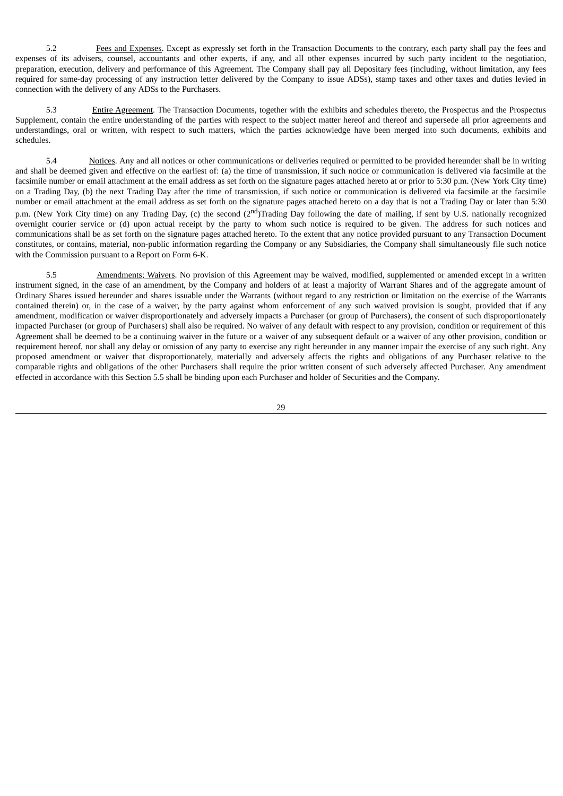5.2 Fees and Expenses. Except as expressly set forth in the Transaction Documents to the contrary, each party shall pay the fees and expenses of its advisers, counsel, accountants and other experts, if any, and all other expenses incurred by such party incident to the negotiation, preparation, execution, delivery and performance of this Agreement. The Company shall pay all Depositary fees (including, without limitation, any fees required for same-day processing of any instruction letter delivered by the Company to issue ADSs), stamp taxes and other taxes and duties levied in connection with the delivery of any ADSs to the Purchasers.

5.3 Entire Agreement. The Transaction Documents, together with the exhibits and schedules thereto, the Prospectus and the Prospectus Supplement, contain the entire understanding of the parties with respect to the subject matter hereof and thereof and supersede all prior agreements and understandings, oral or written, with respect to such matters, which the parties acknowledge have been merged into such documents, exhibits and schedules.

5.4 Notices. Any and all notices or other communications or deliveries required or permitted to be provided hereunder shall be in writing and shall be deemed given and effective on the earliest of: (a) the time of transmission, if such notice or communication is delivered via facsimile at the facsimile number or email attachment at the email address as set forth on the signature pages attached hereto at or prior to 5:30 p.m. (New York City time) on a Trading Day, (b) the next Trading Day after the time of transmission, if such notice or communication is delivered via facsimile at the facsimile number or email attachment at the email address as set forth on the signature pages attached hereto on a day that is not a Trading Day or later than 5:30 p.m. (New York City time) on any Trading Day, (c) the second (2<sup>nd</sup>)Trading Day following the date of mailing, if sent by U.S. nationally recognized overnight courier service or (d) upon actual receipt by the party to whom such notice is required to be given. The address for such notices and communications shall be as set forth on the signature pages attached hereto. To the extent that any notice provided pursuant to any Transaction Document constitutes, or contains, material, non-public information regarding the Company or any Subsidiaries, the Company shall simultaneously file such notice with the Commission pursuant to a Report on Form 6-K.

5.5 Amendments; Waivers. No provision of this Agreement may be waived, modified, supplemented or amended except in a written instrument signed, in the case of an amendment, by the Company and holders of at least a majority of Warrant Shares and of the aggregate amount of Ordinary Shares issued hereunder and shares issuable under the Warrants (without regard to any restriction or limitation on the exercise of the Warrants contained therein) or, in the case of a waiver, by the party against whom enforcement of any such waived provision is sought, provided that if any amendment, modification or waiver disproportionately and adversely impacts a Purchaser (or group of Purchasers), the consent of such disproportionately impacted Purchaser (or group of Purchasers) shall also be required. No waiver of any default with respect to any provision, condition or requirement of this Agreement shall be deemed to be a continuing waiver in the future or a waiver of any subsequent default or a waiver of any other provision, condition or requirement hereof, nor shall any delay or omission of any party to exercise any right hereunder in any manner impair the exercise of any such right. Any proposed amendment or waiver that disproportionately, materially and adversely affects the rights and obligations of any Purchaser relative to the comparable rights and obligations of the other Purchasers shall require the prior written consent of such adversely affected Purchaser. Any amendment effected in accordance with this Section 5.5 shall be binding upon each Purchaser and holder of Securities and the Company.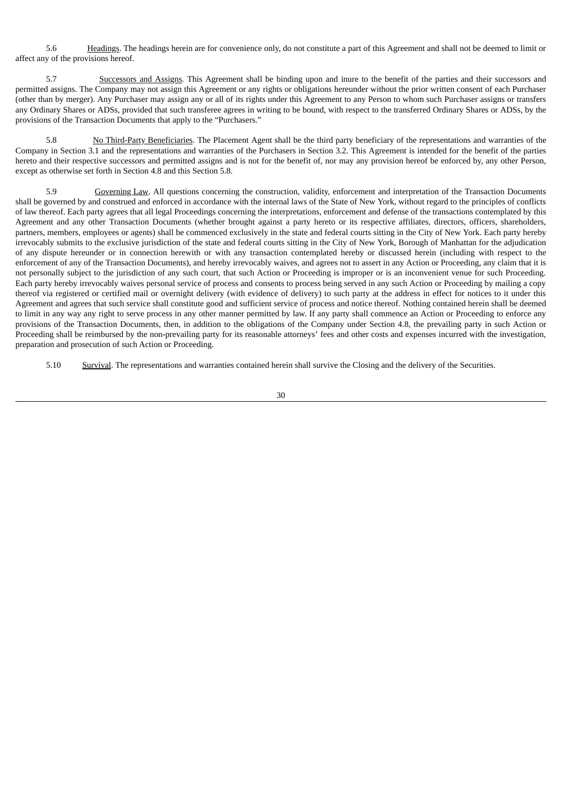5.6 Headings. The headings herein are for convenience only, do not constitute a part of this Agreement and shall not be deemed to limit or affect any of the provisions hereof.

5.7 Successors and Assigns. This Agreement shall be binding upon and inure to the benefit of the parties and their successors and permitted assigns. The Company may not assign this Agreement or any rights or obligations hereunder without the prior written consent of each Purchaser (other than by merger). Any Purchaser may assign any or all of its rights under this Agreement to any Person to whom such Purchaser assigns or transfers any Ordinary Shares or ADSs, provided that such transferee agrees in writing to be bound, with respect to the transferred Ordinary Shares or ADSs, by the provisions of the Transaction Documents that apply to the "Purchasers."

5.8 No Third-Party Beneficiaries. The Placement Agent shall be the third party beneficiary of the representations and warranties of the Company in Section 3.1 and the representations and warranties of the Purchasers in Section 3.2. This Agreement is intended for the benefit of the parties hereto and their respective successors and permitted assigns and is not for the benefit of, nor may any provision hereof be enforced by, any other Person, except as otherwise set forth in Section 4.8 and this Section 5.8.

5.9 Governing Law. All questions concerning the construction, validity, enforcement and interpretation of the Transaction Documents shall be governed by and construed and enforced in accordance with the internal laws of the State of New York, without regard to the principles of conflicts of law thereof. Each party agrees that all legal Proceedings concerning the interpretations, enforcement and defense of the transactions contemplated by this Agreement and any other Transaction Documents (whether brought against a party hereto or its respective affiliates, directors, officers, shareholders, partners, members, employees or agents) shall be commenced exclusively in the state and federal courts sitting in the City of New York. Each party hereby irrevocably submits to the exclusive jurisdiction of the state and federal courts sitting in the City of New York, Borough of Manhattan for the adjudication of any dispute hereunder or in connection herewith or with any transaction contemplated hereby or discussed herein (including with respect to the enforcement of any of the Transaction Documents), and hereby irrevocably waives, and agrees not to assert in any Action or Proceeding, any claim that it is not personally subject to the jurisdiction of any such court, that such Action or Proceeding is improper or is an inconvenient venue for such Proceeding. Each party hereby irrevocably waives personal service of process and consents to process being served in any such Action or Proceeding by mailing a copy thereof via registered or certified mail or overnight delivery (with evidence of delivery) to such party at the address in effect for notices to it under this Agreement and agrees that such service shall constitute good and sufficient service of process and notice thereof. Nothing contained herein shall be deemed to limit in any way any right to serve process in any other manner permitted by law. If any party shall commence an Action or Proceeding to enforce any provisions of the Transaction Documents, then, in addition to the obligations of the Company under Section 4.8, the prevailing party in such Action or Proceeding shall be reimbursed by the non-prevailing party for its reasonable attorneys' fees and other costs and expenses incurred with the investigation, preparation and prosecution of such Action or Proceeding.

5.10 Survival. The representations and warranties contained herein shall survive the Closing and the delivery of the Securities.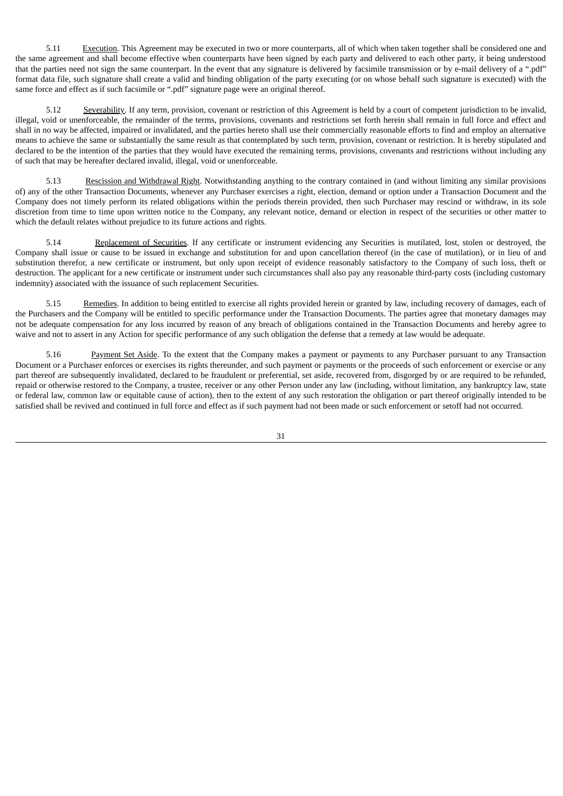5.11 Execution. This Agreement may be executed in two or more counterparts, all of which when taken together shall be considered one and the same agreement and shall become effective when counterparts have been signed by each party and delivered to each other party, it being understood that the parties need not sign the same counterpart. In the event that any signature is delivered by facsimile transmission or by e-mail delivery of a ".pdf" format data file, such signature shall create a valid and binding obligation of the party executing (or on whose behalf such signature is executed) with the same force and effect as if such facsimile or ".pdf" signature page were an original thereof.

5.12 Severability. If any term, provision, covenant or restriction of this Agreement is held by a court of competent jurisdiction to be invalid, illegal, void or unenforceable, the remainder of the terms, provisions, covenants and restrictions set forth herein shall remain in full force and effect and shall in no way be affected, impaired or invalidated, and the parties hereto shall use their commercially reasonable efforts to find and employ an alternative means to achieve the same or substantially the same result as that contemplated by such term, provision, covenant or restriction. It is hereby stipulated and declared to be the intention of the parties that they would have executed the remaining terms, provisions, covenants and restrictions without including any of such that may be hereafter declared invalid, illegal, void or unenforceable.

5.13 Rescission and Withdrawal Right. Notwithstanding anything to the contrary contained in (and without limiting any similar provisions of) any of the other Transaction Documents, whenever any Purchaser exercises a right, election, demand or option under a Transaction Document and the Company does not timely perform its related obligations within the periods therein provided, then such Purchaser may rescind or withdraw, in its sole discretion from time to time upon written notice to the Company, any relevant notice, demand or election in respect of the securities or other matter to which the default relates without prejudice to its future actions and rights.

5.14 Replacement of Securities. If any certificate or instrument evidencing any Securities is mutilated, lost, stolen or destroyed, the Company shall issue or cause to be issued in exchange and substitution for and upon cancellation thereof (in the case of mutilation), or in lieu of and substitution therefor, a new certificate or instrument, but only upon receipt of evidence reasonably satisfactory to the Company of such loss, theft or destruction. The applicant for a new certificate or instrument under such circumstances shall also pay any reasonable third-party costs (including customary indemnity) associated with the issuance of such replacement Securities.

5.15 Remedies. In addition to being entitled to exercise all rights provided herein or granted by law, including recovery of damages, each of the Purchasers and the Company will be entitled to specific performance under the Transaction Documents. The parties agree that monetary damages may not be adequate compensation for any loss incurred by reason of any breach of obligations contained in the Transaction Documents and hereby agree to waive and not to assert in any Action for specific performance of any such obligation the defense that a remedy at law would be adequate.

5.16 Payment Set Aside. To the extent that the Company makes a payment or payments to any Purchaser pursuant to any Transaction Document or a Purchaser enforces or exercises its rights thereunder, and such payment or payments or the proceeds of such enforcement or exercise or any part thereof are subsequently invalidated, declared to be fraudulent or preferential, set aside, recovered from, disgorged by or are required to be refunded, repaid or otherwise restored to the Company, a trustee, receiver or any other Person under any law (including, without limitation, any bankruptcy law, state or federal law, common law or equitable cause of action), then to the extent of any such restoration the obligation or part thereof originally intended to be satisfied shall be revived and continued in full force and effect as if such payment had not been made or such enforcement or setoff had not occurred.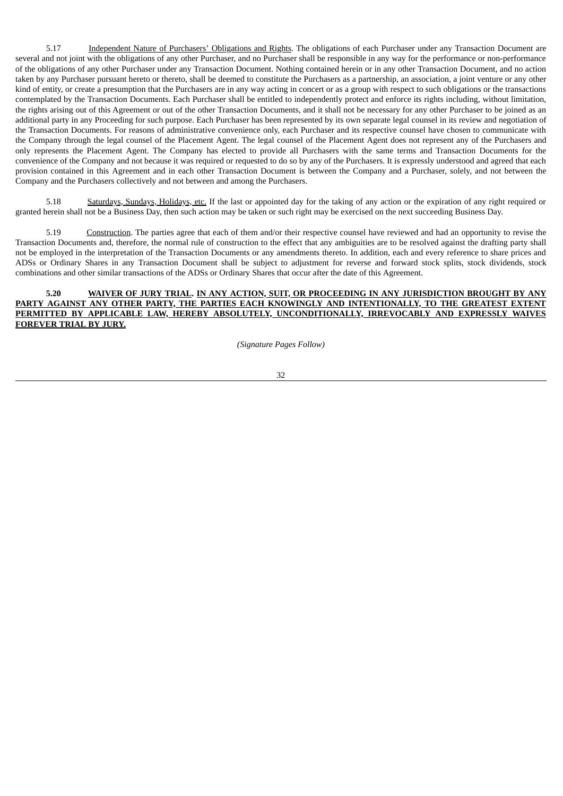5.17 Independent Nature of Purchasers' Obligations and Rights. The obligations of each Purchaser under any Transaction Document are several and not joint with the obligations of any other Purchaser, and no Purchaser shall be responsible in any way for the performance or non-performance of the obligations of any other Purchaser under any Transaction Document. Nothing contained herein or in any other Transaction Document, and no action taken by any Purchaser pursuant hereto or thereto, shall be deemed to constitute the Purchasers as a partnership, an association, a joint venture or any other kind of entity, or create a presumption that the Purchasers are in any way acting in concert or as a group with respect to such obligations or the transactions contemplated by the Transaction Documents. Each Purchaser shall be entitled to independently protect and enforce its rights including, without limitation, the rights arising out of this Agreement or out of the other Transaction Documents, and it shall not be necessary for any other Purchaser to be joined as an additional party in any Proceeding for such purpose. Each Purchaser has been represented by its own separate legal counsel in its review and negotiation of the Transaction Documents. For reasons of administrative convenience only, each Purchaser and its respective counsel have chosen to communicate with the Company through the legal counsel of the Placement Agent. The legal counsel of the Placement Agent does not represent any of the Purchasers and only represents the Placement Agent. The Company has elected to provide all Purchasers with the same terms and Transaction Documents for the convenience of the Company and not because it was required or requested to do so by any of the Purchasers. It is expressly understood and agreed that each provision contained in this Agreement and in each other Transaction Document is between the Company and a Purchaser, solely, and not between the Company and the Purchasers collectively and not between and among the Purchasers.

5.18 Saturdays, Sundays, Holidays, etc. If the last or appointed day for the taking of any action or the expiration of any right required or granted herein shall not be a Business Day, then such action may be taken or such right may be exercised on the next succeeding Business Day.

5.19 Construction. The parties agree that each of them and/or their respective counsel have reviewed and had an opportunity to revise the Transaction Documents and, therefore, the normal rule of construction to the effect that any ambiguities are to be resolved against the drafting party shall not be employed in the interpretation of the Transaction Documents or any amendments thereto. In addition, each and every reference to share prices and ADSs or Ordinary Shares in any Transaction Document shall be subject to adjustment for reverse and forward stock splits, stock dividends, stock combinations and other similar transactions of the ADSs or Ordinary Shares that occur after the date of this Agreement.

#### **5.20 WAIVER OF JURY TRIAL. IN ANY ACTION, SUIT, OR PROCEEDING IN ANY JURISDICTION BROUGHT BY ANY PARTY AGAINST ANY OTHER PARTY, THE PARTIES EACH KNOWINGLY AND INTENTIONALLY, TO THE GREATEST EXTENT PERMITTED BY APPLICABLE LAW, HEREBY ABSOLUTELY, UNCONDITIONALLY, IRREVOCABLY AND EXPRESSLY WAIVES FOREVER TRIAL BY JURY.**

*(Signature Pages Follow)*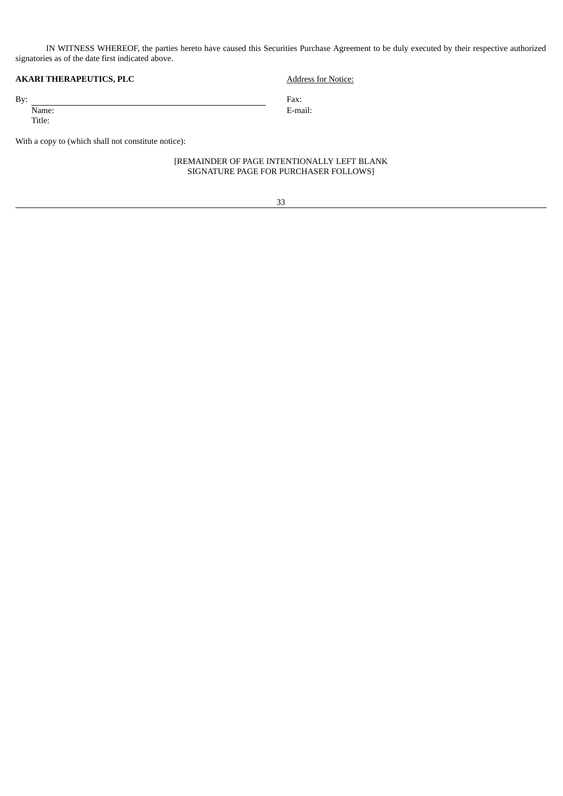IN WITNESS WHEREOF, the parties hereto have caused this Securities Purchase Agreement to be duly executed by their respective authorized signatories as of the date first indicated above.

## **AKARI THERAPEUTICS, PLC** Address for Notice:

By: Fax:

Title:

Name: E-mail:

With a copy to (which shall not constitute notice):

## [REMAINDER OF PAGE INTENTIONALLY LEFT BLANK SIGNATURE PAGE FOR PURCHASER FOLLOWS]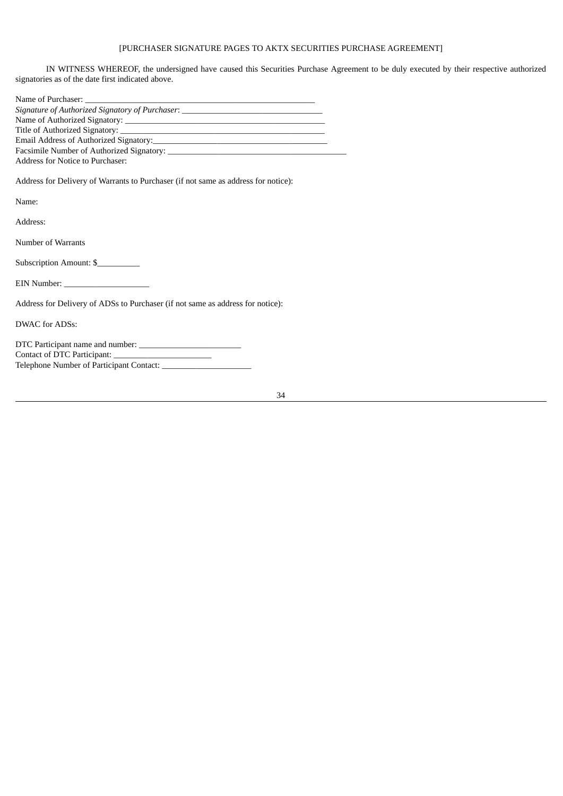# [PURCHASER SIGNATURE PAGES TO AKTX SECURITIES PURCHASE AGREEMENT]

IN WITNESS WHEREOF, the undersigned have caused this Securities Purchase Agreement to be duly executed by their respective authorized signatories as of the date first indicated above.

| Signature of Authorized Signatory of Purchaser: |  |  |
|-------------------------------------------------|--|--|
|                                                 |  |  |
|                                                 |  |  |
|                                                 |  |  |
| Facsimile Number of Authorized Signatory:       |  |  |
| Address for Notice to Purchaser:                |  |  |

Address for Delivery of Warrants to Purchaser (if not same as address for notice):

Name:

Address:

Number of Warrants

Subscription Amount: \$

EIN Number: \_\_\_\_\_\_\_\_\_\_\_\_\_\_\_\_\_\_\_\_

Address for Delivery of ADSs to Purchaser (if not same as address for notice):

DWAC for ADSs:

| DTC Participant name and number:         |  |  |
|------------------------------------------|--|--|
| Contact of DTC Participant:              |  |  |
| Telephone Number of Participant Contact: |  |  |
|                                          |  |  |

| ٠                |  |
|------------------|--|
| I<br>I<br>×<br>٠ |  |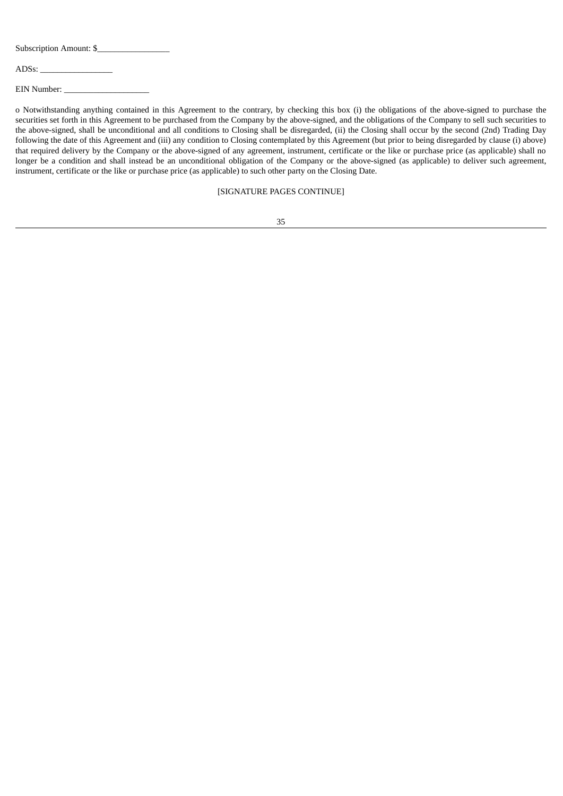Subscription Amount: \$

ADSs: \_\_\_\_\_\_\_\_\_\_\_\_\_\_\_\_\_

EIN Number:

o Notwithstanding anything contained in this Agreement to the contrary, by checking this box (i) the obligations of the above-signed to purchase the securities set forth in this Agreement to be purchased from the Company by the above-signed, and the obligations of the Company to sell such securities to the above-signed, shall be unconditional and all conditions to Closing shall be disregarded, (ii) the Closing shall occur by the second (2nd) Trading Day following the date of this Agreement and (iii) any condition to Closing contemplated by this Agreement (but prior to being disregarded by clause (i) above) that required delivery by the Company or the above-signed of any agreement, instrument, certificate or the like or purchase price (as applicable) shall no longer be a condition and shall instead be an unconditional obligation of the Company or the above-signed (as applicable) to deliver such agreement, instrument, certificate or the like or purchase price (as applicable) to such other party on the Closing Date.

#### [SIGNATURE PAGES CONTINUE]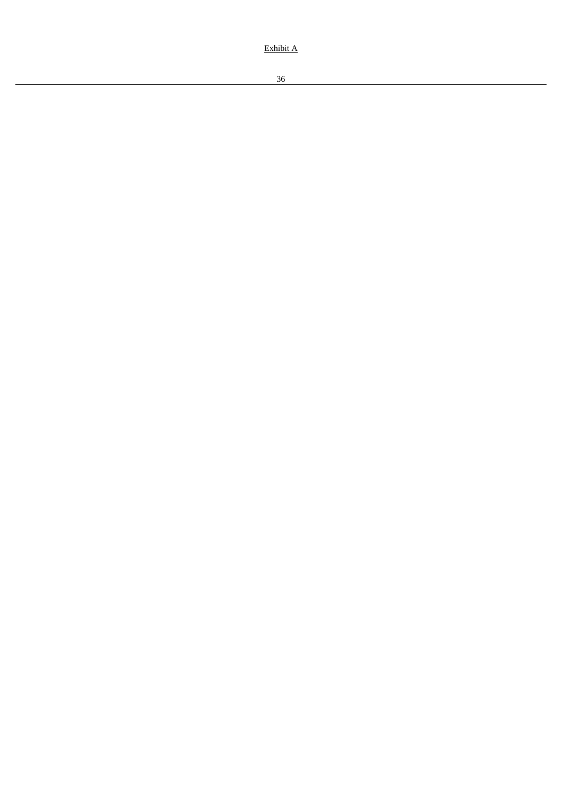Exhibit A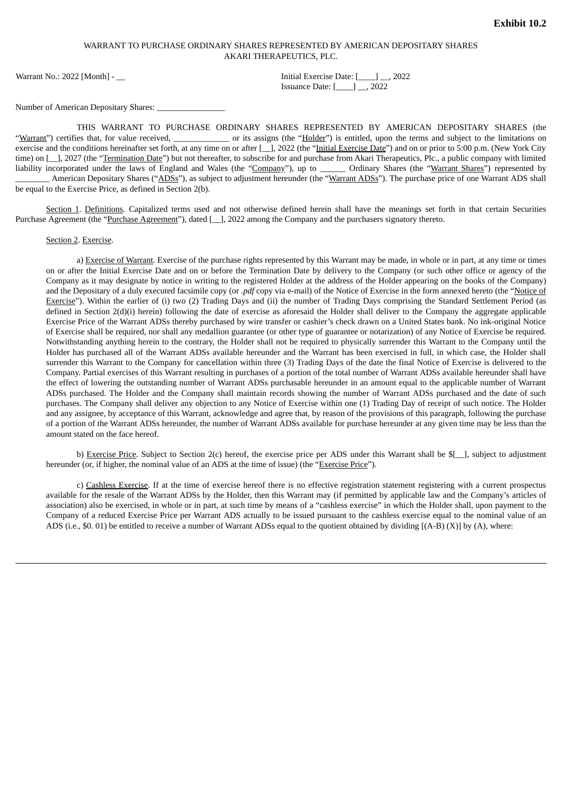## WARRANT TO PURCHASE ORDINARY SHARES REPRESENTED BY AMERICAN DEPOSITARY SHARES AKARI THERAPEUTICS, PLC.

<span id="page-47-0"></span>Warrant No.: 2022 [Month] - \_\_ Initial Exercise Date: [\_\_\_\_] \_\_, 2022

Issuance Date: [\_\_\_\_] \_\_, 2022

Number of American Depositary Shares: \_\_\_\_\_\_\_\_\_\_\_\_\_\_\_\_

THIS WARRANT TO PURCHASE ORDINARY SHARES REPRESENTED BY AMERICAN DEPOSITARY SHARES (the "Warrant") certifies that, for value received, \_\_\_\_\_\_\_\_\_\_\_\_\_\_ or its assigns (the "Holder") is entitled, upon the terms and subject to the limitations on exercise and the conditions hereinafter set forth, at any time on or after [\_], 2022 (the "Initial Exercise Date") and on or prior to 5:00 p.m. (New York City time) on [\_], 2027 (the "Termination Date") but not thereafter, to subscribe for and purchase from Akari Therapeutics, Plc., a public company with limited liability incorporated under the laws of England and Wales (the "Company"), up to \_\_\_\_\_\_ Ordinary Shares (the "Warrant Shares") represented by American Depositary Shares ("ADSs"), as subject to adjustment hereunder (the "Warrant ADSs"). The purchase price of one Warrant ADS shall be equal to the Exercise Price, as defined in Section 2(b).

Section 1. Definitions. Capitalized terms used and not otherwise defined herein shall have the meanings set forth in that certain Securities Purchase Agreement (the "Purchase Agreement"), dated [\_], 2022 among the Company and the purchasers signatory thereto.

Section 2. Exercise.

a) Exercise of Warrant. Exercise of the purchase rights represented by this Warrant may be made, in whole or in part, at any time or times on or after the Initial Exercise Date and on or before the Termination Date by delivery to the Company (or such other office or agency of the Company as it may designate by notice in writing to the registered Holder at the address of the Holder appearing on the books of the Company) and the Depositary of a duly executed facsimile copy (or *.pdf* copy via e-mail) of the Notice of Exercise in the form annexed hereto (the "Notice of Exercise"). Within the earlier of (i) two (2) Trading Days and (ii) the number of Trading Days comprising the Standard Settlement Period (as defined in Section 2(d)(i) herein) following the date of exercise as aforesaid the Holder shall deliver to the Company the aggregate applicable Exercise Price of the Warrant ADSs thereby purchased by wire transfer or cashier's check drawn on a United States bank. No ink-original Notice of Exercise shall be required, nor shall any medallion guarantee (or other type of guarantee or notarization) of any Notice of Exercise be required. Notwithstanding anything herein to the contrary, the Holder shall not be required to physically surrender this Warrant to the Company until the Holder has purchased all of the Warrant ADSs available hereunder and the Warrant has been exercised in full, in which case, the Holder shall surrender this Warrant to the Company for cancellation within three (3) Trading Days of the date the final Notice of Exercise is delivered to the Company. Partial exercises of this Warrant resulting in purchases of a portion of the total number of Warrant ADSs available hereunder shall have the effect of lowering the outstanding number of Warrant ADSs purchasable hereunder in an amount equal to the applicable number of Warrant ADSs purchased. The Holder and the Company shall maintain records showing the number of Warrant ADSs purchased and the date of such purchases. The Company shall deliver any objection to any Notice of Exercise within one (1) Trading Day of receipt of such notice. The Holder and any assignee, by acceptance of this Warrant, acknowledge and agree that, by reason of the provisions of this paragraph, following the purchase of a portion of the Warrant ADSs hereunder, the number of Warrant ADSs available for purchase hereunder at any given time may be less than the amount stated on the face hereof.

b) Exercise Price. Subject to Section 2(c) hereof, the exercise price per ADS under this Warrant shall be \$[-1, subject to adjustment hereunder (or, if higher, the nominal value of an ADS at the time of issue) (the "Exercise Price").

c) Cashless Exercise. If at the time of exercise hereof there is no effective registration statement registering with a current prospectus available for the resale of the Warrant ADSs by the Holder, then this Warrant may (if permitted by applicable law and the Company's articles of association) also be exercised, in whole or in part, at such time by means of a "cashless exercise" in which the Holder shall, upon payment to the Company of a reduced Exercise Price per Warrant ADS actually to be issued pursuant to the cashless exercise equal to the nominal value of an ADS (i.e., \$0. 01) be entitled to receive a number of Warrant ADSs equal to the quotient obtained by dividing [(A-B) (X)] by (A), where: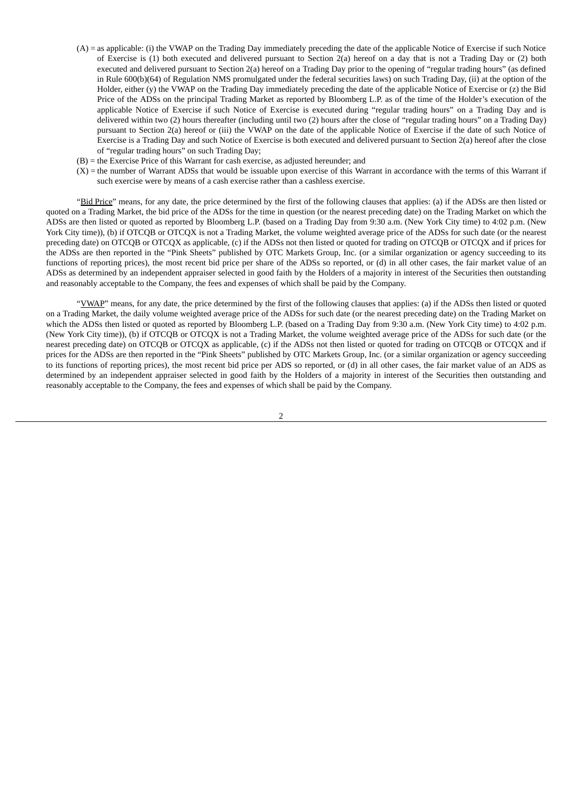- (A) = as applicable: (i) the VWAP on the Trading Day immediately preceding the date of the applicable Notice of Exercise if such Notice of Exercise is (1) both executed and delivered pursuant to Section 2(a) hereof on a day that is not a Trading Day or (2) both executed and delivered pursuant to Section 2(a) hereof on a Trading Day prior to the opening of "regular trading hours" (as defined in Rule 600(b)(64) of Regulation NMS promulgated under the federal securities laws) on such Trading Day, (ii) at the option of the Holder, either (y) the VWAP on the Trading Day immediately preceding the date of the applicable Notice of Exercise or (z) the Bid Price of the ADSs on the principal Trading Market as reported by Bloomberg L.P. as of the time of the Holder's execution of the applicable Notice of Exercise if such Notice of Exercise is executed during "regular trading hours" on a Trading Day and is delivered within two (2) hours thereafter (including until two (2) hours after the close of "regular trading hours" on a Trading Day) pursuant to Section 2(a) hereof or (iii) the VWAP on the date of the applicable Notice of Exercise if the date of such Notice of Exercise is a Trading Day and such Notice of Exercise is both executed and delivered pursuant to Section 2(a) hereof after the close of "regular trading hours" on such Trading Day;
- (B) = the Exercise Price of this Warrant for cash exercise, as adjusted hereunder; and
- $(X)$  = the number of Warrant ADSs that would be issuable upon exercise of this Warrant in accordance with the terms of this Warrant if such exercise were by means of a cash exercise rather than a cashless exercise.

"Bid Price" means, for any date, the price determined by the first of the following clauses that applies: (a) if the ADSs are then listed or quoted on a Trading Market, the bid price of the ADSs for the time in question (or the nearest preceding date) on the Trading Market on which the ADSs are then listed or quoted as reported by Bloomberg L.P. (based on a Trading Day from 9:30 a.m. (New York City time) to 4:02 p.m. (New York City time)), (b) if OTCQB or OTCQX is not a Trading Market, the volume weighted average price of the ADSs for such date (or the nearest preceding date) on OTCQB or OTCQX as applicable, (c) if the ADSs not then listed or quoted for trading on OTCQB or OTCQX and if prices for the ADSs are then reported in the "Pink Sheets" published by OTC Markets Group, Inc. (or a similar organization or agency succeeding to its functions of reporting prices), the most recent bid price per share of the ADSs so reported, or (d) in all other cases, the fair market value of an ADSs as determined by an independent appraiser selected in good faith by the Holders of a majority in interest of the Securities then outstanding and reasonably acceptable to the Company, the fees and expenses of which shall be paid by the Company.

"YWAP" means, for any date, the price determined by the first of the following clauses that applies: (a) if the ADSs then listed or quoted on a Trading Market, the daily volume weighted average price of the ADSs for such date (or the nearest preceding date) on the Trading Market on which the ADSs then listed or quoted as reported by Bloomberg L.P. (based on a Trading Day from 9:30 a.m. (New York City time) to 4:02 p.m. (New York City time)), (b) if OTCQB or OTCQX is not a Trading Market, the volume weighted average price of the ADSs for such date (or the nearest preceding date) on OTCQB or OTCQX as applicable, (c) if the ADSs not then listed or quoted for trading on OTCQB or OTCQX and if prices for the ADSs are then reported in the "Pink Sheets" published by OTC Markets Group, Inc. (or a similar organization or agency succeeding to its functions of reporting prices), the most recent bid price per ADS so reported, or (d) in all other cases, the fair market value of an ADS as determined by an independent appraiser selected in good faith by the Holders of a majority in interest of the Securities then outstanding and reasonably acceptable to the Company, the fees and expenses of which shall be paid by the Company.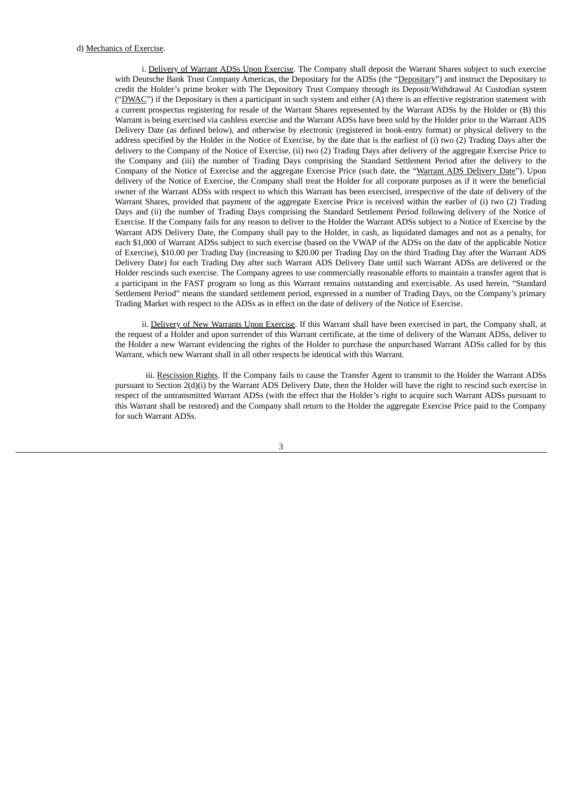i. Delivery of Warrant ADSs Upon Exercise. The Company shall deposit the Warrant Shares subject to such exercise with Deutsche Bank Trust Company Americas, the Depositary for the ADSs (the "Depositary") and instruct the Depositary to credit the Holder's prime broker with The Depository Trust Company through its Deposit/Withdrawal At Custodian system ("DWAC") if the Depositary is then a participant in such system and either (A) there is an effective registration statement with a current prospectus registering for resale of the Warrant Shares represented by the Warrant ADSs by the Holder or (B) this Warrant is being exercised via cashless exercise and the Warrant ADSs have been sold by the Holder prior to the Warrant ADS Delivery Date (as defined below), and otherwise by electronic (registered in book-entry format) or physical delivery to the address specified by the Holder in the Notice of Exercise, by the date that is the earliest of (i) two (2) Trading Days after the delivery to the Company of the Notice of Exercise, (ii) two (2) Trading Days after delivery of the aggregate Exercise Price to the Company and (iii) the number of Trading Days comprising the Standard Settlement Period after the delivery to the Company of the Notice of Exercise and the aggregate Exercise Price (such date, the "Warrant ADS Delivery Date"). Upon delivery of the Notice of Exercise, the Company shall treat the Holder for all corporate purposes as if it were the beneficial owner of the Warrant ADSs with respect to which this Warrant has been exercised, irrespective of the date of delivery of the Warrant Shares, provided that payment of the aggregate Exercise Price is received within the earlier of (i) two (2) Trading Days and (ii) the number of Trading Days comprising the Standard Settlement Period following delivery of the Notice of Exercise. If the Company fails for any reason to deliver to the Holder the Warrant ADSs subject to a Notice of Exercise by the Warrant ADS Delivery Date, the Company shall pay to the Holder, in cash, as liquidated damages and not as a penalty, for each \$1,000 of Warrant ADSs subject to such exercise (based on the VWAP of the ADSs on the date of the applicable Notice of Exercise), \$10.00 per Trading Day (increasing to \$20.00 per Trading Day on the third Trading Day after the Warrant ADS Delivery Date) for each Trading Day after such Warrant ADS Delivery Date until such Warrant ADSs are delivered or the Holder rescinds such exercise. The Company agrees to use commercially reasonable efforts to maintain a transfer agent that is a participant in the FAST program so long as this Warrant remains outstanding and exercisable. As used herein, "Standard Settlement Period" means the standard settlement period, expressed in a number of Trading Days, on the Company's primary Trading Market with respect to the ADSs as in effect on the date of delivery of the Notice of Exercise.

ii. Delivery of New Warrants Upon Exercise. If this Warrant shall have been exercised in part, the Company shall, at the request of a Holder and upon surrender of this Warrant certificate, at the time of delivery of the Warrant ADSs, deliver to the Holder a new Warrant evidencing the rights of the Holder to purchase the unpurchased Warrant ADSs called for by this Warrant, which new Warrant shall in all other respects be identical with this Warrant.

iii. Rescission Rights. If the Company fails to cause the Transfer Agent to transmit to the Holder the Warrant ADSs pursuant to Section 2(d)(i) by the Warrant ADS Delivery Date, then the Holder will have the right to rescind such exercise in respect of the untransmitted Warrant ADSs (with the effect that the Holder's right to acquire such Warrant ADSs pursuant to this Warrant shall be restored) and the Company shall return to the Holder the aggregate Exercise Price paid to the Company for such Warrant ADSs.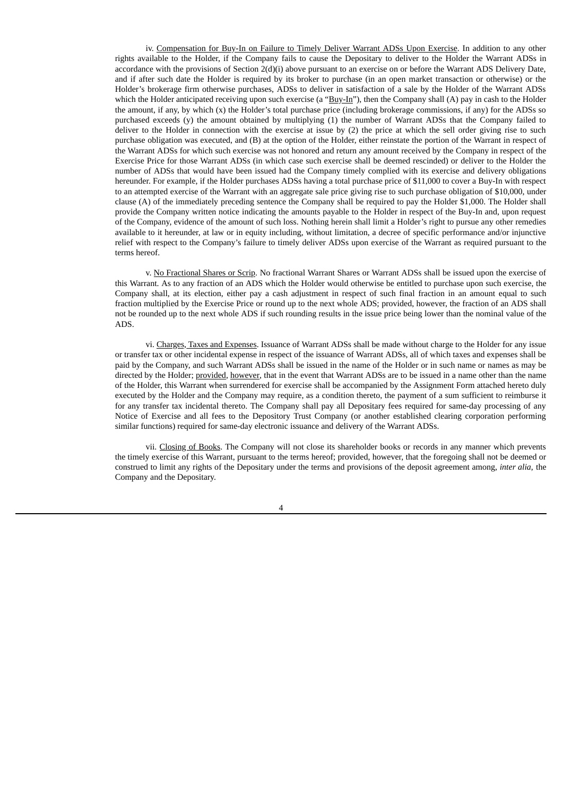iv. Compensation for Buy-In on Failure to Timely Deliver Warrant ADSs Upon Exercise. In addition to any other rights available to the Holder, if the Company fails to cause the Depositary to deliver to the Holder the Warrant ADSs in accordance with the provisions of Section 2(d)(i) above pursuant to an exercise on or before the Warrant ADS Delivery Date, and if after such date the Holder is required by its broker to purchase (in an open market transaction or otherwise) or the Holder's brokerage firm otherwise purchases, ADSs to deliver in satisfaction of a sale by the Holder of the Warrant ADSs which the Holder anticipated receiving upon such exercise (a "Buy-In"), then the Company shall (A) pay in cash to the Holder the amount, if any, by which (x) the Holder's total purchase price (including brokerage commissions, if any) for the ADSs so purchased exceeds (y) the amount obtained by multiplying (1) the number of Warrant ADSs that the Company failed to deliver to the Holder in connection with the exercise at issue by (2) the price at which the sell order giving rise to such purchase obligation was executed, and (B) at the option of the Holder, either reinstate the portion of the Warrant in respect of the Warrant ADSs for which such exercise was not honored and return any amount received by the Company in respect of the Exercise Price for those Warrant ADSs (in which case such exercise shall be deemed rescinded) or deliver to the Holder the number of ADSs that would have been issued had the Company timely complied with its exercise and delivery obligations hereunder. For example, if the Holder purchases ADSs having a total purchase price of \$11,000 to cover a Buy-In with respect to an attempted exercise of the Warrant with an aggregate sale price giving rise to such purchase obligation of \$10,000, under clause (A) of the immediately preceding sentence the Company shall be required to pay the Holder \$1,000. The Holder shall provide the Company written notice indicating the amounts payable to the Holder in respect of the Buy-In and, upon request of the Company, evidence of the amount of such loss. Nothing herein shall limit a Holder's right to pursue any other remedies available to it hereunder, at law or in equity including, without limitation, a decree of specific performance and/or injunctive relief with respect to the Company's failure to timely deliver ADSs upon exercise of the Warrant as required pursuant to the terms hereof.

v. No Fractional Shares or Scrip. No fractional Warrant Shares or Warrant ADSs shall be issued upon the exercise of this Warrant. As to any fraction of an ADS which the Holder would otherwise be entitled to purchase upon such exercise, the Company shall, at its election, either pay a cash adjustment in respect of such final fraction in an amount equal to such fraction multiplied by the Exercise Price or round up to the next whole ADS; provided, however, the fraction of an ADS shall not be rounded up to the next whole ADS if such rounding results in the issue price being lower than the nominal value of the ADS.

vi. Charges, Taxes and Expenses. Issuance of Warrant ADSs shall be made without charge to the Holder for any issue or transfer tax or other incidental expense in respect of the issuance of Warrant ADSs, all of which taxes and expenses shall be paid by the Company, and such Warrant ADSs shall be issued in the name of the Holder or in such name or names as may be directed by the Holder; provided, however, that in the event that Warrant ADSs are to be issued in a name other than the name of the Holder, this Warrant when surrendered for exercise shall be accompanied by the Assignment Form attached hereto duly executed by the Holder and the Company may require, as a condition thereto, the payment of a sum sufficient to reimburse it for any transfer tax incidental thereto. The Company shall pay all Depositary fees required for same-day processing of any Notice of Exercise and all fees to the Depository Trust Company (or another established clearing corporation performing similar functions) required for same-day electronic issuance and delivery of the Warrant ADSs.

vii. Closing of Books. The Company will not close its shareholder books or records in any manner which prevents the timely exercise of this Warrant, pursuant to the terms hereof; provided, however, that the foregoing shall not be deemed or construed to limit any rights of the Depositary under the terms and provisions of the deposit agreement among, *inter alia*, the Company and the Depositary.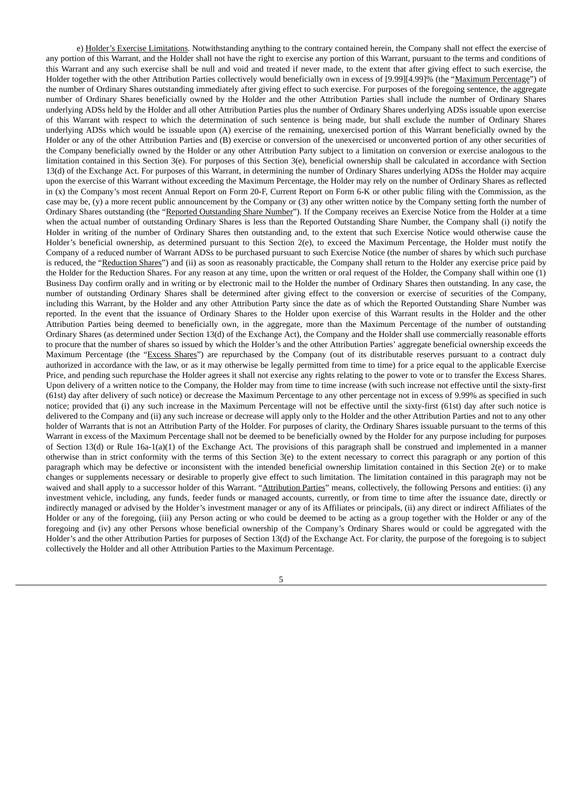e) Holder's Exercise Limitations. Notwithstanding anything to the contrary contained herein, the Company shall not effect the exercise of any portion of this Warrant, and the Holder shall not have the right to exercise any portion of this Warrant, pursuant to the terms and conditions of this Warrant and any such exercise shall be null and void and treated if never made, to the extent that after giving effect to such exercise, the Holder together with the other Attribution Parties collectively would beneficially own in excess of [9.99][4.99]% (the "Maximum Percentage") of the number of Ordinary Shares outstanding immediately after giving effect to such exercise. For purposes of the foregoing sentence, the aggregate number of Ordinary Shares beneficially owned by the Holder and the other Attribution Parties shall include the number of Ordinary Shares underlying ADSs held by the Holder and all other Attribution Parties plus the number of Ordinary Shares underlying ADSs issuable upon exercise of this Warrant with respect to which the determination of such sentence is being made, but shall exclude the number of Ordinary Shares underlying ADSs which would be issuable upon (A) exercise of the remaining, unexercised portion of this Warrant beneficially owned by the Holder or any of the other Attribution Parties and (B) exercise or conversion of the unexercised or unconverted portion of any other securities of the Company beneficially owned by the Holder or any other Attribution Party subject to a limitation on conversion or exercise analogous to the limitation contained in this Section 3(e). For purposes of this Section 3(e), beneficial ownership shall be calculated in accordance with Section 13(d) of the Exchange Act. For purposes of this Warrant, in determining the number of Ordinary Shares underlying ADSs the Holder may acquire upon the exercise of this Warrant without exceeding the Maximum Percentage, the Holder may rely on the number of Ordinary Shares as reflected in (x) the Company's most recent Annual Report on Form 20-F, Current Report on Form 6-K or other public filing with the Commission, as the case may be, (y) a more recent public announcement by the Company or (3) any other written notice by the Company setting forth the number of Ordinary Shares outstanding (the "Reported Outstanding Share Number"). If the Company receives an Exercise Notice from the Holder at a time when the actual number of outstanding Ordinary Shares is less than the Reported Outstanding Share Number, the Company shall (i) notify the Holder in writing of the number of Ordinary Shares then outstanding and, to the extent that such Exercise Notice would otherwise cause the Holder's beneficial ownership, as determined pursuant to this Section 2(e), to exceed the Maximum Percentage, the Holder must notify the Company of a reduced number of Warrant ADSs to be purchased pursuant to such Exercise Notice (the number of shares by which such purchase is reduced, the "Reduction Shares") and (ii) as soon as reasonably practicable, the Company shall return to the Holder any exercise price paid by the Holder for the Reduction Shares. For any reason at any time, upon the written or oral request of the Holder, the Company shall within one (1) Business Day confirm orally and in writing or by electronic mail to the Holder the number of Ordinary Shares then outstanding. In any case, the number of outstanding Ordinary Shares shall be determined after giving effect to the conversion or exercise of securities of the Company, including this Warrant, by the Holder and any other Attribution Party since the date as of which the Reported Outstanding Share Number was reported. In the event that the issuance of Ordinary Shares to the Holder upon exercise of this Warrant results in the Holder and the other Attribution Parties being deemed to beneficially own, in the aggregate, more than the Maximum Percentage of the number of outstanding Ordinary Shares (as determined under Section 13(d) of the Exchange Act), the Company and the Holder shall use commercially reasonable efforts to procure that the number of shares so issued by which the Holder's and the other Attribution Parties' aggregate beneficial ownership exceeds the Maximum Percentage (the "Excess Shares") are repurchased by the Company (out of its distributable reserves pursuant to a contract duly authorized in accordance with the law, or as it may otherwise be legally permitted from time to time) for a price equal to the applicable Exercise Price, and pending such repurchase the Holder agrees it shall not exercise any rights relating to the power to vote or to transfer the Excess Shares. Upon delivery of a written notice to the Company, the Holder may from time to time increase (with such increase not effective until the sixty-first (61st) day after delivery of such notice) or decrease the Maximum Percentage to any other percentage not in excess of 9.99% as specified in such notice; provided that (i) any such increase in the Maximum Percentage will not be effective until the sixty-first (61st) day after such notice is delivered to the Company and (ii) any such increase or decrease will apply only to the Holder and the other Attribution Parties and not to any other holder of Warrants that is not an Attribution Party of the Holder. For purposes of clarity, the Ordinary Shares issuable pursuant to the terms of this Warrant in excess of the Maximum Percentage shall not be deemed to be beneficially owned by the Holder for any purpose including for purposes of Section 13(d) or Rule 16a-1(a)(1) of the Exchange Act. The provisions of this paragraph shall be construed and implemented in a manner otherwise than in strict conformity with the terms of this Section 3(e) to the extent necessary to correct this paragraph or any portion of this paragraph which may be defective or inconsistent with the intended beneficial ownership limitation contained in this Section 2(e) or to make changes or supplements necessary or desirable to properly give effect to such limitation. The limitation contained in this paragraph may not be waived and shall apply to a successor holder of this Warrant. "Attribution Parties" means, collectively, the following Persons and entities: (i) any investment vehicle, including, any funds, feeder funds or managed accounts, currently, or from time to time after the issuance date, directly or indirectly managed or advised by the Holder's investment manager or any of its Affiliates or principals, (ii) any direct or indirect Affiliates of the Holder or any of the foregoing, (iii) any Person acting or who could be deemed to be acting as a group together with the Holder or any of the foregoing and (iv) any other Persons whose beneficial ownership of the Company's Ordinary Shares would or could be aggregated with the Holder's and the other Attribution Parties for purposes of Section 13(d) of the Exchange Act. For clarity, the purpose of the foregoing is to subject collectively the Holder and all other Attribution Parties to the Maximum Percentage.

<sup>5</sup>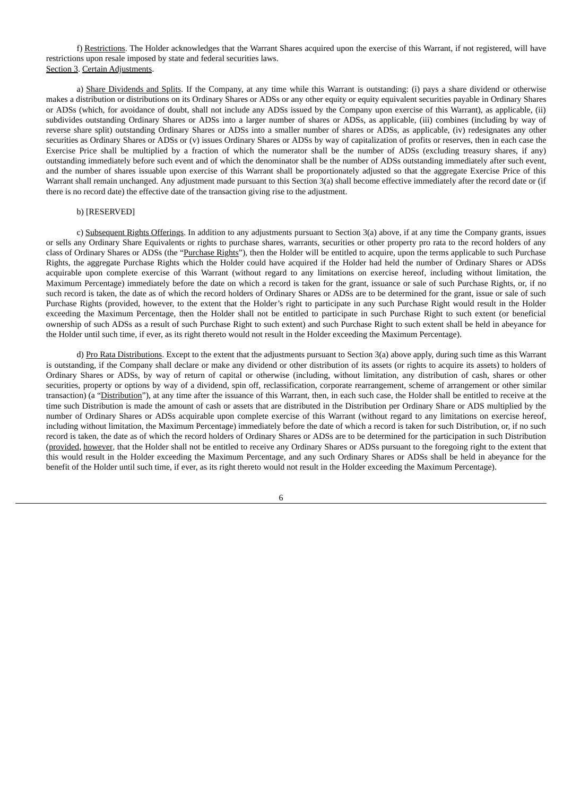f) Restrictions. The Holder acknowledges that the Warrant Shares acquired upon the exercise of this Warrant, if not registered, will have restrictions upon resale imposed by state and federal securities laws. Section 3. Certain Adjustments.

a) Share Dividends and Splits. If the Company, at any time while this Warrant is outstanding: (i) pays a share dividend or otherwise makes a distribution or distributions on its Ordinary Shares or ADSs or any other equity or equity equivalent securities payable in Ordinary Shares or ADSs (which, for avoidance of doubt, shall not include any ADSs issued by the Company upon exercise of this Warrant), as applicable, (ii) subdivides outstanding Ordinary Shares or ADSs into a larger number of shares or ADSs, as applicable, (iii) combines (including by way of reverse share split) outstanding Ordinary Shares or ADSs into a smaller number of shares or ADSs, as applicable, (iv) redesignates any other securities as Ordinary Shares or ADSs or (v) issues Ordinary Shares or ADSs by way of capitalization of profits or reserves, then in each case the Exercise Price shall be multiplied by a fraction of which the numerator shall be the number of ADSs (excluding treasury shares, if any) outstanding immediately before such event and of which the denominator shall be the number of ADSs outstanding immediately after such event, and the number of shares issuable upon exercise of this Warrant shall be proportionately adjusted so that the aggregate Exercise Price of this Warrant shall remain unchanged. Any adjustment made pursuant to this Section 3(a) shall become effective immediately after the record date or (if there is no record date) the effective date of the transaction giving rise to the adjustment.

#### b) [RESERVED]

c) Subsequent Rights Offerings. In addition to any adjustments pursuant to Section 3(a) above, if at any time the Company grants, issues or sells any Ordinary Share Equivalents or rights to purchase shares, warrants, securities or other property pro rata to the record holders of any class of Ordinary Shares or ADSs (the "Purchase Rights"), then the Holder will be entitled to acquire, upon the terms applicable to such Purchase Rights, the aggregate Purchase Rights which the Holder could have acquired if the Holder had held the number of Ordinary Shares or ADSs acquirable upon complete exercise of this Warrant (without regard to any limitations on exercise hereof, including without limitation, the Maximum Percentage) immediately before the date on which a record is taken for the grant, issuance or sale of such Purchase Rights, or, if no such record is taken, the date as of which the record holders of Ordinary Shares or ADSs are to be determined for the grant, issue or sale of such Purchase Rights (provided, however, to the extent that the Holder's right to participate in any such Purchase Right would result in the Holder exceeding the Maximum Percentage, then the Holder shall not be entitled to participate in such Purchase Right to such extent (or beneficial ownership of such ADSs as a result of such Purchase Right to such extent) and such Purchase Right to such extent shall be held in abeyance for the Holder until such time, if ever, as its right thereto would not result in the Holder exceeding the Maximum Percentage).

d) Pro Rata Distributions. Except to the extent that the adjustments pursuant to Section 3(a) above apply, during such time as this Warrant is outstanding, if the Company shall declare or make any dividend or other distribution of its assets (or rights to acquire its assets) to holders of Ordinary Shares or ADSs, by way of return of capital or otherwise (including, without limitation, any distribution of cash, shares or other securities, property or options by way of a dividend, spin off, reclassification, corporate rearrangement, scheme of arrangement or other similar transaction) (a "Distribution"), at any time after the issuance of this Warrant, then, in each such case, the Holder shall be entitled to receive at the time such Distribution is made the amount of cash or assets that are distributed in the Distribution per Ordinary Share or ADS multiplied by the number of Ordinary Shares or ADSs acquirable upon complete exercise of this Warrant (without regard to any limitations on exercise hereof, including without limitation, the Maximum Percentage) immediately before the date of which a record is taken for such Distribution, or, if no such record is taken, the date as of which the record holders of Ordinary Shares or ADSs are to be determined for the participation in such Distribution (provided, however, that the Holder shall not be entitled to receive any Ordinary Shares or ADSs pursuant to the foregoing right to the extent that this would result in the Holder exceeding the Maximum Percentage, and any such Ordinary Shares or ADSs shall be held in abeyance for the benefit of the Holder until such time, if ever, as its right thereto would not result in the Holder exceeding the Maximum Percentage).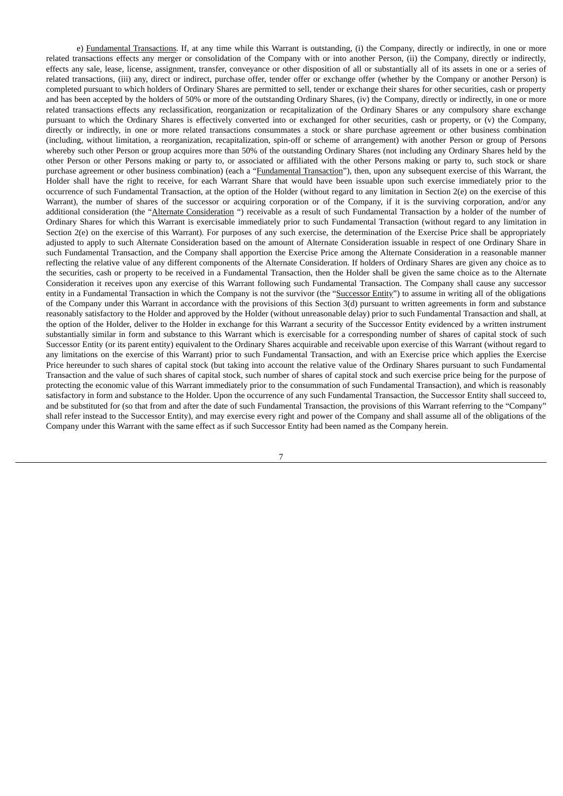e) Fundamental Transactions. If, at any time while this Warrant is outstanding, (i) the Company, directly or indirectly, in one or more related transactions effects any merger or consolidation of the Company with or into another Person, (ii) the Company, directly or indirectly, effects any sale, lease, license, assignment, transfer, conveyance or other disposition of all or substantially all of its assets in one or a series of related transactions, (iii) any, direct or indirect, purchase offer, tender offer or exchange offer (whether by the Company or another Person) is completed pursuant to which holders of Ordinary Shares are permitted to sell, tender or exchange their shares for other securities, cash or property and has been accepted by the holders of 50% or more of the outstanding Ordinary Shares, (iv) the Company, directly or indirectly, in one or more related transactions effects any reclassification, reorganization or recapitalization of the Ordinary Shares or any compulsory share exchange pursuant to which the Ordinary Shares is effectively converted into or exchanged for other securities, cash or property, or (v) the Company, directly or indirectly, in one or more related transactions consummates a stock or share purchase agreement or other business combination (including, without limitation, a reorganization, recapitalization, spin-off or scheme of arrangement) with another Person or group of Persons whereby such other Person or group acquires more than 50% of the outstanding Ordinary Shares (not including any Ordinary Shares held by the other Person or other Persons making or party to, or associated or affiliated with the other Persons making or party to, such stock or share purchase agreement or other business combination) (each a "Fundamental Transaction"), then, upon any subsequent exercise of this Warrant, the Holder shall have the right to receive, for each Warrant Share that would have been issuable upon such exercise immediately prior to the occurrence of such Fundamental Transaction, at the option of the Holder (without regard to any limitation in Section 2(e) on the exercise of this Warrant), the number of shares of the successor or acquiring corporation or of the Company, if it is the surviving corporation, and/or any additional consideration (the "Alternate Consideration ") receivable as a result of such Fundamental Transaction by a holder of the number of Ordinary Shares for which this Warrant is exercisable immediately prior to such Fundamental Transaction (without regard to any limitation in Section 2(e) on the exercise of this Warrant). For purposes of any such exercise, the determination of the Exercise Price shall be appropriately adjusted to apply to such Alternate Consideration based on the amount of Alternate Consideration issuable in respect of one Ordinary Share in such Fundamental Transaction, and the Company shall apportion the Exercise Price among the Alternate Consideration in a reasonable manner reflecting the relative value of any different components of the Alternate Consideration. If holders of Ordinary Shares are given any choice as to the securities, cash or property to be received in a Fundamental Transaction, then the Holder shall be given the same choice as to the Alternate Consideration it receives upon any exercise of this Warrant following such Fundamental Transaction. The Company shall cause any successor entity in a Fundamental Transaction in which the Company is not the survivor (the "Successor Entity") to assume in writing all of the obligations of the Company under this Warrant in accordance with the provisions of this Section 3(d) pursuant to written agreements in form and substance reasonably satisfactory to the Holder and approved by the Holder (without unreasonable delay) prior to such Fundamental Transaction and shall, at the option of the Holder, deliver to the Holder in exchange for this Warrant a security of the Successor Entity evidenced by a written instrument substantially similar in form and substance to this Warrant which is exercisable for a corresponding number of shares of capital stock of such Successor Entity (or its parent entity) equivalent to the Ordinary Shares acquirable and receivable upon exercise of this Warrant (without regard to any limitations on the exercise of this Warrant) prior to such Fundamental Transaction, and with an Exercise price which applies the Exercise Price hereunder to such shares of capital stock (but taking into account the relative value of the Ordinary Shares pursuant to such Fundamental Transaction and the value of such shares of capital stock, such number of shares of capital stock and such exercise price being for the purpose of protecting the economic value of this Warrant immediately prior to the consummation of such Fundamental Transaction), and which is reasonably satisfactory in form and substance to the Holder. Upon the occurrence of any such Fundamental Transaction, the Successor Entity shall succeed to, and be substituted for (so that from and after the date of such Fundamental Transaction, the provisions of this Warrant referring to the "Company" shall refer instead to the Successor Entity), and may exercise every right and power of the Company and shall assume all of the obligations of the Company under this Warrant with the same effect as if such Successor Entity had been named as the Company herein.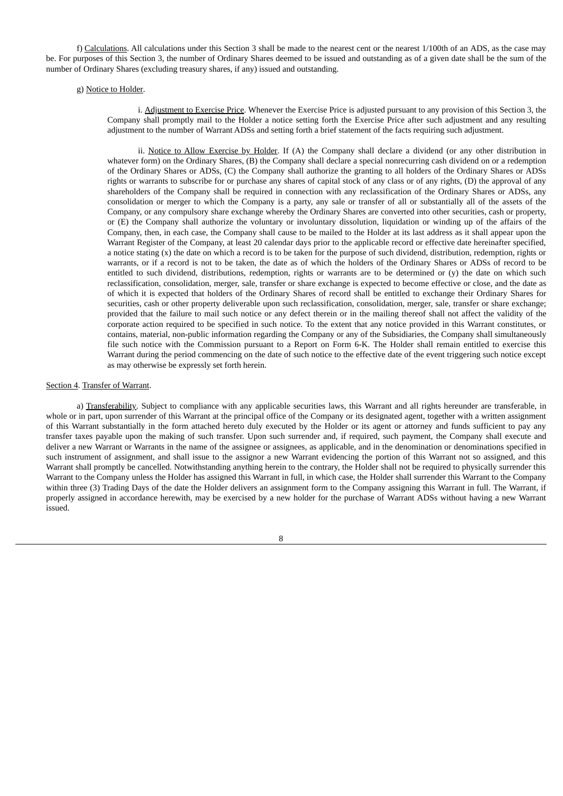f) Calculations. All calculations under this Section 3 shall be made to the nearest cent or the nearest 1/100th of an ADS, as the case may be. For purposes of this Section 3, the number of Ordinary Shares deemed to be issued and outstanding as of a given date shall be the sum of the number of Ordinary Shares (excluding treasury shares, if any) issued and outstanding.

#### g) Notice to Holder.

i. Adjustment to Exercise Price. Whenever the Exercise Price is adjusted pursuant to any provision of this Section 3, the Company shall promptly mail to the Holder a notice setting forth the Exercise Price after such adjustment and any resulting adjustment to the number of Warrant ADSs and setting forth a brief statement of the facts requiring such adjustment.

ii. Notice to Allow Exercise by Holder. If (A) the Company shall declare a dividend (or any other distribution in whatever form) on the Ordinary Shares, (B) the Company shall declare a special nonrecurring cash dividend on or a redemption of the Ordinary Shares or ADSs, (C) the Company shall authorize the granting to all holders of the Ordinary Shares or ADSs rights or warrants to subscribe for or purchase any shares of capital stock of any class or of any rights, (D) the approval of any shareholders of the Company shall be required in connection with any reclassification of the Ordinary Shares or ADSs, any consolidation or merger to which the Company is a party, any sale or transfer of all or substantially all of the assets of the Company, or any compulsory share exchange whereby the Ordinary Shares are converted into other securities, cash or property, or (E) the Company shall authorize the voluntary or involuntary dissolution, liquidation or winding up of the affairs of the Company, then, in each case, the Company shall cause to be mailed to the Holder at its last address as it shall appear upon the Warrant Register of the Company, at least 20 calendar days prior to the applicable record or effective date hereinafter specified, a notice stating (x) the date on which a record is to be taken for the purpose of such dividend, distribution, redemption, rights or warrants, or if a record is not to be taken, the date as of which the holders of the Ordinary Shares or ADSs of record to be entitled to such dividend, distributions, redemption, rights or warrants are to be determined or (y) the date on which such reclassification, consolidation, merger, sale, transfer or share exchange is expected to become effective or close, and the date as of which it is expected that holders of the Ordinary Shares of record shall be entitled to exchange their Ordinary Shares for securities, cash or other property deliverable upon such reclassification, consolidation, merger, sale, transfer or share exchange; provided that the failure to mail such notice or any defect therein or in the mailing thereof shall not affect the validity of the corporate action required to be specified in such notice. To the extent that any notice provided in this Warrant constitutes, or contains, material, non-public information regarding the Company or any of the Subsidiaries, the Company shall simultaneously file such notice with the Commission pursuant to a Report on Form 6-K. The Holder shall remain entitled to exercise this Warrant during the period commencing on the date of such notice to the effective date of the event triggering such notice except as may otherwise be expressly set forth herein.

#### Section 4. Transfer of Warrant.

a) Transferability. Subject to compliance with any applicable securities laws, this Warrant and all rights hereunder are transferable, in whole or in part, upon surrender of this Warrant at the principal office of the Company or its designated agent, together with a written assignment of this Warrant substantially in the form attached hereto duly executed by the Holder or its agent or attorney and funds sufficient to pay any transfer taxes payable upon the making of such transfer. Upon such surrender and, if required, such payment, the Company shall execute and deliver a new Warrant or Warrants in the name of the assignee or assignees, as applicable, and in the denomination or denominations specified in such instrument of assignment, and shall issue to the assignor a new Warrant evidencing the portion of this Warrant not so assigned, and this Warrant shall promptly be cancelled. Notwithstanding anything herein to the contrary, the Holder shall not be required to physically surrender this Warrant to the Company unless the Holder has assigned this Warrant in full, in which case, the Holder shall surrender this Warrant to the Company within three (3) Trading Days of the date the Holder delivers an assignment form to the Company assigning this Warrant in full. The Warrant, if properly assigned in accordance herewith, may be exercised by a new holder for the purchase of Warrant ADSs without having a new Warrant issued.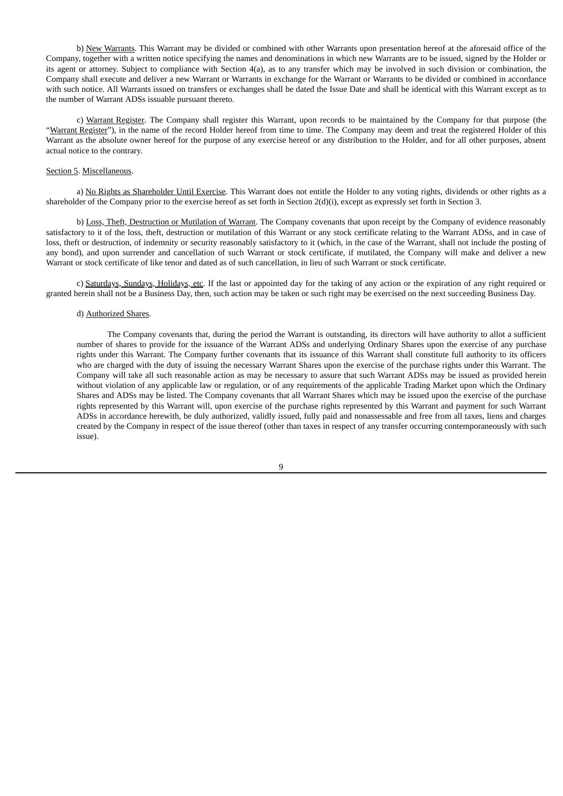b) New Warrants. This Warrant may be divided or combined with other Warrants upon presentation hereof at the aforesaid office of the Company, together with a written notice specifying the names and denominations in which new Warrants are to be issued, signed by the Holder or its agent or attorney. Subject to compliance with Section 4(a), as to any transfer which may be involved in such division or combination, the Company shall execute and deliver a new Warrant or Warrants in exchange for the Warrant or Warrants to be divided or combined in accordance with such notice. All Warrants issued on transfers or exchanges shall be dated the Issue Date and shall be identical with this Warrant except as to the number of Warrant ADSs issuable pursuant thereto.

c) Warrant Register. The Company shall register this Warrant, upon records to be maintained by the Company for that purpose (the "Warrant Register"), in the name of the record Holder hereof from time to time. The Company may deem and treat the registered Holder of this Warrant as the absolute owner hereof for the purpose of any exercise hereof or any distribution to the Holder, and for all other purposes, absent actual notice to the contrary.

#### Section 5. Miscellaneous.

a) No Rights as Shareholder Until Exercise. This Warrant does not entitle the Holder to any voting rights, dividends or other rights as a shareholder of the Company prior to the exercise hereof as set forth in Section 2(d)(i), except as expressly set forth in Section 3.

b) Loss, Theft, Destruction or Mutilation of Warrant. The Company covenants that upon receipt by the Company of evidence reasonably satisfactory to it of the loss, theft, destruction or mutilation of this Warrant or any stock certificate relating to the Warrant ADSs, and in case of loss, theft or destruction, of indemnity or security reasonably satisfactory to it (which, in the case of the Warrant, shall not include the posting of any bond), and upon surrender and cancellation of such Warrant or stock certificate, if mutilated, the Company will make and deliver a new Warrant or stock certificate of like tenor and dated as of such cancellation, in lieu of such Warrant or stock certificate.

c) Saturdays, Sundays, Holidays, etc. If the last or appointed day for the taking of any action or the expiration of any right required or granted herein shall not be a Business Day, then, such action may be taken or such right may be exercised on the next succeeding Business Day.

#### d) Authorized Shares.

The Company covenants that, during the period the Warrant is outstanding, its directors will have authority to allot a sufficient number of shares to provide for the issuance of the Warrant ADSs and underlying Ordinary Shares upon the exercise of any purchase rights under this Warrant. The Company further covenants that its issuance of this Warrant shall constitute full authority to its officers who are charged with the duty of issuing the necessary Warrant Shares upon the exercise of the purchase rights under this Warrant. The Company will take all such reasonable action as may be necessary to assure that such Warrant ADSs may be issued as provided herein without violation of any applicable law or regulation, or of any requirements of the applicable Trading Market upon which the Ordinary Shares and ADSs may be listed. The Company covenants that all Warrant Shares which may be issued upon the exercise of the purchase rights represented by this Warrant will, upon exercise of the purchase rights represented by this Warrant and payment for such Warrant ADSs in accordance herewith, be duly authorized, validly issued, fully paid and nonassessable and free from all taxes, liens and charges created by the Company in respect of the issue thereof (other than taxes in respect of any transfer occurring contemporaneously with such issue).

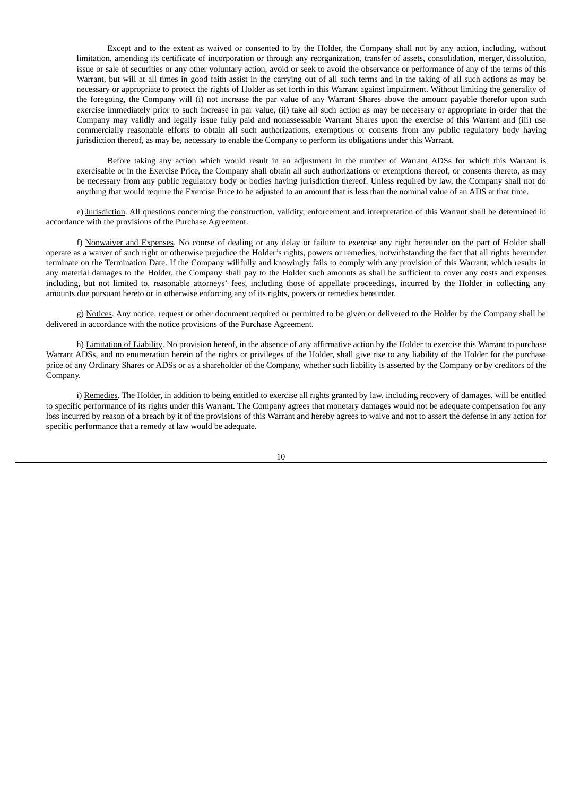Except and to the extent as waived or consented to by the Holder, the Company shall not by any action, including, without limitation, amending its certificate of incorporation or through any reorganization, transfer of assets, consolidation, merger, dissolution, issue or sale of securities or any other voluntary action, avoid or seek to avoid the observance or performance of any of the terms of this Warrant, but will at all times in good faith assist in the carrying out of all such terms and in the taking of all such actions as may be necessary or appropriate to protect the rights of Holder as set forth in this Warrant against impairment. Without limiting the generality of the foregoing, the Company will (i) not increase the par value of any Warrant Shares above the amount payable therefor upon such exercise immediately prior to such increase in par value, (ii) take all such action as may be necessary or appropriate in order that the Company may validly and legally issue fully paid and nonassessable Warrant Shares upon the exercise of this Warrant and (iii) use commercially reasonable efforts to obtain all such authorizations, exemptions or consents from any public regulatory body having jurisdiction thereof, as may be, necessary to enable the Company to perform its obligations under this Warrant.

Before taking any action which would result in an adjustment in the number of Warrant ADSs for which this Warrant is exercisable or in the Exercise Price, the Company shall obtain all such authorizations or exemptions thereof, or consents thereto, as may be necessary from any public regulatory body or bodies having jurisdiction thereof. Unless required by law, the Company shall not do anything that would require the Exercise Price to be adjusted to an amount that is less than the nominal value of an ADS at that time.

e) Jurisdiction. All questions concerning the construction, validity, enforcement and interpretation of this Warrant shall be determined in accordance with the provisions of the Purchase Agreement.

f) Nonwaiver and Expenses. No course of dealing or any delay or failure to exercise any right hereunder on the part of Holder shall operate as a waiver of such right or otherwise prejudice the Holder's rights, powers or remedies, notwithstanding the fact that all rights hereunder terminate on the Termination Date. If the Company willfully and knowingly fails to comply with any provision of this Warrant, which results in any material damages to the Holder, the Company shall pay to the Holder such amounts as shall be sufficient to cover any costs and expenses including, but not limited to, reasonable attorneys' fees, including those of appellate proceedings, incurred by the Holder in collecting any amounts due pursuant hereto or in otherwise enforcing any of its rights, powers or remedies hereunder.

g) Notices. Any notice, request or other document required or permitted to be given or delivered to the Holder by the Company shall be delivered in accordance with the notice provisions of the Purchase Agreement.

h) Limitation of Liability. No provision hereof, in the absence of any affirmative action by the Holder to exercise this Warrant to purchase Warrant ADSs, and no enumeration herein of the rights or privileges of the Holder, shall give rise to any liability of the Holder for the purchase price of any Ordinary Shares or ADSs or as a shareholder of the Company, whether such liability is asserted by the Company or by creditors of the Company.

i) Remedies. The Holder, in addition to being entitled to exercise all rights granted by law, including recovery of damages, will be entitled to specific performance of its rights under this Warrant. The Company agrees that monetary damages would not be adequate compensation for any loss incurred by reason of a breach by it of the provisions of this Warrant and hereby agrees to waive and not to assert the defense in any action for specific performance that a remedy at law would be adequate.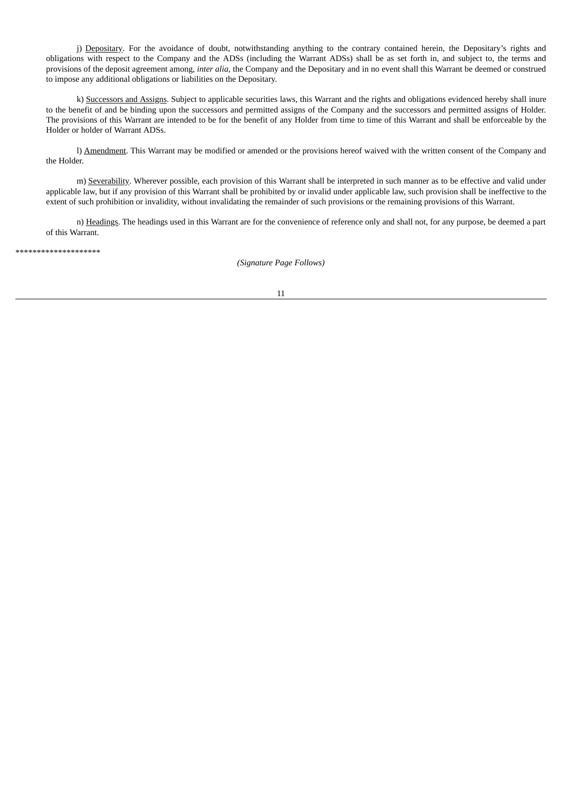j) Depositary. For the avoidance of doubt, notwithstanding anything to the contrary contained herein, the Depositary's rights and obligations with respect to the Company and the ADSs (including the Warrant ADSs) shall be as set forth in, and subject to, the terms and provisions of the deposit agreement among, *inter alia*, the Company and the Depositary and in no event shall this Warrant be deemed or construed to impose any additional obligations or liabilities on the Depositary.

k) Successors and Assigns. Subject to applicable securities laws, this Warrant and the rights and obligations evidenced hereby shall inure to the benefit of and be binding upon the successors and permitted assigns of the Company and the successors and permitted assigns of Holder. The provisions of this Warrant are intended to be for the benefit of any Holder from time to time of this Warrant and shall be enforceable by the Holder or holder of Warrant ADSs.

l) Amendment. This Warrant may be modified or amended or the provisions hereof waived with the written consent of the Company and the Holder.

m) Severability. Wherever possible, each provision of this Warrant shall be interpreted in such manner as to be effective and valid under applicable law, but if any provision of this Warrant shall be prohibited by or invalid under applicable law, such provision shall be ineffective to the extent of such prohibition or invalidity, without invalidating the remainder of such provisions or the remaining provisions of this Warrant.

n) Headings. The headings used in this Warrant are for the convenience of reference only and shall not, for any purpose, be deemed a part of this Warrant.

\*\*\*\*\*\*\*\*\*\*\*\*\*\*\*\*\*\*\*\*

*(Signature Page Follows)*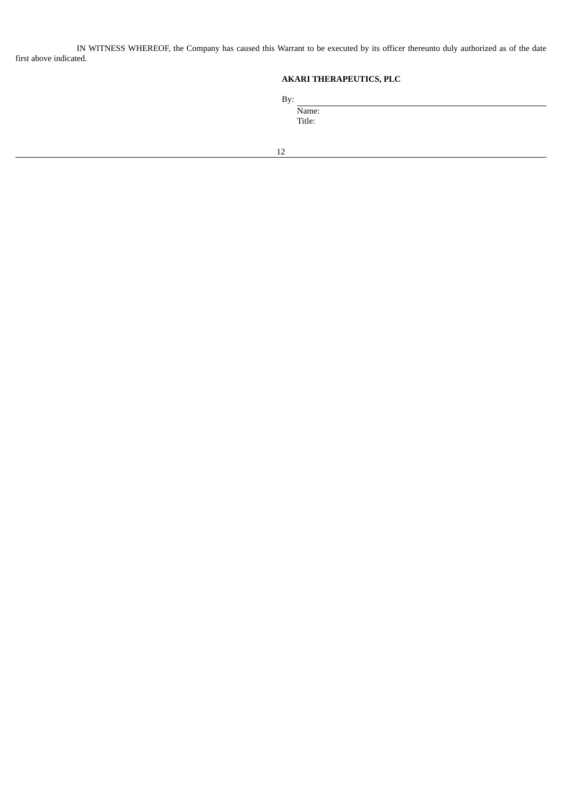IN WITNESS WHEREOF, the Company has caused this Warrant to be executed by its officer thereunto duly authorized as of the date first above indicated.

# **AKARI THERAPEUTICS, PLC**

By:

Name: Title: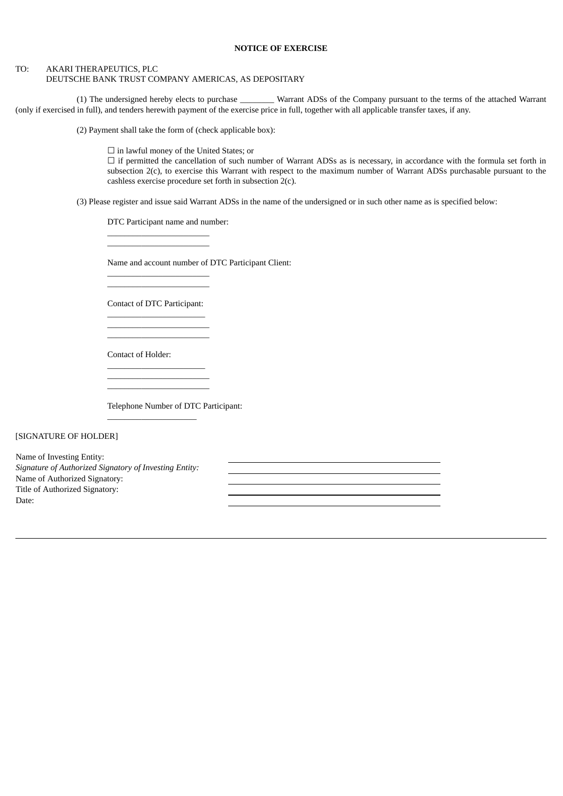#### **NOTICE OF EXERCISE**

#### TO: AKARI THERAPEUTICS, PLC

## DEUTSCHE BANK TRUST COMPANY AMERICAS, AS DEPOSITARY

(1) The undersigned hereby elects to purchase \_\_\_\_\_\_\_\_ Warrant ADSs of the Company pursuant to the terms of the attached Warrant (only if exercised in full), and tenders herewith payment of the exercise price in full, together with all applicable transfer taxes, if any.

(2) Payment shall take the form of (check applicable box):

☐ in lawful money of the United States; or

□ if permitted the cancellation of such number of Warrant ADSs as is necessary, in accordance with the formula set forth in subsection 2(c), to exercise this Warrant with respect to the maximum number of Warrant ADSs purchasable pursuant to the cashless exercise procedure set forth in subsection 2(c).

(3) Please register and issue said Warrant ADSs in the name of the undersigned or in such other name as is specified below:

DTC Participant name and number:

\_\_\_\_\_\_\_\_\_\_\_\_\_\_\_\_\_\_\_\_\_\_\_\_ \_\_\_\_\_\_\_\_\_\_\_\_\_\_\_\_\_\_\_\_\_\_\_\_

\_\_\_\_\_\_\_\_\_\_\_\_\_\_\_\_\_\_\_\_\_\_\_\_ \_\_\_\_\_\_\_\_\_\_\_\_\_\_\_\_\_\_\_\_\_\_\_\_

Name and account number of DTC Participant Client:

Contact of DTC Participant: \_\_\_\_\_\_\_\_\_\_\_\_\_\_\_\_\_\_\_\_\_\_\_

\_\_\_\_\_\_\_\_\_\_\_\_\_\_\_\_\_\_\_\_\_\_\_\_ \_\_\_\_\_\_\_\_\_\_\_\_\_\_\_\_\_\_\_\_\_\_\_\_

\_\_\_\_\_\_\_\_\_\_\_\_\_\_\_\_\_\_\_\_\_\_\_ \_\_\_\_\_\_\_\_\_\_\_\_\_\_\_\_\_\_\_\_\_\_\_\_ \_\_\_\_\_\_\_\_\_\_\_\_\_\_\_\_\_\_\_\_\_\_\_\_

\_\_\_\_\_\_\_\_\_\_\_\_\_\_\_\_\_\_\_\_\_

Contact of Holder:

Telephone Number of DTC Participant:

[SIGNATURE OF HOLDER]

Name of Investing Entity: *Signature of Authorized Signatory of Investing Entity:* Name of Authorized Signatory: Title of Authorized Signatory: Date: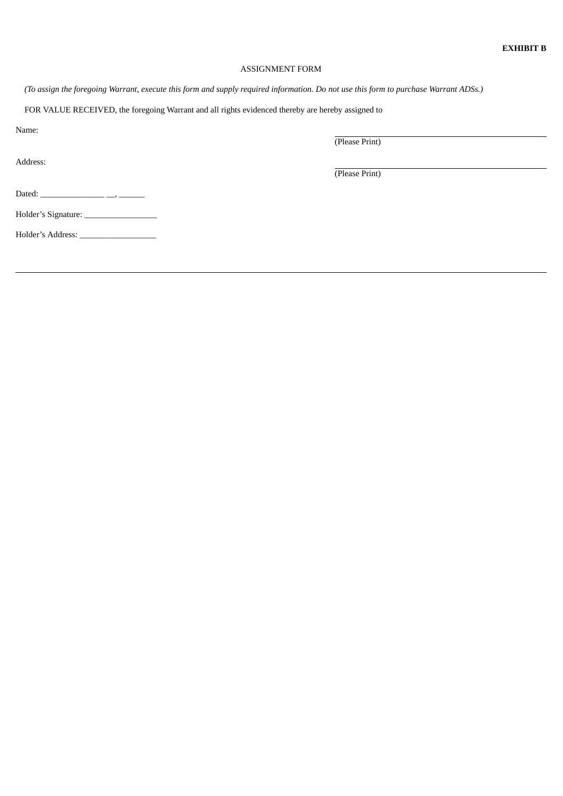## ASSIGNMENT FORM

(To assign the foregoing Warrant, execute this form and supply required information. Do not use this form to purchase Warrant ADSs.)

FOR VALUE RECEIVED, the foregoing Warrant and all rights evidenced thereby are hereby assigned to

Name:

Address:

(Please Print)

(Please Print)

Dated: \_\_\_\_\_\_\_\_\_\_\_\_\_\_\_ \_\_, \_\_\_\_\_\_

Holder's Signature: \_\_\_\_\_\_\_\_\_\_\_\_\_\_\_\_\_

Holder's Address: \_\_\_\_\_\_\_\_\_\_\_\_\_\_\_\_\_\_